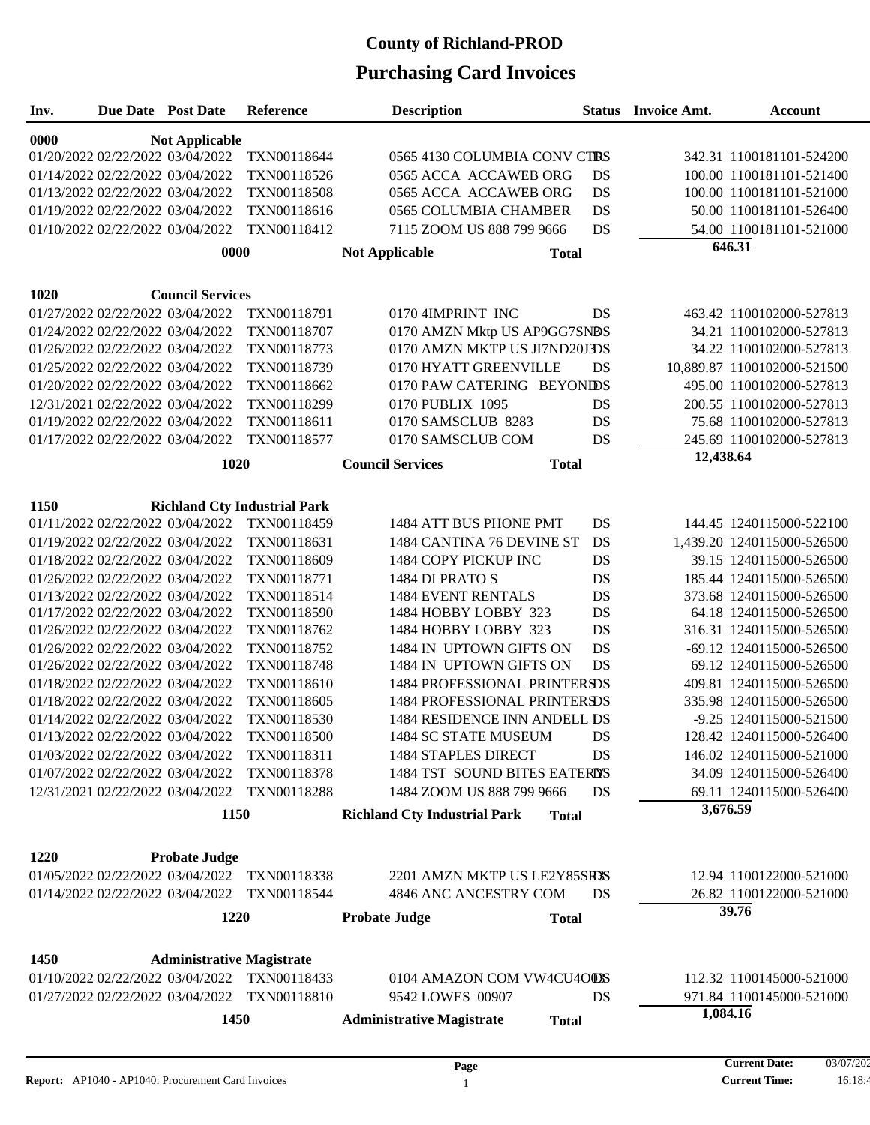| Inv.        | Due Date Post Date |                                  | Reference                                    | <b>Description</b>                                  |           | <b>Status</b> Invoice Amt. | <b>Account</b>              |
|-------------|--------------------|----------------------------------|----------------------------------------------|-----------------------------------------------------|-----------|----------------------------|-----------------------------|
| 0000        |                    | <b>Not Applicable</b>            |                                              |                                                     |           |                            |                             |
|             |                    | 01/20/2022 02/22/2022 03/04/2022 | TXN00118644                                  | 0565 4130 COLUMBIA CONV CTRS                        |           |                            | 342.31 1100181101-524200    |
|             |                    | 01/14/2022 02/22/2022 03/04/2022 | TXN00118526                                  | 0565 ACCA ACCAWEB ORG                               | DS        |                            | 100.00 1100181101-521400    |
|             |                    | 01/13/2022 02/22/2022 03/04/2022 | TXN00118508                                  | 0565 ACCA ACCAWEB ORG                               | DS        |                            | 100.00 1100181101-521000    |
|             |                    | 01/19/2022 02/22/2022 03/04/2022 | TXN00118616                                  | 0565 COLUMBIA CHAMBER                               | <b>DS</b> |                            | 50.00 1100181101-526400     |
|             |                    | 01/10/2022 02/22/2022 03/04/2022 | TXN00118412                                  | 7115 ZOOM US 888 799 9666                           | DS        |                            | 54.00 1100181101-521000     |
|             |                    | 0000                             |                                              | <b>Not Applicable</b><br><b>Total</b>               |           |                            | 646.31                      |
|             |                    |                                  |                                              |                                                     |           |                            |                             |
| <b>1020</b> |                    | <b>Council Services</b>          |                                              |                                                     |           |                            |                             |
|             |                    | 01/27/2022 02/22/2022 03/04/2022 | TXN00118791                                  | 0170 4IMPRINT INC                                   | DS        |                            | 463.42 1100102000-527813    |
|             |                    | 01/24/2022 02/22/2022 03/04/2022 | TXN00118707                                  | 0170 AMZN Mktp US AP9GG7SNBS                        |           |                            | 34.21 1100102000-527813     |
|             |                    | 01/26/2022 02/22/2022 03/04/2022 | TXN00118773                                  | 0170 AMZN MKTP US JI7ND20J3DS                       |           |                            | 34.22 1100102000-527813     |
|             |                    | 01/25/2022 02/22/2022 03/04/2022 | TXN00118739                                  | 0170 HYATT GREENVILLE                               | DS        |                            | 10,889.87 1100102000-521500 |
|             |                    | 01/20/2022 02/22/2022 03/04/2022 | TXN00118662                                  | 0170 PAW CATERING BEYONIDS                          |           |                            | 495.00 1100102000-527813    |
|             |                    | 12/31/2021 02/22/2022 03/04/2022 | TXN00118299                                  | 0170 PUBLIX 1095                                    | DS        |                            | 200.55 1100102000-527813    |
|             |                    | 01/19/2022 02/22/2022 03/04/2022 | TXN00118611                                  | 0170 SAMSCLUB 8283                                  | DS        |                            | 75.68 1100102000-527813     |
|             |                    | 01/17/2022 02/22/2022 03/04/2022 | TXN00118577                                  | 0170 SAMSCLUB COM                                   | DS        |                            | 245.69 1100102000-527813    |
|             |                    | 1020                             |                                              | <b>Council Services</b><br><b>Total</b>             |           | 12,438.64                  |                             |
|             |                    |                                  |                                              |                                                     |           |                            |                             |
| 1150        |                    |                                  | <b>Richland Cty Industrial Park</b>          |                                                     |           |                            |                             |
|             |                    | 01/11/2022 02/22/2022 03/04/2022 | TXN00118459                                  | 1484 ATT BUS PHONE PMT                              | DS        |                            | 144.45 1240115000-522100    |
|             |                    | 01/19/2022 02/22/2022 03/04/2022 | TXN00118631                                  | 1484 CANTINA 76 DEVINE ST                           | DS        |                            | 1,439.20 1240115000-526500  |
|             |                    | 01/18/2022 02/22/2022 03/04/2022 | TXN00118609                                  | 1484 COPY PICKUP INC                                | DS        |                            | 39.15 1240115000-526500     |
|             |                    | 01/26/2022 02/22/2022 03/04/2022 | TXN00118771                                  | 1484 DI PRATO S                                     | DS        |                            | 185.44 1240115000-526500    |
|             |                    | 01/13/2022 02/22/2022 03/04/2022 | TXN00118514                                  | <b>1484 EVENT RENTALS</b>                           | DS        |                            | 373.68 1240115000-526500    |
|             |                    | 01/17/2022 02/22/2022 03/04/2022 | TXN00118590                                  | 1484 HOBBY LOBBY 323                                | DS        |                            | 64.18 1240115000-526500     |
|             |                    | 01/26/2022 02/22/2022 03/04/2022 | TXN00118762                                  | 1484 HOBBY LOBBY 323                                | DS        |                            | 316.31 1240115000-526500    |
|             |                    | 01/26/2022 02/22/2022 03/04/2022 | TXN00118752                                  | 1484 IN UPTOWN GIFTS ON                             | DS        |                            | -69.12 1240115000-526500    |
|             |                    | 01/26/2022 02/22/2022 03/04/2022 | TXN00118748                                  | 1484 IN UPTOWN GIFTS ON                             | DS        |                            | 69.12 1240115000-526500     |
|             |                    | 01/18/2022 02/22/2022 03/04/2022 | TXN00118610                                  | 1484 PROFESSIONAL PRINTERSDS                        |           |                            | 409.81 1240115000-526500    |
|             |                    | 01/18/2022 02/22/2022 03/04/2022 | TXN00118605                                  | 1484 PROFESSIONAL PRINTERSDS                        |           |                            | 335.98 1240115000-526500    |
|             |                    | 01/14/2022 02/22/2022 03/04/2022 | TXN00118530                                  | 1484 RESIDENCE INN ANDELL DS                        |           |                            | -9.25 1240115000-521500     |
|             |                    | 01/13/2022 02/22/2022 03/04/2022 | TXN00118500                                  | 1484 SC STATE MUSEUM                                | - DS      |                            | 128.42 1240115000-526400    |
|             |                    |                                  | 01/03/2022 02/22/2022 03/04/2022 TXN00118311 | <b>1484 STAPLES DIRECT</b>                          | DS        |                            | 146.02 1240115000-521000    |
|             |                    | 01/07/2022 02/22/2022 03/04/2022 | TXN00118378                                  | 1484 TST SOUND BITES EATERDS                        |           |                            | 34.09 1240115000-526400     |
|             |                    |                                  | 12/31/2021 02/22/2022 03/04/2022 TXN00118288 | 1484 ZOOM US 888 799 9666                           | DS        |                            | 69.11 1240115000-526400     |
|             |                    | 1150                             |                                              | <b>Richland Cty Industrial Park</b><br><b>Total</b> |           | 3,676.59                   |                             |
|             |                    |                                  |                                              |                                                     |           |                            |                             |
| 1220        |                    | <b>Probate Judge</b>             |                                              |                                                     |           |                            |                             |
|             |                    |                                  | 01/05/2022 02/22/2022 03/04/2022 TXN00118338 | 2201 AMZN MKTP US LE2Y85SRXS                        |           |                            | 12.94 1100122000-521000     |
|             |                    |                                  | 01/14/2022 02/22/2022 03/04/2022 TXN00118544 | 4846 ANC ANCESTRY COM                               | DS        |                            | 26.82 1100122000-521000     |
|             |                    | 1220                             |                                              | <b>Probate Judge</b><br><b>Total</b>                |           |                            | 39.76                       |
|             |                    |                                  |                                              |                                                     |           |                            |                             |
| 1450        |                    | <b>Administrative Magistrate</b> |                                              |                                                     |           |                            |                             |
|             |                    |                                  | 01/10/2022 02/22/2022 03/04/2022 TXN00118433 | 0104 AMAZON COM VW4CU4ODS                           |           |                            | 112.32 1100145000-521000    |
|             |                    |                                  | 01/27/2022 02/22/2022 03/04/2022 TXN00118810 | 9542 LOWES 00907                                    | DS        |                            | 971.84 1100145000-521000    |
|             |                    | 1450                             |                                              | <b>Administrative Magistrate</b>                    |           | 1,084.16                   |                             |
|             |                    |                                  |                                              | <b>Total</b>                                        |           |                            |                             |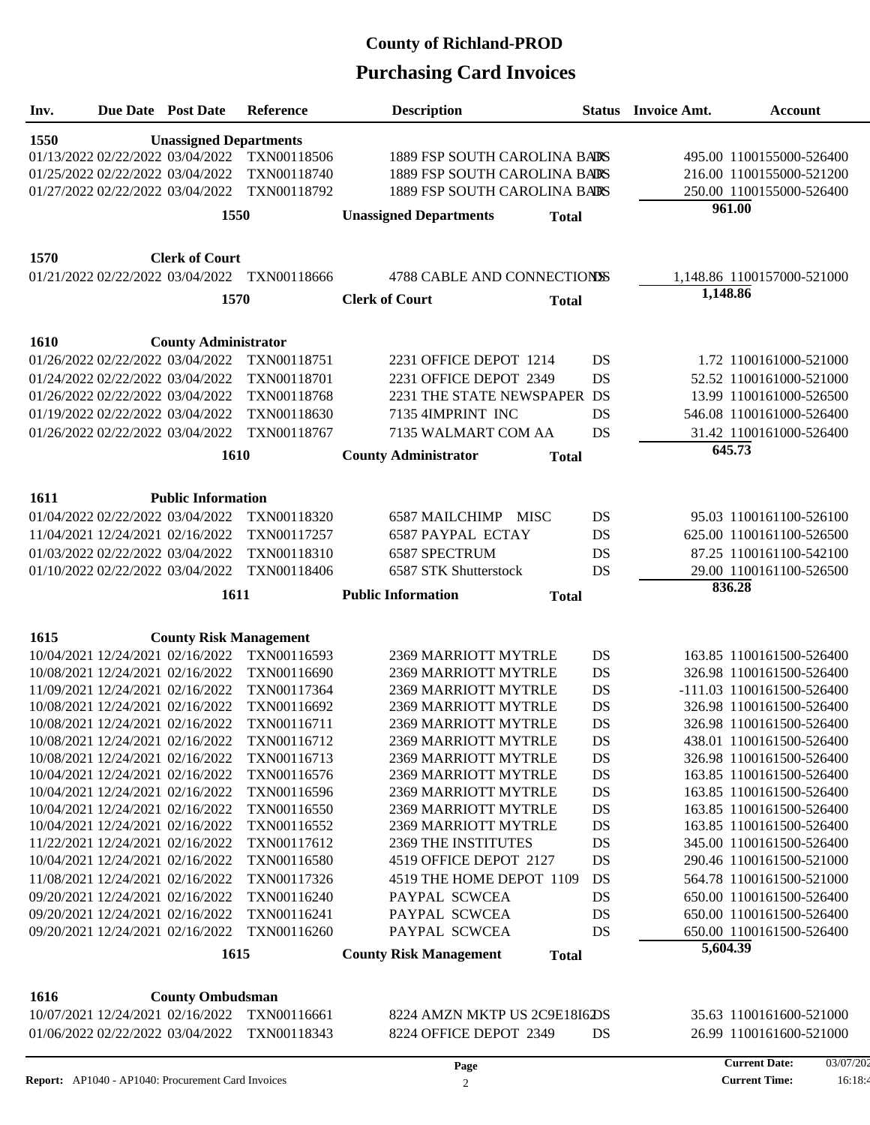| Inv.                             | <b>Due Date</b> Post Date     | Reference                                    | <b>Description</b>                            | Status    | <b>Invoice Amt.</b> | <b>Account</b>             |
|----------------------------------|-------------------------------|----------------------------------------------|-----------------------------------------------|-----------|---------------------|----------------------------|
|                                  |                               |                                              |                                               |           |                     |                            |
| 1550                             | <b>Unassigned Departments</b> |                                              |                                               |           |                     |                            |
| 01/13/2022 02/22/2022 03/04/2022 |                               | TXN00118506                                  | 1889 FSP SOUTH CAROLINA BARS                  |           |                     | 495.00 1100155000-526400   |
| 01/25/2022 02/22/2022 03/04/2022 |                               | TXN00118740                                  | 1889 FSP SOUTH CAROLINA BARS                  |           |                     | 216.00 1100155000-521200   |
| 01/27/2022 02/22/2022 03/04/2022 |                               | TXN00118792                                  | 1889 FSP SOUTH CAROLINA BARS                  |           |                     | 250.00 1100155000-526400   |
|                                  | 1550                          |                                              | <b>Unassigned Departments</b><br><b>Total</b> |           | 961.00              |                            |
|                                  |                               |                                              |                                               |           |                     |                            |
| 1570                             | <b>Clerk of Court</b>         |                                              |                                               |           |                     |                            |
| 01/21/2022 02/22/2022 03/04/2022 |                               | TXN00118666                                  | 4788 CABLE AND CONNECTIONSS                   |           |                     | 1,148.86 1100157000-521000 |
|                                  |                               |                                              |                                               |           | 1,148.86            |                            |
|                                  | 1570                          |                                              | <b>Clerk of Court</b><br><b>Total</b>         |           |                     |                            |
|                                  |                               |                                              |                                               |           |                     |                            |
| <b>1610</b>                      | <b>County Administrator</b>   |                                              |                                               |           |                     |                            |
| 01/26/2022 02/22/2022 03/04/2022 |                               | TXN00118751                                  | 2231 OFFICE DEPOT 1214                        | DS        |                     | 1.72 1100161000-521000     |
| 01/24/2022 02/22/2022 03/04/2022 |                               | TXN00118701                                  | 2231 OFFICE DEPOT 2349                        | DS        |                     | 52.52 1100161000-521000    |
| 01/26/2022 02/22/2022 03/04/2022 |                               | TXN00118768                                  | 2231 THE STATE NEWSPAPER DS                   |           |                     | 13.99 1100161000-526500    |
| 01/19/2022 02/22/2022 03/04/2022 |                               | TXN00118630                                  | 7135 4IMPRINT INC                             | DS        |                     | 546.08 1100161000-526400   |
| 01/26/2022 02/22/2022 03/04/2022 |                               | TXN00118767                                  | 7135 WALMART COM AA                           | <b>DS</b> |                     | 31.42 1100161000-526400    |
|                                  |                               |                                              |                                               |           |                     | 645.73                     |
|                                  | 1610                          |                                              | <b>County Administrator</b><br><b>Total</b>   |           |                     |                            |
|                                  |                               |                                              |                                               |           |                     |                            |
| 1611                             | <b>Public Information</b>     |                                              |                                               |           |                     |                            |
| 01/04/2022 02/22/2022 03/04/2022 |                               | TXN00118320                                  | 6587 MAILCHIMP MISC                           | DS        |                     | 95.03 1100161100-526100    |
| 11/04/2021 12/24/2021 02/16/2022 |                               | TXN00117257                                  | <b>6587 PAYPAL ECTAY</b>                      | DS        |                     | 625.00 1100161100-526500   |
| 01/03/2022 02/22/2022 03/04/2022 |                               | TXN00118310                                  | 6587 SPECTRUM                                 | <b>DS</b> |                     | 87.25 1100161100-542100    |
| 01/10/2022 02/22/2022 03/04/2022 |                               | TXN00118406                                  | 6587 STK Shutterstock                         | DS        |                     | 29.00 1100161100-526500    |
|                                  |                               |                                              |                                               |           |                     |                            |
|                                  | 1611                          |                                              | <b>Public Information</b>                     |           | 836.28              |                            |
|                                  |                               |                                              | <b>Total</b>                                  |           |                     |                            |
|                                  |                               |                                              |                                               |           |                     |                            |
| 1615                             | <b>County Risk Management</b> |                                              |                                               |           |                     |                            |
| 10/04/2021 12/24/2021 02/16/2022 |                               | TXN00116593                                  | 2369 MARRIOTT MYTRLE                          | DS        |                     | 163.85 1100161500-526400   |
| 10/08/2021 12/24/2021 02/16/2022 |                               | TXN00116690                                  | 2369 MARRIOTT MYTRLE                          | DS        |                     | 326.98 1100161500-526400   |
| 11/09/2021 12/24/2021 02/16/2022 |                               | TXN00117364                                  | 2369 MARRIOTT MYTRLE                          | DS        |                     | -111.03 1100161500-526400  |
| 10/08/2021 12/24/2021 02/16/2022 |                               | TXN00116692                                  | 2369 MARRIOTT MYTRLE                          | DS        |                     | 326.98 1100161500-526400   |
| 10/08/2021 12/24/2021 02/16/2022 |                               | TXN00116711                                  | 2369 MARRIOTT MYTRLE                          | DS        |                     | 326.98 1100161500-526400   |
| 10/08/2021 12/24/2021 02/16/2022 |                               | TXN00116712                                  | 2369 MARRIOTT MYTRLE                          | DS        |                     | 438.01 1100161500-526400   |
| 10/08/2021 12/24/2021 02/16/2022 |                               | TXN00116713                                  | 2369 MARRIOTT MYTRLE                          | DS        |                     | 326.98 1100161500-526400   |
| 10/04/2021 12/24/2021 02/16/2022 |                               | TXN00116576                                  | 2369 MARRIOTT MYTRLE                          | DS        |                     | 163.85 1100161500-526400   |
| 10/04/2021 12/24/2021 02/16/2022 |                               | TXN00116596                                  | 2369 MARRIOTT MYTRLE                          | DS        |                     | 163.85 1100161500-526400   |
| 10/04/2021 12/24/2021 02/16/2022 |                               | TXN00116550                                  | 2369 MARRIOTT MYTRLE                          | DS        |                     | 163.85 1100161500-526400   |
| 10/04/2021 12/24/2021 02/16/2022 |                               | TXN00116552                                  | 2369 MARRIOTT MYTRLE                          | DS        |                     | 163.85 1100161500-526400   |
| 11/22/2021 12/24/2021 02/16/2022 |                               | TXN00117612                                  | 2369 THE INSTITUTES                           | DS        |                     | 345.00 1100161500-526400   |
| 10/04/2021 12/24/2021 02/16/2022 |                               | TXN00116580                                  | 4519 OFFICE DEPOT 2127                        | DS        |                     | 290.46 1100161500-521000   |
| 11/08/2021 12/24/2021 02/16/2022 |                               | TXN00117326                                  | 4519 THE HOME DEPOT 1109                      | DS        |                     | 564.78 1100161500-521000   |
| 09/20/2021 12/24/2021 02/16/2022 |                               | TXN00116240                                  | PAYPAL SCWCEA                                 | DS        |                     | 650.00 1100161500-526400   |
| 09/20/2021 12/24/2021 02/16/2022 |                               | TXN00116241                                  | PAYPAL SCWCEA                                 | DS        |                     | 650.00 1100161500-526400   |
| 09/20/2021 12/24/2021 02/16/2022 |                               | TXN00116260                                  | PAYPAL SCWCEA                                 | DS        |                     | 650.00 1100161500-526400   |
|                                  | 1615                          |                                              | <b>County Risk Management</b><br><b>Total</b> |           | 5,604.39            |                            |
|                                  |                               |                                              |                                               |           |                     |                            |
| 1616                             | <b>County Ombudsman</b>       |                                              |                                               |           |                     |                            |
|                                  |                               | 10/07/2021 12/24/2021 02/16/2022 TXN00116661 | 8224 AMZN MKTP US 2C9E18I6DS                  |           |                     | 35.63 1100161600-521000    |
| 01/06/2022 02/22/2022 03/04/2022 |                               | TXN00118343                                  | 8224 OFFICE DEPOT 2349                        | DS        |                     | 26.99 1100161600-521000    |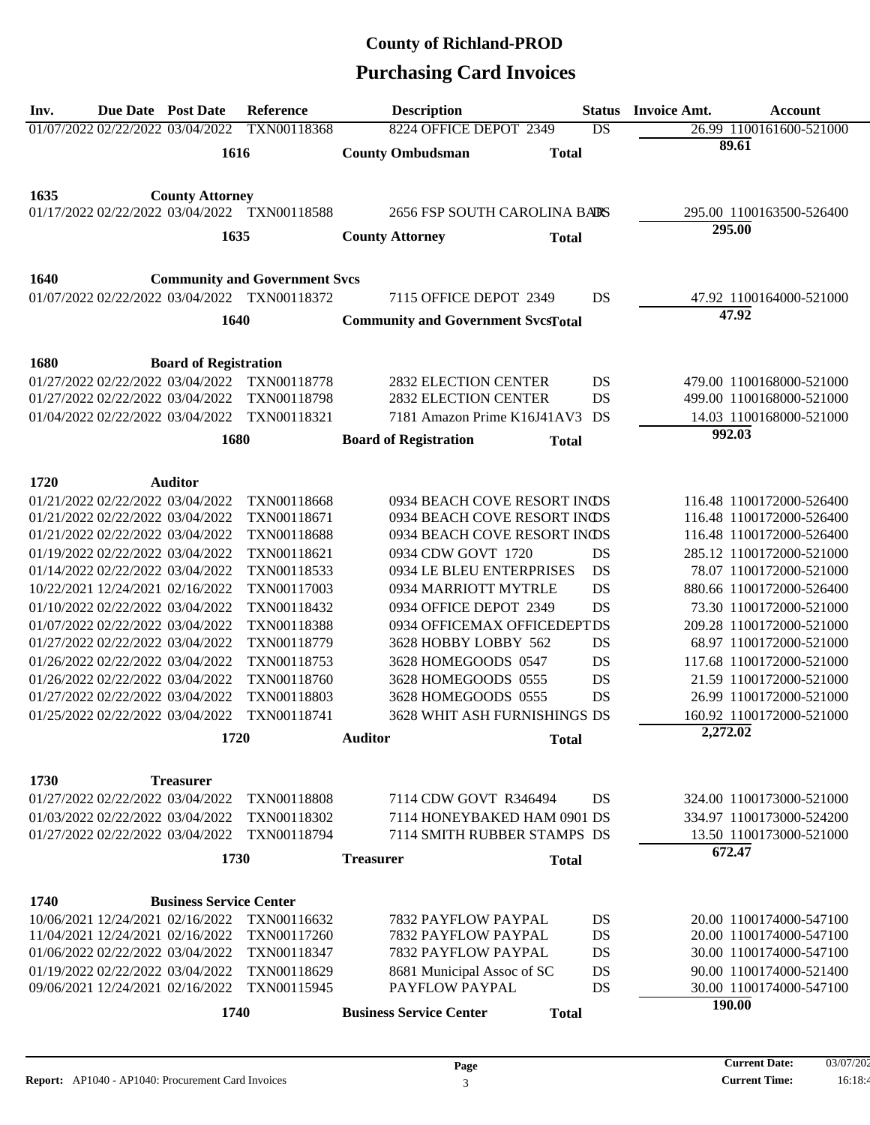| Inv. | Due Date Post Date               |                                                      | Reference                                    | <b>Description</b>                                   |              | <b>Status</b> | <b>Invoice Amt.</b> | <b>Account</b>                                       |
|------|----------------------------------|------------------------------------------------------|----------------------------------------------|------------------------------------------------------|--------------|---------------|---------------------|------------------------------------------------------|
|      |                                  | 01/07/2022 02/22/2022 03/04/2022                     | TXN00118368                                  | 8224 OFFICE DEPOT 2349                               |              | DS            |                     | 26.99 1100161600-521000                              |
|      |                                  | 1616                                                 |                                              | <b>County Ombudsman</b>                              | <b>Total</b> |               | 89.61               |                                                      |
|      |                                  |                                                      |                                              |                                                      |              |               |                     |                                                      |
| 1635 |                                  | <b>County Attorney</b>                               |                                              |                                                      |              |               |                     |                                                      |
|      |                                  |                                                      | 01/17/2022 02/22/2022 03/04/2022 TXN00118588 | 2656 FSP SOUTH CAROLINA BARS                         |              |               |                     | 295.00 1100163500-526400                             |
|      |                                  | 1635                                                 |                                              | <b>County Attorney</b>                               |              |               | 295.00              |                                                      |
|      |                                  |                                                      |                                              |                                                      | <b>Total</b> |               |                     |                                                      |
| 1640 |                                  |                                                      | <b>Community and Government Svcs</b>         |                                                      |              |               |                     |                                                      |
|      |                                  |                                                      | 01/07/2022 02/22/2022 03/04/2022 TXN00118372 | 7115 OFFICE DEPOT 2349                               |              | DS            |                     | 47.92 1100164000-521000                              |
|      |                                  |                                                      |                                              |                                                      |              |               | 47.92               |                                                      |
|      |                                  | 1640                                                 |                                              | <b>Community and Government SvcsTotal</b>            |              |               |                     |                                                      |
| 1680 |                                  | <b>Board of Registration</b>                         |                                              |                                                      |              |               |                     |                                                      |
|      |                                  | 01/27/2022 02/22/2022 03/04/2022                     | TXN00118778                                  | <b>2832 ELECTION CENTER</b>                          |              | DS            |                     | 479.00 1100168000-521000                             |
|      |                                  | 01/27/2022 02/22/2022 03/04/2022                     | TXN00118798                                  | <b>2832 ELECTION CENTER</b>                          |              | DS            |                     | 499.00 1100168000-521000                             |
|      |                                  | 01/04/2022 02/22/2022 03/04/2022                     | TXN00118321                                  | 7181 Amazon Prime K16J41AV3 DS                       |              |               |                     | 14.03 1100168000-521000                              |
|      |                                  | 1680                                                 |                                              | <b>Board of Registration</b>                         | <b>Total</b> |               | 992.03              |                                                      |
|      |                                  |                                                      |                                              |                                                      |              |               |                     |                                                      |
| 1720 |                                  | <b>Auditor</b>                                       |                                              |                                                      |              |               |                     |                                                      |
|      |                                  | 01/21/2022 02/22/2022 03/04/2022                     | TXN00118668                                  | 0934 BEACH COVE RESORT INDS                          |              |               |                     | 116.48 1100172000-526400                             |
|      |                                  | 01/21/2022 02/22/2022 03/04/2022                     | TXN00118671                                  | 0934 BEACH COVE RESORT INDS                          |              |               |                     | 116.48 1100172000-526400                             |
|      |                                  | 01/21/2022 02/22/2022 03/04/2022                     | TXN00118688                                  | 0934 BEACH COVE RESORT INDS                          |              |               |                     | 116.48 1100172000-526400                             |
|      |                                  | 01/19/2022 02/22/2022 03/04/2022                     | TXN00118621                                  | 0934 CDW GOVT 1720                                   |              | DS            |                     | 285.12 1100172000-521000                             |
|      |                                  | 01/14/2022 02/22/2022 03/04/2022                     | TXN00118533                                  | 0934 LE BLEU ENTERPRISES                             |              | DS            |                     | 78.07 1100172000-521000                              |
|      | 10/22/2021 12/24/2021 02/16/2022 |                                                      | TXN00117003                                  | 0934 MARRIOTT MYTRLE                                 |              | DS            |                     | 880.66 1100172000-526400                             |
|      | 01/10/2022 02/22/2022 03/04/2022 |                                                      | TXN00118432                                  | 0934 OFFICE DEPOT 2349                               |              | DS            |                     | 73.30 1100172000-521000                              |
|      |                                  | 01/07/2022 02/22/2022 03/04/2022                     | TXN00118388                                  | 0934 OFFICEMAX OFFICEDEPTDS                          |              |               |                     | 209.28 1100172000-521000                             |
|      |                                  | 01/27/2022 02/22/2022 03/04/2022                     | TXN00118779                                  | 3628 HOBBY LOBBY 562                                 |              | DS            |                     | 68.97 1100172000-521000                              |
|      |                                  | 01/26/2022 02/22/2022 03/04/2022                     | TXN00118753                                  | 3628 HOMEGOODS 0547                                  |              | DS            |                     | 117.68 1100172000-521000                             |
|      |                                  | 01/26/2022 02/22/2022 03/04/2022                     | TXN00118760                                  | 3628 HOMEGOODS 0555                                  |              | DS            |                     | 21.59 1100172000-521000                              |
|      |                                  | 01/27/2022 02/22/2022 03/04/2022                     | TXN00118803<br>TXN00118741                   | 3628 HOMEGOODS 0555                                  |              | DS            |                     | 26.99 1100172000-521000<br>160.92 1100172000-521000  |
|      |                                  | 01/25/2022 02/22/2022 03/04/2022                     |                                              | 3628 WHIT ASH FURNISHINGS DS                         |              |               | 2,272.02            |                                                      |
|      |                                  | 1720                                                 |                                              | <b>Auditor</b>                                       | <b>Total</b> |               |                     |                                                      |
|      |                                  |                                                      |                                              |                                                      |              |               |                     |                                                      |
| 1730 |                                  | <b>Treasurer</b><br>01/27/2022 02/22/2022 03/04/2022 |                                              |                                                      |              | DS            |                     |                                                      |
|      |                                  | 01/03/2022 02/22/2022 03/04/2022                     | TXN00118808<br>TXN00118302                   | 7114 CDW GOVT R346494<br>7114 HONEYBAKED HAM 0901 DS |              |               |                     | 324.00 1100173000-521000<br>334.97 1100173000-524200 |
|      |                                  | 01/27/2022 02/22/2022 03/04/2022                     | TXN00118794                                  | 7114 SMITH RUBBER STAMPS DS                          |              |               |                     | 13.50 1100173000-521000                              |
|      |                                  |                                                      |                                              |                                                      |              |               | 672.47              |                                                      |
|      |                                  | 1730                                                 |                                              | <b>Treasurer</b>                                     | <b>Total</b> |               |                     |                                                      |
| 1740 |                                  | <b>Business Service Center</b>                       |                                              |                                                      |              |               |                     |                                                      |
|      |                                  | 10/06/2021 12/24/2021 02/16/2022                     | TXN00116632                                  | 7832 PAYFLOW PAYPAL                                  |              | DS            |                     | 20.00 1100174000-547100                              |
|      |                                  | 11/04/2021 12/24/2021 02/16/2022                     | TXN00117260                                  | 7832 PAYFLOW PAYPAL                                  |              | DS            |                     | 20.00 1100174000-547100                              |
|      |                                  | 01/06/2022 02/22/2022 03/04/2022                     | TXN00118347                                  | 7832 PAYFLOW PAYPAL                                  |              | DS            |                     | 30.00 1100174000-547100                              |
|      |                                  | 01/19/2022 02/22/2022 03/04/2022                     | TXN00118629                                  | 8681 Municipal Assoc of SC                           |              | DS            |                     | 90.00 1100174000-521400                              |
|      |                                  | 09/06/2021 12/24/2021 02/16/2022                     | TXN00115945                                  | PAYFLOW PAYPAL                                       |              | DS            |                     | 30.00 1100174000-547100                              |
|      |                                  | 1740                                                 |                                              | <b>Business Service Center</b>                       | <b>Total</b> |               | 190.00              |                                                      |
|      |                                  |                                                      |                                              |                                                      |              |               |                     |                                                      |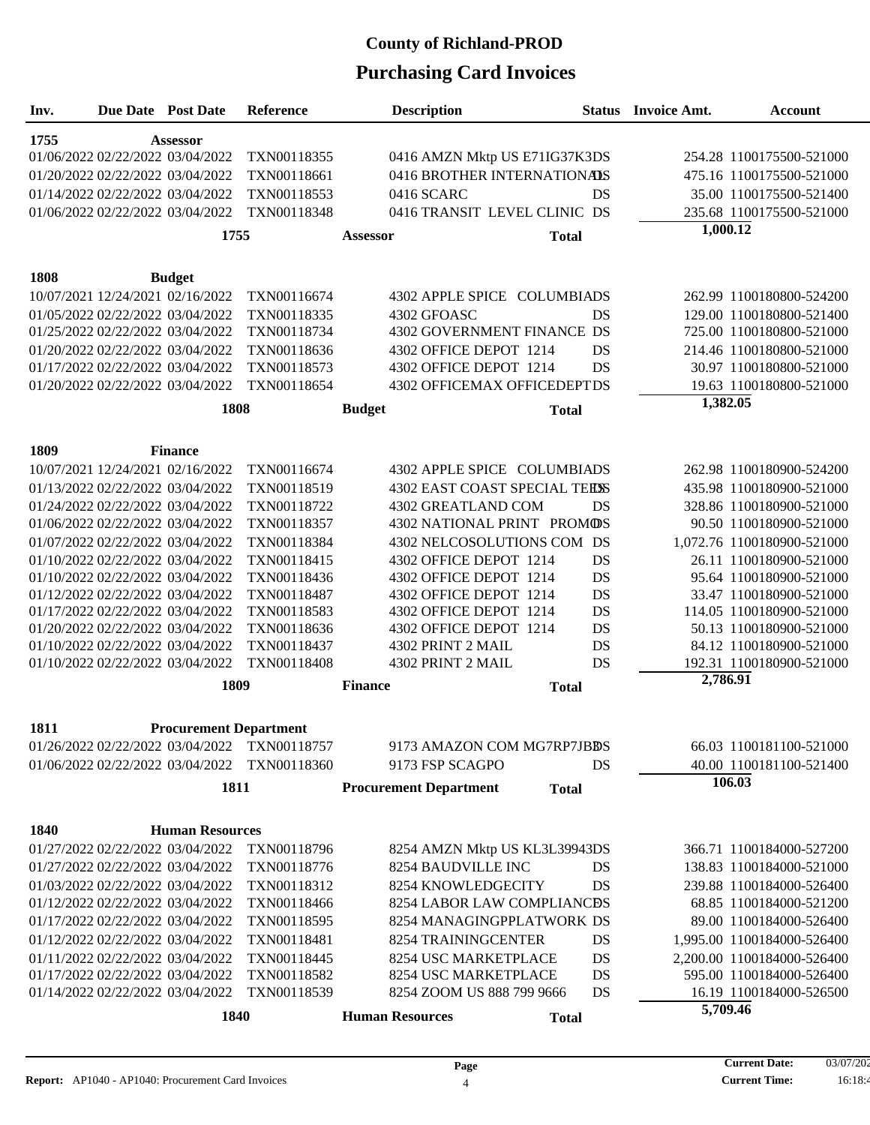| Inv. |                                                                      | <b>Due Date Post Date</b>     | Reference                  | <b>Description</b>                     | <b>Status</b> | <b>Invoice Amt.</b> | <b>Account</b>                                      |
|------|----------------------------------------------------------------------|-------------------------------|----------------------------|----------------------------------------|---------------|---------------------|-----------------------------------------------------|
| 1755 |                                                                      | <b>Assessor</b>               |                            |                                        |               |                     |                                                     |
|      | 01/06/2022 02/22/2022 03/04/2022                                     |                               | TXN00118355                | 0416 AMZN Mktp US E71IG37K3DS          |               |                     | 254.28 1100175500-521000                            |
|      | 01/20/2022 02/22/2022 03/04/2022                                     |                               | TXN00118661                | 0416 BROTHER INTERNATIONALS            |               |                     | 475.16 1100175500-521000                            |
|      | 01/14/2022 02/22/2022 03/04/2022                                     |                               | TXN00118553                | 0416 SCARC                             | <b>DS</b>     |                     | 35.00 1100175500-521400                             |
|      | 01/06/2022 02/22/2022 03/04/2022                                     |                               | TXN00118348                | 0416 TRANSIT LEVEL CLINIC DS           |               |                     | 235.68 1100175500-521000                            |
|      |                                                                      | 1755                          |                            | <b>Assessor</b>                        |               | 1,000.12            |                                                     |
|      |                                                                      |                               |                            |                                        | <b>Total</b>  |                     |                                                     |
| 1808 |                                                                      | <b>Budget</b>                 |                            |                                        |               |                     |                                                     |
|      | 10/07/2021 12/24/2021 02/16/2022                                     |                               | TXN00116674                | 4302 APPLE SPICE COLUMBIADS            |               |                     | 262.99 1100180800-524200                            |
|      | 01/05/2022 02/22/2022 03/04/2022                                     |                               | TXN00118335                | 4302 GFOASC                            | DS            |                     | 129.00 1100180800-521400                            |
|      | 01/25/2022 02/22/2022 03/04/2022                                     |                               | TXN00118734                | 4302 GOVERNMENT FINANCE DS             |               |                     | 725.00 1100180800-521000                            |
|      | 01/20/2022 02/22/2022 03/04/2022                                     |                               | TXN00118636                | 4302 OFFICE DEPOT 1214                 | DS            |                     | 214.46 1100180800-521000                            |
|      | 01/17/2022 02/22/2022 03/04/2022                                     |                               | TXN00118573                | 4302 OFFICE DEPOT 1214                 | DS            |                     | 30.97 1100180800-521000                             |
|      | 01/20/2022 02/22/2022 03/04/2022                                     |                               | TXN00118654                | 4302 OFFICEMAX OFFICEDEPTDS            |               |                     | 19.63 1100180800-521000                             |
|      |                                                                      | 1808                          |                            | <b>Budget</b>                          | <b>Total</b>  | 1,382.05            |                                                     |
|      |                                                                      |                               |                            |                                        |               |                     |                                                     |
| 1809 |                                                                      | <b>Finance</b>                |                            |                                        |               |                     |                                                     |
|      | 10/07/2021 12/24/2021 02/16/2022                                     |                               | TXN00116674                | 4302 APPLE SPICE COLUMBIADS            |               |                     | 262.98 1100180900-524200                            |
|      | 01/13/2022 02/22/2022 03/04/2022                                     |                               | TXN00118519                | <b>4302 EAST COAST SPECIAL TEESS</b>   |               |                     | 435.98 1100180900-521000                            |
|      | 01/24/2022 02/22/2022 03/04/2022                                     |                               | TXN00118722                | 4302 GREATLAND COM                     | DS            |                     | 328.86 1100180900-521000                            |
|      | 01/06/2022 02/22/2022 03/04/2022                                     |                               | TXN00118357                | 4302 NATIONAL PRINT PROMOS             |               |                     | 90.50 1100180900-521000                             |
|      | 01/07/2022 02/22/2022 03/04/2022                                     |                               | TXN00118384                | 4302 NELCOSOLUTIONS COM DS             |               |                     | 1,072.76 1100180900-521000                          |
|      | 01/10/2022 02/22/2022 03/04/2022                                     |                               | TXN00118415                | 4302 OFFICE DEPOT 1214                 | DS            |                     | 26.11 1100180900-521000                             |
|      | 01/10/2022 02/22/2022 03/04/2022                                     |                               | TXN00118436                | 4302 OFFICE DEPOT 1214                 | DS            |                     | 95.64 1100180900-521000                             |
|      | 01/12/2022 02/22/2022 03/04/2022                                     |                               | TXN00118487                | 4302 OFFICE DEPOT 1214                 | DS            |                     | 33.47 1100180900-521000                             |
|      | 01/17/2022 02/22/2022 03/04/2022                                     |                               | TXN00118583                | 4302 OFFICE DEPOT 1214                 | DS            |                     | 114.05 1100180900-521000                            |
|      | 01/20/2022 02/22/2022 03/04/2022                                     |                               | TXN00118636                | 4302 OFFICE DEPOT 1214                 | DS            |                     | 50.13 1100180900-521000                             |
|      | 01/10/2022 02/22/2022 03/04/2022<br>01/10/2022 02/22/2022 03/04/2022 |                               | TXN00118437<br>TXN00118408 | 4302 PRINT 2 MAIL<br>4302 PRINT 2 MAIL | DS<br>DS      |                     | 84.12 1100180900-521000<br>192.31 1100180900-521000 |
|      |                                                                      |                               |                            |                                        |               | 2,786.91            |                                                     |
|      |                                                                      | 1809                          |                            | <b>Finance</b>                         | <b>Total</b>  |                     |                                                     |
| 1811 |                                                                      | <b>Procurement Department</b> |                            |                                        |               |                     |                                                     |
|      | 01/26/2022 02/22/2022 03/04/2022                                     |                               | TXN00118757                | 9173 AMAZON COM MG7RP7JBBS             |               |                     | 66.03 1100181100-521000                             |
|      | 01/06/2022 02/22/2022 03/04/2022                                     |                               | TXN00118360                | 9173 FSP SCAGPO                        | DS            |                     | 40.00 1100181100-521400                             |
|      |                                                                      | 1811                          |                            | <b>Procurement Department</b>          | <b>Total</b>  |                     | 106.03                                              |
|      |                                                                      |                               |                            |                                        |               |                     |                                                     |
| 1840 |                                                                      | <b>Human Resources</b>        |                            |                                        |               |                     |                                                     |
|      | 01/27/2022 02/22/2022 03/04/2022                                     |                               | TXN00118796                | 8254 AMZN Mktp US KL3L39943DS          |               |                     | 366.71 1100184000-527200                            |
|      | 01/27/2022 02/22/2022 03/04/2022                                     |                               | TXN00118776                | 8254 BAUDVILLE INC                     | DS            |                     | 138.83 1100184000-521000                            |
|      | 01/03/2022 02/22/2022 03/04/2022                                     |                               | TXN00118312                | 8254 KNOWLEDGECITY                     | DS            |                     | 239.88 1100184000-526400                            |
|      | 01/12/2022 02/22/2022 03/04/2022                                     |                               | TXN00118466                | 8254 LABOR LAW COMPLIANCES             |               |                     | 68.85 1100184000-521200                             |
|      | 01/17/2022 02/22/2022 03/04/2022                                     |                               | TXN00118595                | 8254 MANAGINGPPLATWORK DS              |               |                     | 89.00 1100184000-526400                             |
|      | 01/12/2022 02/22/2022 03/04/2022                                     |                               | TXN00118481                | 8254 TRAININGCENTER                    | DS            |                     | 1,995.00 1100184000-526400                          |
|      | 01/11/2022 02/22/2022 03/04/2022                                     |                               | TXN00118445                | 8254 USC MARKETPLACE                   | DS            |                     | 2,200.00 1100184000-526400                          |
|      | 01/17/2022 02/22/2022 03/04/2022                                     |                               | TXN00118582                | 8254 USC MARKETPLACE                   | DS            |                     | 595.00 1100184000-526400                            |
|      | 01/14/2022 02/22/2022 03/04/2022                                     |                               | TXN00118539                | 8254 ZOOM US 888 799 9666              | DS            |                     | 16.19 1100184000-526500                             |
|      |                                                                      | 1840                          |                            | <b>Human Resources</b>                 | <b>Total</b>  | 5,709.46            |                                                     |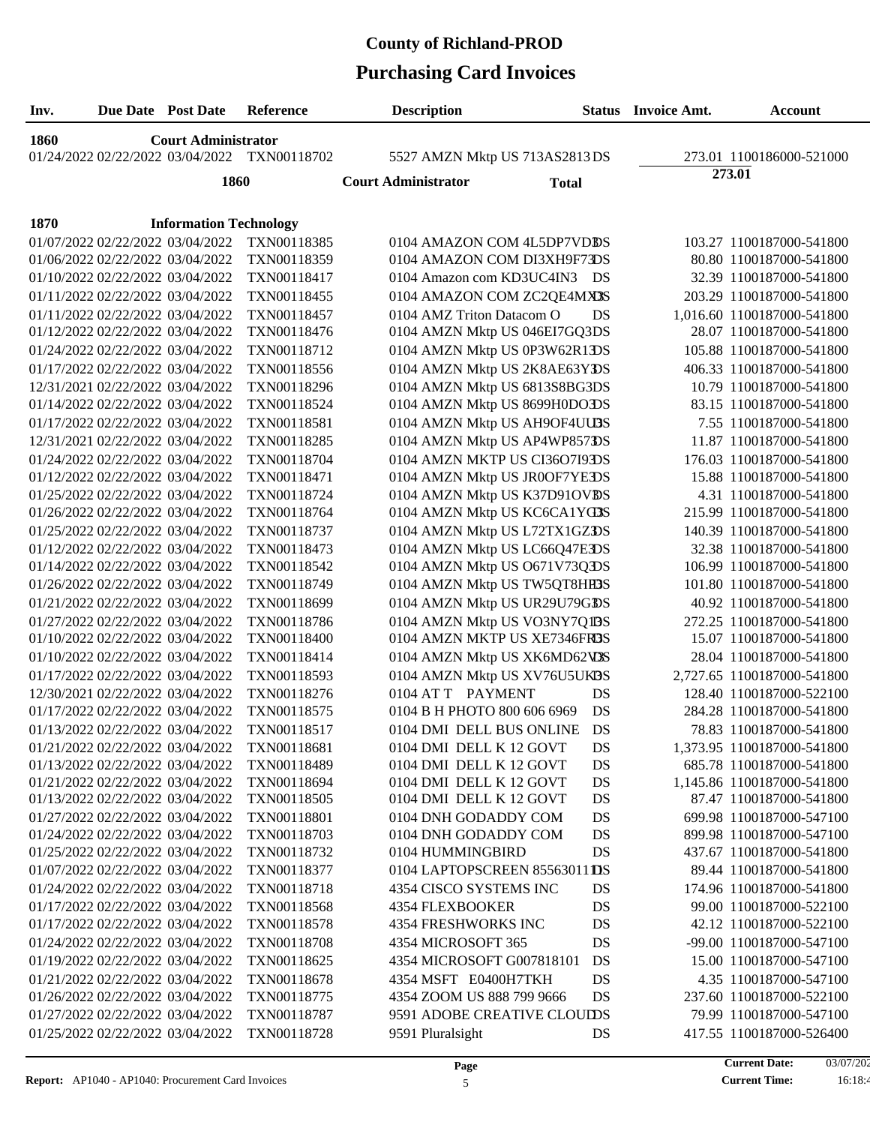| Inv.        | <b>Due Date</b> Post Date        | <b>Reference</b>                             | <b>Description</b>                         |    | <b>Status</b> Invoice Amt. | <b>Account</b>             |
|-------------|----------------------------------|----------------------------------------------|--------------------------------------------|----|----------------------------|----------------------------|
| <b>1860</b> | <b>Court Administrator</b>       |                                              |                                            |    |                            |                            |
|             |                                  | 01/24/2022 02/22/2022 03/04/2022 TXN00118702 | 5527 AMZN Mktp US 713AS2813DS              |    |                            | 273.01 1100186000-521000   |
|             | 1860                             |                                              | <b>Court Administrator</b><br><b>Total</b> |    |                            | 273.01                     |
|             |                                  |                                              |                                            |    |                            |                            |
| 1870        | <b>Information Technology</b>    |                                              |                                            |    |                            |                            |
|             | 01/07/2022 02/22/2022 03/04/2022 | TXN00118385                                  | 0104 AMAZON COM 4L5DP7VDDS                 |    |                            | 103.27 1100187000-541800   |
|             | 01/06/2022 02/22/2022 03/04/2022 | TXN00118359                                  | 0104 AMAZON COM DI3XH9F73DS                |    |                            | 80.80 1100187000-541800    |
|             | 01/10/2022 02/22/2022 03/04/2022 | TXN00118417                                  | 0104 Amazon com KD3UC4IN3 DS               |    |                            | 32.39 1100187000-541800    |
|             | 01/11/2022 02/22/2022 03/04/2022 | TXN00118455                                  | 0104 AMAZON COM ZC2QE4MXXS                 |    |                            | 203.29 1100187000-541800   |
|             | 01/11/2022 02/22/2022 03/04/2022 | TXN00118457                                  | 0104 AMZ Triton Datacom O                  | DS |                            | 1,016.60 1100187000-541800 |
|             | 01/12/2022 02/22/2022 03/04/2022 | TXN00118476                                  | 0104 AMZN Mktp US 046EI7GQ3DS              |    |                            | 28.07 1100187000-541800    |
|             | 01/24/2022 02/22/2022 03/04/2022 | TXN00118712                                  | 0104 AMZN Mktp US 0P3W62R13DS              |    |                            | 105.88 1100187000-541800   |
|             | 01/17/2022 02/22/2022 03/04/2022 | TXN00118556                                  | 0104 AMZN Mktp US 2K8AE63YDS               |    |                            | 406.33 1100187000-541800   |
|             | 12/31/2021 02/22/2022 03/04/2022 | TXN00118296                                  | 0104 AMZN Mktp US 6813S8BG3DS              |    |                            | 10.79 1100187000-541800    |
|             | 01/14/2022 02/22/2022 03/04/2022 | TXN00118524                                  | 0104 AMZN Mktp US 8699H0DODS               |    |                            | 83.15 1100187000-541800    |
|             | 01/17/2022 02/22/2022 03/04/2022 | TXN00118581                                  | 0104 AMZN Mktp US AH9OF4UU3S               |    |                            | 7.55 1100187000-541800     |
|             | 12/31/2021 02/22/2022 03/04/2022 | TXN00118285                                  | 0104 AMZN Mktp US AP4WP857DS               |    |                            | 11.87 1100187000-541800    |
|             | 01/24/2022 02/22/2022 03/04/2022 | TXN00118704                                  | 0104 AMZN MKTP US CI36O7I93DS              |    |                            | 176.03 1100187000-541800   |
|             | 01/12/2022 02/22/2022 03/04/2022 | TXN00118471                                  | 0104 AMZN Mktp US JR0OF7YEDS               |    |                            | 15.88 1100187000-541800    |
|             | 01/25/2022 02/22/2022 03/04/2022 | TXN00118724                                  | 0104 AMZN Mktp US K37D91OVBS               |    |                            | 4.31 1100187000-541800     |
|             | 01/26/2022 02/22/2022 03/04/2022 | TXN00118764                                  | 0104 AMZN Mktp US KC6CA1YG3S               |    |                            | 215.99 1100187000-541800   |
|             | 01/25/2022 02/22/2022 03/04/2022 | TXN00118737                                  | 0104 AMZN Mktp US L72TX1GZDS               |    |                            | 140.39 1100187000-541800   |
|             | 01/12/2022 02/22/2022 03/04/2022 | TXN00118473                                  | 0104 AMZN Mktp US LC66Q47E3DS              |    |                            | 32.38 1100187000-541800    |
|             | 01/14/2022 02/22/2022 03/04/2022 | TXN00118542                                  | 0104 AMZN Mktp US O671V73QDS               |    |                            | 106.99 1100187000-541800   |
|             | 01/26/2022 02/22/2022 03/04/2022 | TXN00118749                                  | 0104 AMZN Mktp US TW5QT8HH3S               |    |                            | 101.80 1100187000-541800   |
|             | 01/21/2022 02/22/2022 03/04/2022 | TXN00118699                                  | 0104 AMZN Mktp US UR29U79GDS               |    |                            | 40.92 1100187000-541800    |
|             | 01/27/2022 02/22/2022 03/04/2022 | TXN00118786                                  | 0104 AMZN Mktp US VO3NY7QIBS               |    |                            | 272.25 1100187000-541800   |
|             | 01/10/2022 02/22/2022 03/04/2022 | TXN00118400                                  | 0104 AMZN MKTP US XE7346FRJS               |    |                            | 15.07 1100187000-541800    |
|             | 01/10/2022 02/22/2022 03/04/2022 | TXN00118414                                  | 0104 AMZN Mktp US XK6MD62V2S               |    |                            | 28.04 1100187000-541800    |
|             | 01/17/2022 02/22/2022 03/04/2022 | TXN00118593                                  | 0104 AMZN Mktp US XV76U5UKDS               |    |                            | 2,727.65 1100187000-541800 |
|             | 12/30/2021 02/22/2022 03/04/2022 | TXN00118276                                  | 0104 AT T PAYMENT                          | DS |                            | 128.40 1100187000-522100   |
|             | 01/17/2022 02/22/2022 03/04/2022 | TXN00118575                                  | 0104 В Н РНОТО 800 606 6969                | DS |                            | 284.28 1100187000-541800   |
|             | 01/13/2022 02/22/2022 03/04/2022 | TXN00118517                                  | 0104 DMI DELL BUS ONLINE                   | DS |                            | 78.83 1100187000-541800    |
|             | 01/21/2022 02/22/2022 03/04/2022 | TXN00118681                                  | 0104 DMI DELL K 12 GOVT                    | DS |                            | 1,373.95 1100187000-541800 |
|             | 01/13/2022 02/22/2022 03/04/2022 | TXN00118489                                  | 0104 DMI DELL K 12 GOVT                    | DS |                            | 685.78 1100187000-541800   |
|             | 01/21/2022 02/22/2022 03/04/2022 | TXN00118694                                  | 0104 DMI DELL K 12 GOVT                    | DS |                            | 1,145.86 1100187000-541800 |
|             | 01/13/2022 02/22/2022 03/04/2022 | TXN00118505                                  | 0104 DMI DELL K 12 GOVT                    | DS |                            | 87.47 1100187000-541800    |
|             | 01/27/2022 02/22/2022 03/04/2022 | TXN00118801                                  | 0104 DNH GODADDY COM                       | DS |                            | 699.98 1100187000-547100   |
|             | 01/24/2022 02/22/2022 03/04/2022 | TXN00118703                                  | 0104 DNH GODADDY COM                       | DS |                            | 899.98 1100187000-547100   |
|             | 01/25/2022 02/22/2022 03/04/2022 | TXN00118732                                  | 0104 HUMMINGBIRD                           | DS |                            | 437.67 1100187000-541800   |
|             | 01/07/2022 02/22/2022 03/04/2022 | TXN00118377                                  | 0104 LAPTOPSCREEN 85563011 DS              |    |                            | 89.44 1100187000-541800    |
|             | 01/24/2022 02/22/2022 03/04/2022 | TXN00118718                                  | 4354 CISCO SYSTEMS INC                     | DS |                            | 174.96 1100187000-541800   |
|             | 01/17/2022 02/22/2022 03/04/2022 | TXN00118568                                  | <b>4354 FLEXBOOKER</b>                     | DS |                            | 99.00 1100187000-522100    |
|             | 01/17/2022 02/22/2022 03/04/2022 | TXN00118578                                  | 4354 FRESHWORKS INC                        | DS |                            | 42.12 1100187000-522100    |
|             | 01/24/2022 02/22/2022 03/04/2022 | TXN00118708                                  | 4354 MICROSOFT 365                         | DS |                            | -99.00 1100187000-547100   |
|             | 01/19/2022 02/22/2022 03/04/2022 | TXN00118625                                  | 4354 MICROSOFT G007818101                  | DS |                            | 15.00 1100187000-547100    |
|             | 01/21/2022 02/22/2022 03/04/2022 | TXN00118678                                  | 4354 MSFT E0400H7TKH                       | DS |                            | 4.35 1100187000-547100     |
|             | 01/26/2022 02/22/2022 03/04/2022 | TXN00118775                                  | 4354 ZOOM US 888 799 9666                  | DS |                            | 237.60 1100187000-522100   |
|             | 01/27/2022 02/22/2022 03/04/2022 | TXN00118787                                  | 9591 ADOBE CREATIVE CLOUIDS                |    |                            | 79.99 1100187000-547100    |
|             | 01/25/2022 02/22/2022 03/04/2022 | TXN00118728                                  | 9591 Pluralsight                           | DS |                            | 417.55 1100187000-526400   |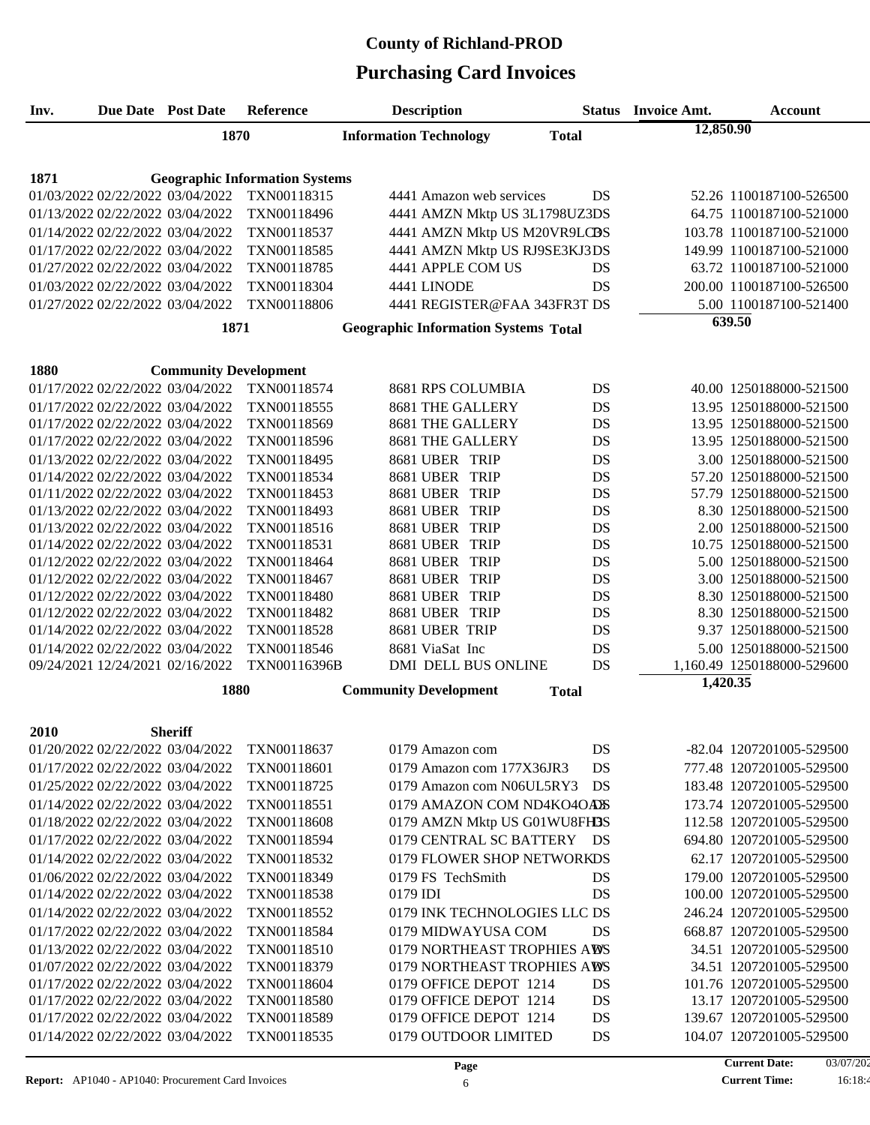| Inv.                                                                 | <b>Due Date Post Date</b>    | Reference                                            | <b>Description</b>                          |                 | <b>Status</b> Invoice Amt. | <b>Account</b>                   |
|----------------------------------------------------------------------|------------------------------|------------------------------------------------------|---------------------------------------------|-----------------|----------------------------|----------------------------------|
|                                                                      | 1870                         |                                                      | <b>Information Technology</b>               | <b>Total</b>    | 12,850.90                  |                                  |
|                                                                      |                              |                                                      |                                             |                 |                            |                                  |
|                                                                      |                              |                                                      |                                             |                 |                            |                                  |
| 1871                                                                 |                              | <b>Geographic Information Systems</b><br>TXN00118315 |                                             |                 |                            |                                  |
| 01/03/2022 02/22/2022 03/04/2022                                     |                              |                                                      | 4441 Amazon web services                    | DS              |                            | 52.26 1100187100-526500          |
| 01/13/2022 02/22/2022 03/04/2022                                     |                              | TXN00118496                                          | 4441 AMZN Mktp US 3L1798UZ3DS               |                 |                            | 64.75 1100187100-521000          |
| 01/14/2022 02/22/2022 03/04/2022                                     |                              | TXN00118537                                          | 4441 AMZN Mktp US M20VR9LCBS                |                 |                            | 103.78 1100187100-521000         |
| 01/17/2022 02/22/2022 03/04/2022                                     |                              | TXN00118585                                          | 4441 AMZN Mktp US RJ9SE3KJ3DS               |                 |                            | 149.99 1100187100-521000         |
| 01/27/2022 02/22/2022 03/04/2022                                     |                              | TXN00118785                                          | 4441 APPLE COM US                           | DS              |                            | 63.72 1100187100-521000          |
| 01/03/2022 02/22/2022 03/04/2022                                     |                              | TXN00118304<br>TXN00118806                           | 4441 LINODE                                 | DS              |                            | 200.00 1100187100-526500         |
| 01/27/2022 02/22/2022 03/04/2022                                     |                              |                                                      | 4441 REGISTER@FAA 343FR3T DS                |                 |                            | 5.00 1100187100-521400<br>639.50 |
|                                                                      | 1871                         |                                                      | <b>Geographic Information Systems Total</b> |                 |                            |                                  |
|                                                                      |                              |                                                      |                                             |                 |                            |                                  |
| 1880                                                                 | <b>Community Development</b> |                                                      |                                             |                 |                            |                                  |
| 01/17/2022 02/22/2022 03/04/2022                                     |                              | TXN00118574                                          | 8681 RPS COLUMBIA                           | DS              |                            | 40.00 1250188000-521500          |
| 01/17/2022 02/22/2022 03/04/2022                                     |                              | TXN00118555                                          | 8681 THE GALLERY                            | DS              |                            | 13.95 1250188000-521500          |
| 01/17/2022 02/22/2022 03/04/2022                                     |                              | TXN00118569                                          | 8681 THE GALLERY                            | DS              |                            | 13.95 1250188000-521500          |
| 01/17/2022 02/22/2022 03/04/2022                                     |                              | TXN00118596                                          | 8681 THE GALLERY                            | DS              |                            | 13.95 1250188000-521500          |
| 01/13/2022 02/22/2022 03/04/2022                                     |                              | TXN00118495                                          | 8681 UBER TRIP                              | DS              |                            | 3.00 1250188000-521500           |
| 01/14/2022 02/22/2022 03/04/2022                                     |                              | TXN00118534                                          | 8681 UBER TRIP                              | DS              |                            | 57.20 1250188000-521500          |
| 01/11/2022 02/22/2022 03/04/2022                                     |                              | TXN00118453                                          | 8681 UBER TRIP                              | DS              |                            | 57.79 1250188000-521500          |
| 01/13/2022 02/22/2022 03/04/2022                                     |                              | TXN00118493                                          | 8681 UBER TRIP                              | DS              |                            | 8.30 1250188000-521500           |
| 01/13/2022 02/22/2022 03/04/2022                                     |                              | TXN00118516                                          | 8681 UBER TRIP                              | DS              |                            | 2.00 1250188000-521500           |
| 01/14/2022 02/22/2022 03/04/2022                                     |                              | TXN00118531                                          | 8681 UBER TRIP                              | DS              |                            | 10.75 1250188000-521500          |
| 01/12/2022 02/22/2022 03/04/2022                                     |                              | TXN00118464                                          | 8681 UBER TRIP                              | DS              |                            | 5.00 1250188000-521500           |
| 01/12/2022 02/22/2022 03/04/2022                                     |                              | TXN00118467                                          | 8681 UBER TRIP                              | DS              |                            | 3.00 1250188000-521500           |
| 01/12/2022 02/22/2022 03/04/2022                                     |                              | TXN00118480                                          | 8681 UBER TRIP                              | DS              |                            | 8.30 1250188000-521500           |
| 01/12/2022 02/22/2022 03/04/2022                                     |                              | TXN00118482                                          | 8681 UBER TRIP                              | DS              |                            | 8.30 1250188000-521500           |
| 01/14/2022 02/22/2022 03/04/2022                                     |                              | TXN00118528                                          | 8681 UBER TRIP                              | DS              |                            | 9.37 1250188000-521500           |
| 01/14/2022 02/22/2022 03/04/2022<br>09/24/2021 12/24/2021 02/16/2022 |                              | TXN00118546<br>TXN00116396B                          | 8681 ViaSat Inc<br>DMI DELL BUS ONLINE      | DS<br><b>DS</b> |                            | 5.00 1250188000-521500           |
|                                                                      |                              |                                                      |                                             |                 | 1,420.35                   | 1,160.49 1250188000-529600       |
|                                                                      | 1880                         |                                                      | <b>Community Development</b>                | <b>Total</b>    |                            |                                  |
|                                                                      |                              |                                                      |                                             |                 |                            |                                  |
| 2010                                                                 | <b>Sheriff</b>               |                                                      |                                             |                 |                            |                                  |
| 01/20/2022 02/22/2022 03/04/2022                                     |                              | TXN00118637                                          | 0179 Amazon com                             | DS              |                            | -82.04 1207201005-529500         |
| 01/17/2022 02/22/2022 03/04/2022                                     |                              | TXN00118601                                          | 0179 Amazon com 177X36JR3                   | DS              |                            | 777.48 1207201005-529500         |
| 01/25/2022 02/22/2022 03/04/2022                                     |                              | TXN00118725                                          | 0179 Amazon com N06UL5RY3                   | DS              |                            | 183.48 1207201005-529500         |
| 01/14/2022 02/22/2022 03/04/2022                                     |                              | TXN00118551                                          | 0179 AMAZON COM ND4KO4OAX                   |                 |                            | 173.74 1207201005-529500         |
| 01/18/2022 02/22/2022 03/04/2022                                     |                              | TXN00118608                                          | 0179 AMZN Mktp US G01WU8FH3S                |                 |                            | 112.58 1207201005-529500         |
| 01/17/2022 02/22/2022 03/04/2022                                     |                              | TXN00118594                                          | 0179 CENTRAL SC BATTERY DS                  |                 |                            | 694.80 1207201005-529500         |
| 01/14/2022 02/22/2022 03/04/2022                                     |                              | TXN00118532                                          | 0179 FLOWER SHOP NETWORKDS                  |                 |                            | 62.17 1207201005-529500          |
| 01/06/2022 02/22/2022 03/04/2022                                     |                              | TXN00118349                                          | 0179 FS TechSmith                           | DS              |                            | 179.00 1207201005-529500         |
| 01/14/2022 02/22/2022 03/04/2022                                     |                              | TXN00118538                                          | 0179 IDI                                    | DS              |                            | 100.00 1207201005-529500         |
| 01/14/2022 02/22/2022 03/04/2022                                     |                              | TXN00118552                                          | 0179 INK TECHNOLOGIES LLC DS                |                 |                            | 246.24 1207201005-529500         |
| 01/17/2022 02/22/2022 03/04/2022                                     |                              | TXN00118584                                          | 0179 MIDWAYUSA COM                          | DS              |                            | 668.87 1207201005-529500         |
| 01/13/2022 02/22/2022 03/04/2022                                     |                              | TXN00118510                                          | 0179 NORTHEAST TROPHIES AWS                 |                 |                            | 34.51 1207201005-529500          |
| 01/07/2022 02/22/2022 03/04/2022                                     |                              | TXN00118379                                          | 0179 NORTHEAST TROPHIES AWS                 |                 |                            | 34.51 1207201005-529500          |
| 01/17/2022 02/22/2022 03/04/2022                                     |                              | TXN00118604                                          | 0179 OFFICE DEPOT 1214                      | DS              |                            | 101.76 1207201005-529500         |
| 01/17/2022 02/22/2022 03/04/2022                                     |                              | TXN00118580                                          | 0179 OFFICE DEPOT 1214                      | DS              |                            | 13.17 1207201005-529500          |
| 01/17/2022 02/22/2022 03/04/2022                                     |                              | TXN00118589                                          | 0179 OFFICE DEPOT 1214                      | DS              |                            | 139.67 1207201005-529500         |
| 01/14/2022 02/22/2022 03/04/2022                                     |                              | TXN00118535                                          | 0179 OUTDOOR LIMITED                        | DS              |                            | 104.07 1207201005-529500         |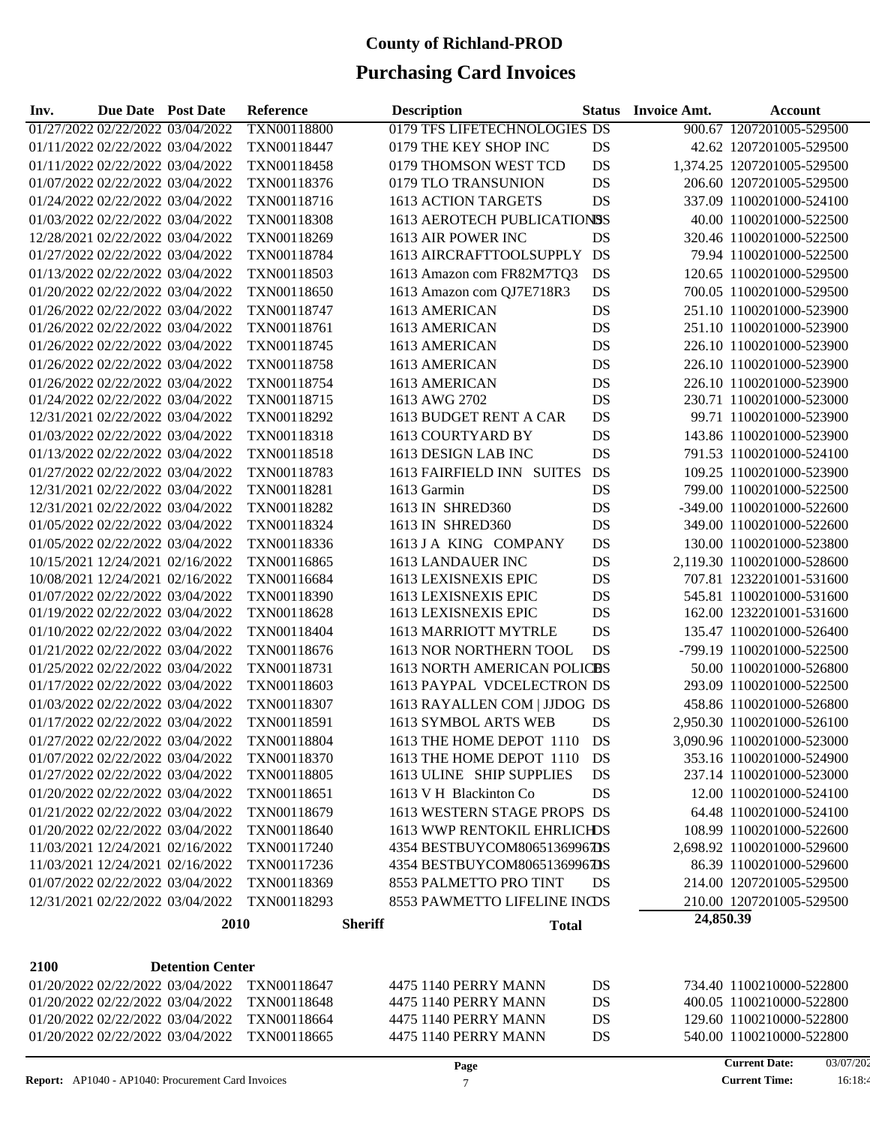| Inv. | Due Date Post Date |                                                                      | <b>Reference</b>           |                | <b>Description</b>                                   | <b>Status</b> | Invoice Amt. | <b>Account</b>                                         |
|------|--------------------|----------------------------------------------------------------------|----------------------------|----------------|------------------------------------------------------|---------------|--------------|--------------------------------------------------------|
|      |                    | 01/27/2022 02/22/2022 03/04/2022                                     | <b>TXN00118800</b>         |                | 0179 TFS LIFETECHNOLOGIES DS                         |               |              | 900.67 1207201005-529500                               |
|      |                    | 01/11/2022 02/22/2022 03/04/2022                                     | TXN00118447                |                | 0179 THE KEY SHOP INC                                | DS            |              | 42.62 1207201005-529500                                |
|      |                    | 01/11/2022 02/22/2022 03/04/2022                                     | TXN00118458                |                | 0179 THOMSON WEST TCD                                | DS            |              | 1,374.25 1207201005-529500                             |
|      |                    | 01/07/2022 02/22/2022 03/04/2022                                     | TXN00118376                |                | 0179 TLO TRANSUNION                                  | DS            |              | 206.60 1207201005-529500                               |
|      |                    | 01/24/2022 02/22/2022 03/04/2022                                     | TXN00118716                |                | 1613 ACTION TARGETS                                  | DS            |              | 337.09 1100201000-524100                               |
|      |                    | 01/03/2022 02/22/2022 03/04/2022                                     | TXN00118308                |                | 1613 AEROTECH PUBLICATIONSS                          |               |              | 40.00 1100201000-522500                                |
|      |                    | 12/28/2021 02/22/2022 03/04/2022                                     | TXN00118269                |                | 1613 AIR POWER INC                                   | DS            |              | 320.46 1100201000-522500                               |
|      |                    | 01/27/2022 02/22/2022 03/04/2022                                     | TXN00118784                |                | 1613 AIRCRAFTTOOLSUPPLY                              | DS            |              | 79.94 1100201000-522500                                |
|      |                    | 01/13/2022 02/22/2022 03/04/2022                                     | TXN00118503                |                | 1613 Amazon com FR82M7TQ3                            | DS            |              | 120.65 1100201000-529500                               |
|      |                    | 01/20/2022 02/22/2022 03/04/2022                                     | TXN00118650                |                | 1613 Amazon com QJ7E718R3                            | DS            |              | 700.05 1100201000-529500                               |
|      |                    | 01/26/2022 02/22/2022 03/04/2022                                     | TXN00118747                |                | 1613 AMERICAN                                        | DS            |              | 251.10 1100201000-523900                               |
|      |                    | 01/26/2022 02/22/2022 03/04/2022                                     | TXN00118761                |                | 1613 AMERICAN                                        | DS            |              | 251.10 1100201000-523900                               |
|      |                    | 01/26/2022 02/22/2022 03/04/2022                                     | TXN00118745                |                | 1613 AMERICAN                                        | DS            |              | 226.10 1100201000-523900                               |
|      |                    | 01/26/2022 02/22/2022 03/04/2022                                     | TXN00118758                |                | 1613 AMERICAN                                        | DS            |              | 226.10 1100201000-523900                               |
|      |                    | 01/26/2022 02/22/2022 03/04/2022                                     | TXN00118754                |                | 1613 AMERICAN                                        | DS            |              | 226.10 1100201000-523900                               |
|      |                    | 01/24/2022 02/22/2022 03/04/2022                                     | TXN00118715                |                | 1613 AWG 2702                                        | DS            |              | 230.71 1100201000-523000                               |
|      |                    | 12/31/2021 02/22/2022 03/04/2022                                     | TXN00118292                |                | 1613 BUDGET RENT A CAR                               | DS            |              | 99.71 1100201000-523900                                |
|      |                    | 01/03/2022 02/22/2022 03/04/2022                                     | TXN00118318                |                | 1613 COURTYARD BY                                    | DS            |              | 143.86 1100201000-523900                               |
|      |                    | 01/13/2022 02/22/2022 03/04/2022                                     | TXN00118518                |                | 1613 DESIGN LAB INC                                  | DS            |              | 791.53 1100201000-524100                               |
|      |                    | 01/27/2022 02/22/2022 03/04/2022                                     | TXN00118783                |                | 1613 FAIRFIELD INN SUITES                            | DS            |              | 109.25 1100201000-523900                               |
|      |                    | 12/31/2021 02/22/2022 03/04/2022                                     | TXN00118281                |                | 1613 Garmin                                          | DS            |              | 799.00 1100201000-522500                               |
|      |                    | 12/31/2021 02/22/2022 03/04/2022                                     | TXN00118282                |                | 1613 IN SHRED360                                     | DS            |              | -349.00 1100201000-522600                              |
|      |                    | 01/05/2022 02/22/2022 03/04/2022                                     | TXN00118324                |                | 1613 IN SHRED360                                     | DS            |              | 349.00 1100201000-522600                               |
|      |                    | 01/05/2022 02/22/2022 03/04/2022                                     | TXN00118336                |                | 1613 J A KING COMPANY                                | DS            |              | 130.00 1100201000-523800                               |
|      |                    | 10/15/2021 12/24/2021 02/16/2022                                     | TXN00116865                |                | 1613 LANDAUER INC                                    | DS            |              | 2,119.30 1100201000-528600                             |
|      |                    | 10/08/2021 12/24/2021 02/16/2022                                     | TXN00116684                |                | 1613 LEXISNEXIS EPIC                                 | DS            |              | 707.81 1232201001-531600                               |
|      |                    | 01/07/2022 02/22/2022 03/04/2022                                     | TXN00118390                |                | 1613 LEXISNEXIS EPIC                                 | DS            |              | 545.81 1100201000-531600                               |
|      |                    | 01/19/2022 02/22/2022 03/04/2022                                     | TXN00118628                |                | 1613 LEXISNEXIS EPIC                                 | DS            |              | 162.00 1232201001-531600                               |
|      |                    | 01/10/2022 02/22/2022 03/04/2022                                     | TXN00118404                |                | 1613 MARRIOTT MYTRLE                                 | DS            |              | 135.47 1100201000-526400                               |
|      |                    | 01/21/2022 02/22/2022 03/04/2022                                     | TXN00118676                |                | 1613 NOR NORTHERN TOOL                               | DS            |              | -799.19 1100201000-522500                              |
|      |                    | 01/25/2022 02/22/2022 03/04/2022                                     | TXN00118731                |                | <b>1613 NORTH AMERICAN POLICES</b>                   |               |              | 50.00 1100201000-526800                                |
|      |                    | 01/17/2022 02/22/2022 03/04/2022                                     | TXN00118603                |                | 1613 PAYPAL VDCELECTRON DS                           |               |              | 293.09 1100201000-522500                               |
|      |                    | 01/03/2022 02/22/2022 03/04/2022                                     | TXN00118307                |                | 1613 RAYALLEN COM   JJDOG DS                         |               |              | 458.86 1100201000-526800                               |
|      |                    | 01/17/2022 02/22/2022 03/04/2022                                     |                            |                |                                                      |               |              |                                                        |
|      |                    | 01/27/2022 02/22/2022 03/04/2022                                     | TXN00118591                |                | 1613 SYMBOL ARTS WEB                                 | DS            |              | 2,950.30 1100201000-526100                             |
|      |                    | 01/07/2022 02/22/2022 03/04/2022                                     | TXN00118804<br>TXN00118370 |                | 1613 THE HOME DEPOT 1110<br>1613 THE HOME DEPOT 1110 | DS            |              | 3,090.96 1100201000-523000<br>353.16 1100201000-524900 |
|      |                    | 01/27/2022 02/22/2022 03/04/2022                                     | TXN00118805                |                | 1613 ULINE SHIP SUPPLIES                             | DS<br>DS      |              | 237.14 1100201000-523000                               |
|      |                    | 01/20/2022 02/22/2022 03/04/2022                                     | TXN00118651                |                | 1613 V H Blackinton Co                               | DS            |              | 12.00 1100201000-524100                                |
|      |                    | 01/21/2022 02/22/2022 03/04/2022                                     |                            |                | 1613 WESTERN STAGE PROPS DS                          |               |              | 64.48 1100201000-524100                                |
|      |                    |                                                                      | TXN00118679                |                |                                                      |               |              |                                                        |
|      |                    | 01/20/2022 02/22/2022 03/04/2022<br>11/03/2021 12/24/2021 02/16/2022 | TXN00118640                |                | <b>1613 WWP RENTOKIL EHRLICHDS</b>                   |               |              | 108.99 1100201000-522600                               |
|      |                    |                                                                      | TXN00117240                |                | 4354 BESTBUYCOM80651369967DS                         |               |              | 2,698.92 1100201000-529600                             |
|      |                    | 11/03/2021 12/24/2021 02/16/2022                                     | TXN00117236                |                | 4354 BESTBUYCOM80651369967DS                         |               |              | 86.39 1100201000-529600                                |
|      |                    | 01/07/2022 02/22/2022 03/04/2022                                     | TXN00118369                |                | 8553 PALMETTO PRO TINT                               | DS            |              | 214.00 1207201005-529500                               |
|      |                    | 12/31/2021 02/22/2022 03/04/2022                                     | TXN00118293                |                | 8553 PAWMETTO LIFELINE INDS                          |               |              | 210.00 1207201005-529500                               |
|      |                    | 2010                                                                 |                            | <b>Sheriff</b> | <b>Total</b>                                         |               | 24,850.39    |                                                        |
| 2100 |                    | <b>Detention Center</b>                                              |                            |                |                                                      |               |              |                                                        |
|      |                    | 01/20/2022 02/22/2022 03/04/2022                                     | TXN00118647                |                | 4475 1140 PERRY MANN                                 | DS            |              | 734.40 1100210000-522800                               |
|      |                    | 01/20/2022 02/22/2022 03/04/2022                                     | TXN00118648                |                | 4475 1140 PERRY MANN                                 | DS            |              | 400.05 1100210000-522800                               |
|      |                    | 01/20/2022 02/22/2022 03/04/2022                                     | TXN00118664                |                | 4475 1140 PERRY MANN                                 | DS            |              | 129.60 1100210000-522800                               |
|      |                    | 01/20/2022 02/22/2022 03/04/2022                                     | TXN00118665                |                | 4475 1140 PERRY MANN                                 | DS            |              | 540.00 1100210000-522800                               |
|      |                    |                                                                      |                            |                |                                                      |               |              |                                                        |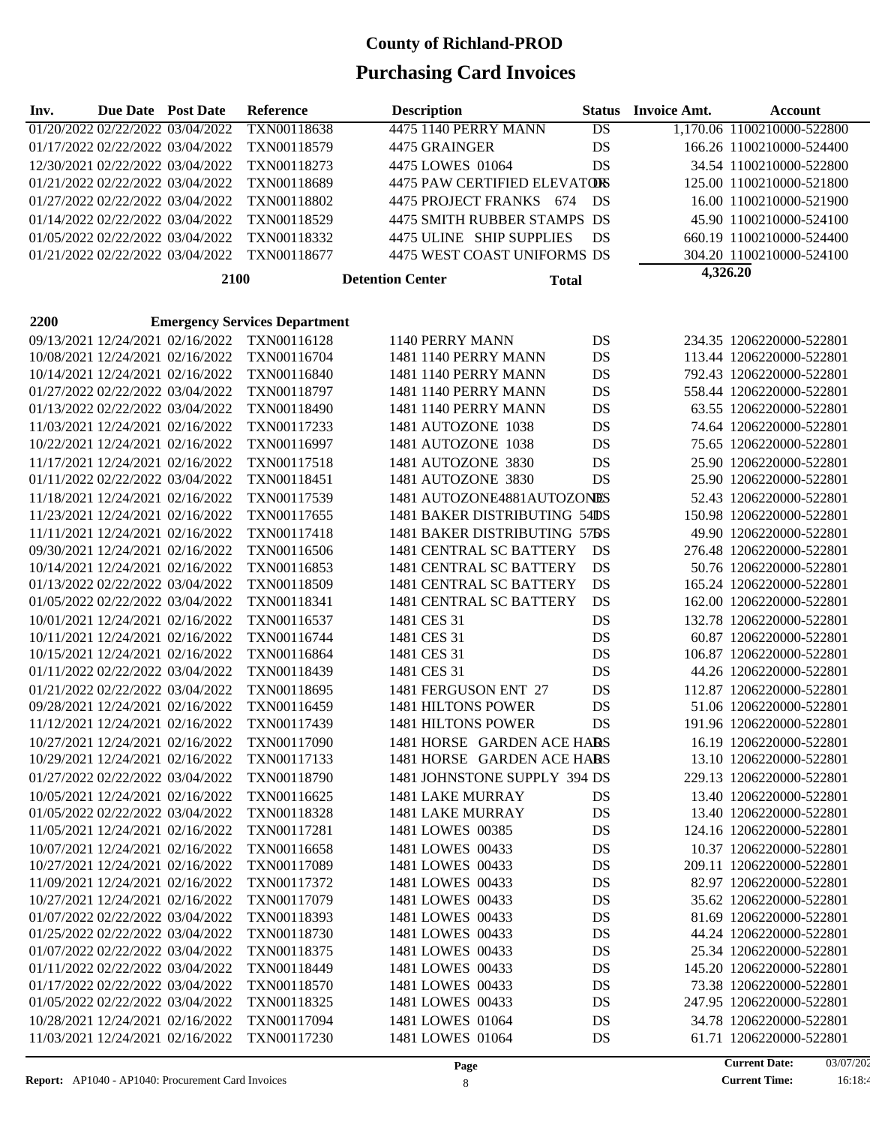| Inv.        | Due Date Post Date               |                                  | Reference                            | <b>Description</b>             | <b>Status</b>                | <b>Invoice Amt.</b> | <b>Account</b>             |
|-------------|----------------------------------|----------------------------------|--------------------------------------|--------------------------------|------------------------------|---------------------|----------------------------|
|             | 01/20/2022 02/22/2022 03/04/2022 |                                  | TXN00118638                          | 4475 1140 PERRY MANN           | DS                           |                     | 1,170.06 1100210000-522800 |
|             | 01/17/2022 02/22/2022 03/04/2022 |                                  | TXN00118579                          | 4475 GRAINGER                  | DS                           |                     | 166.26 1100210000-524400   |
|             | 12/30/2021 02/22/2022 03/04/2022 |                                  | TXN00118273                          | 4475 LOWES 01064               | DS                           |                     | 34.54 1100210000-522800    |
|             | 01/21/2022 02/22/2022 03/04/2022 |                                  | TXN00118689                          |                                | 4475 PAW CERTIFIED ELEVATORS |                     | 125.00 1100210000-521800   |
|             | 01/27/2022 02/22/2022 03/04/2022 |                                  | TXN00118802                          | 4475 PROJECT FRANKS 674        | DS                           |                     | 16.00 1100210000-521900    |
|             | 01/14/2022 02/22/2022 03/04/2022 |                                  | TXN00118529                          |                                | 4475 SMITH RUBBER STAMPS DS  |                     | 45.90 1100210000-524100    |
|             | 01/05/2022 02/22/2022 03/04/2022 |                                  | TXN00118332                          | 4475 ULINE SHIP SUPPLIES       | DS                           |                     | 660.19 1100210000-524400   |
|             | 01/21/2022 02/22/2022 03/04/2022 |                                  | TXN00118677                          |                                | 4475 WEST COAST UNIFORMS DS  |                     | 304.20 1100210000-524100   |
|             |                                  | 2100                             |                                      | <b>Detention Center</b>        | <b>Total</b>                 | 4,326.20            |                            |
|             |                                  |                                  |                                      |                                |                              |                     |                            |
|             |                                  |                                  |                                      |                                |                              |                     |                            |
| <b>2200</b> |                                  |                                  | <b>Emergency Services Department</b> |                                |                              |                     |                            |
|             |                                  | 09/13/2021 12/24/2021 02/16/2022 | TXN00116128                          | 1140 PERRY MANN                | DS                           |                     | 234.35 1206220000-522801   |
|             | 10/08/2021 12/24/2021 02/16/2022 |                                  | TXN00116704                          | 1481 1140 PERRY MANN           | DS                           |                     | 113.44 1206220000-522801   |
|             | 10/14/2021 12/24/2021 02/16/2022 |                                  | TXN00116840                          | 1481 1140 PERRY MANN           | DS                           |                     | 792.43 1206220000-522801   |
|             | 01/27/2022 02/22/2022 03/04/2022 |                                  | TXN00118797                          | 1481 1140 PERRY MANN           | DS                           |                     | 558.44 1206220000-522801   |
|             | 01/13/2022 02/22/2022 03/04/2022 |                                  | TXN00118490                          | 1481 1140 PERRY MANN           | DS                           |                     | 63.55 1206220000-522801    |
|             | 11/03/2021 12/24/2021 02/16/2022 |                                  | TXN00117233                          | 1481 AUTOZONE 1038             | DS                           |                     | 74.64 1206220000-522801    |
|             | 10/22/2021 12/24/2021 02/16/2022 |                                  | TXN00116997                          | 1481 AUTOZONE 1038             | DS                           |                     | 75.65 1206220000-522801    |
|             | 11/17/2021 12/24/2021 02/16/2022 |                                  | TXN00117518                          | 1481 AUTOZONE 3830             | DS                           |                     | 25.90 1206220000-522801    |
|             | 01/11/2022 02/22/2022 03/04/2022 |                                  | TXN00118451                          | 1481 AUTOZONE 3830             | DS                           |                     | 25.90 1206220000-522801    |
|             | 11/18/2021 12/24/2021 02/16/2022 |                                  | TXN00117539                          |                                | 1481 AUTOZONE4881AUTOZONES   |                     | 52.43 1206220000-522801    |
|             | 11/23/2021 12/24/2021 02/16/2022 |                                  | TXN00117655                          |                                | 1481 BAKER DISTRIBUTING 54DS |                     | 150.98 1206220000-522801   |
|             | 11/11/2021 12/24/2021 02/16/2022 |                                  | TXN00117418                          |                                | 1481 BAKER DISTRIBUTING 57DS |                     | 49.90 1206220000-522801    |
|             | 09/30/2021 12/24/2021 02/16/2022 |                                  | TXN00116506                          | <b>1481 CENTRAL SC BATTERY</b> | DS                           |                     | 276.48 1206220000-522801   |
|             | 10/14/2021 12/24/2021 02/16/2022 |                                  | TXN00116853                          | <b>1481 CENTRAL SC BATTERY</b> | DS                           |                     | 50.76 1206220000-522801    |
|             | 01/13/2022 02/22/2022 03/04/2022 |                                  | TXN00118509                          | 1481 CENTRAL SC BATTERY        | DS                           |                     | 165.24 1206220000-522801   |
|             | 01/05/2022 02/22/2022 03/04/2022 |                                  | TXN00118341                          | <b>1481 CENTRAL SC BATTERY</b> | DS                           |                     | 162.00 1206220000-522801   |
|             | 10/01/2021 12/24/2021 02/16/2022 |                                  | TXN00116537                          | 1481 CES 31                    | DS                           |                     | 132.78 1206220000-522801   |
|             | 10/11/2021 12/24/2021 02/16/2022 |                                  | TXN00116744                          | 1481 CES 31                    | DS                           |                     | 60.87 1206220000-522801    |
|             | 10/15/2021 12/24/2021 02/16/2022 |                                  | TXN00116864                          | 1481 CES 31                    | DS                           |                     | 106.87 1206220000-522801   |
|             | 01/11/2022 02/22/2022 03/04/2022 |                                  | TXN00118439                          | 1481 CES 31                    | DS                           |                     | 44.26 1206220000-522801    |
|             | 01/21/2022 02/22/2022 03/04/2022 |                                  | TXN00118695                          | 1481 FERGUSON ENT 27           | DS                           |                     | 112.87 1206220000-522801   |
|             | 09/28/2021 12/24/2021 02/16/2022 |                                  | TXN00116459                          | 1481 HILTONS POWER             | DS                           |                     | 51.06 1206220000-522801    |
|             | 11/12/2021 12/24/2021 02/16/2022 |                                  | TXN00117439                          | 1481 HILTONS POWER             | DS                           |                     | 191.96 1206220000-522801   |
|             | 10/27/2021 12/24/2021 02/16/2022 |                                  | TXN00117090                          |                                | 1481 HORSE GARDEN ACE HARS   |                     | 16.19 1206220000-522801    |
|             | 10/29/2021 12/24/2021 02/16/2022 |                                  | TXN00117133                          |                                | 1481 HORSE GARDEN ACE HARS   |                     | 13.10 1206220000-522801    |
|             | 01/27/2022 02/22/2022 03/04/2022 |                                  | TXN00118790                          |                                | 1481 JOHNSTONE SUPPLY 394 DS |                     | 229.13 1206220000-522801   |
|             |                                  | 10/05/2021 12/24/2021 02/16/2022 | TXN00116625                          | 1481 LAKE MURRAY               | DS                           |                     | 13.40 1206220000-522801    |
|             |                                  | 01/05/2022 02/22/2022 03/04/2022 | TXN00118328                          | 1481 LAKE MURRAY               | DS                           |                     | 13.40 1206220000-522801    |
|             |                                  | 11/05/2021 12/24/2021 02/16/2022 | TXN00117281                          | 1481 LOWES 00385               | DS                           |                     | 124.16 1206220000-522801   |
|             | 10/07/2021 12/24/2021 02/16/2022 |                                  | TXN00116658                          | 1481 LOWES 00433               | DS                           |                     | 10.37 1206220000-522801    |
|             | 10/27/2021 12/24/2021 02/16/2022 |                                  | TXN00117089                          | 1481 LOWES 00433               | DS                           |                     | 209.11 1206220000-522801   |
|             | 11/09/2021 12/24/2021 02/16/2022 |                                  | TXN00117372                          | 1481 LOWES 00433               | DS                           |                     | 82.97 1206220000-522801    |
|             | 10/27/2021 12/24/2021 02/16/2022 |                                  | TXN00117079                          | 1481 LOWES 00433               | DS                           |                     | 35.62 1206220000-522801    |
|             | 01/07/2022 02/22/2022 03/04/2022 |                                  | TXN00118393                          | 1481 LOWES 00433               | DS                           |                     | 81.69 1206220000-522801    |
|             | 01/25/2022 02/22/2022 03/04/2022 |                                  | TXN00118730                          | 1481 LOWES 00433               | DS                           |                     | 44.24 1206220000-522801    |
|             | 01/07/2022 02/22/2022 03/04/2022 |                                  | TXN00118375                          | 1481 LOWES 00433               | DS                           |                     | 25.34 1206220000-522801    |
|             | 01/11/2022 02/22/2022 03/04/2022 |                                  | TXN00118449                          | 1481 LOWES 00433               | DS                           |                     | 145.20 1206220000-522801   |
|             | 01/17/2022 02/22/2022 03/04/2022 |                                  | TXN00118570                          | 1481 LOWES 00433               | DS                           |                     | 73.38 1206220000-522801    |
|             | 01/05/2022 02/22/2022 03/04/2022 |                                  | TXN00118325                          | 1481 LOWES 00433               | DS                           |                     | 247.95 1206220000-522801   |
|             |                                  | 10/28/2021 12/24/2021 02/16/2022 | TXN00117094                          | 1481 LOWES 01064               | DS                           |                     | 34.78 1206220000-522801    |
|             |                                  | 11/03/2021 12/24/2021 02/16/2022 | TXN00117230                          | 1481 LOWES 01064               | DS                           |                     | 61.71 1206220000-522801    |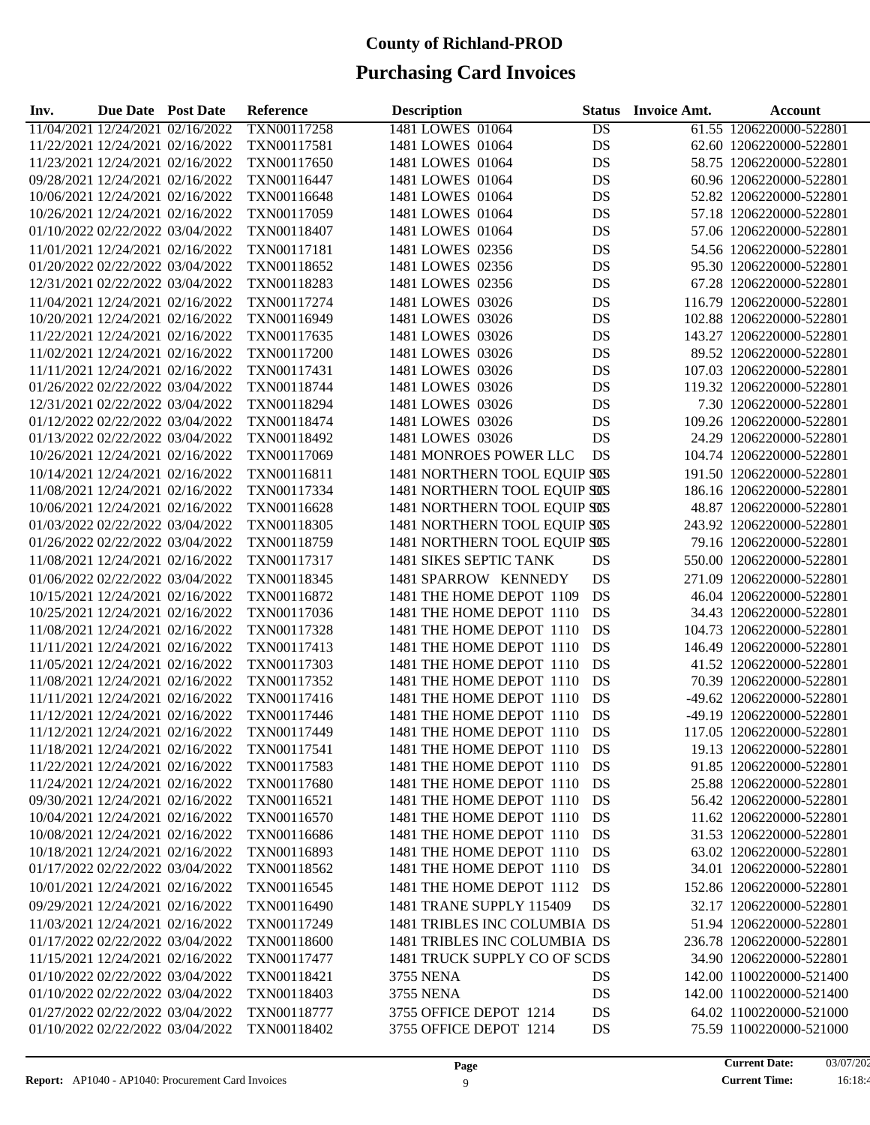| Inv. | Due Date Post Date |                                  | <b>Reference</b> | <b>Description</b>           |                 | <b>Status</b> Invoice Amt. | Account                  |
|------|--------------------|----------------------------------|------------------|------------------------------|-----------------|----------------------------|--------------------------|
|      |                    | 11/04/2021 12/24/2021 02/16/2022 | TXN00117258      | 1481 LOWES 01064             | $\overline{DS}$ |                            | 61.55 1206220000-522801  |
|      |                    | 11/22/2021 12/24/2021 02/16/2022 | TXN00117581      | 1481 LOWES 01064             | DS              |                            | 62.60 1206220000-522801  |
|      |                    | 11/23/2021 12/24/2021 02/16/2022 | TXN00117650      | 1481 LOWES 01064             | DS              |                            | 58.75 1206220000-522801  |
|      |                    | 09/28/2021 12/24/2021 02/16/2022 | TXN00116447      | 1481 LOWES 01064             | DS              |                            | 60.96 1206220000-522801  |
|      |                    | 10/06/2021 12/24/2021 02/16/2022 | TXN00116648      | 1481 LOWES 01064             | DS              |                            | 52.82 1206220000-522801  |
|      |                    | 10/26/2021 12/24/2021 02/16/2022 | TXN00117059      | 1481 LOWES 01064             | DS              |                            | 57.18 1206220000-522801  |
|      |                    | 01/10/2022 02/22/2022 03/04/2022 | TXN00118407      | 1481 LOWES 01064             | DS              |                            | 57.06 1206220000-522801  |
|      |                    | 11/01/2021 12/24/2021 02/16/2022 | TXN00117181      | 1481 LOWES 02356             | DS              |                            | 54.56 1206220000-522801  |
|      |                    | 01/20/2022 02/22/2022 03/04/2022 | TXN00118652      | 1481 LOWES 02356             | DS              |                            | 95.30 1206220000-522801  |
|      |                    | 12/31/2021 02/22/2022 03/04/2022 | TXN00118283      | 1481 LOWES 02356             | DS              |                            | 67.28 1206220000-522801  |
|      |                    | 11/04/2021 12/24/2021 02/16/2022 | TXN00117274      | 1481 LOWES 03026             | DS              |                            | 116.79 1206220000-522801 |
|      |                    | 10/20/2021 12/24/2021 02/16/2022 | TXN00116949      | 1481 LOWES 03026             | DS              |                            | 102.88 1206220000-522801 |
|      |                    | 11/22/2021 12/24/2021 02/16/2022 | TXN00117635      | 1481 LOWES 03026             | DS              |                            | 143.27 1206220000-522801 |
|      |                    | 11/02/2021 12/24/2021 02/16/2022 | TXN00117200      | 1481 LOWES 03026             | DS              |                            | 89.52 1206220000-522801  |
|      |                    | 11/11/2021 12/24/2021 02/16/2022 | TXN00117431      | 1481 LOWES 03026             | DS              |                            | 107.03 1206220000-522801 |
|      |                    | 01/26/2022 02/22/2022 03/04/2022 | TXN00118744      | 1481 LOWES 03026             | DS              |                            | 119.32 1206220000-522801 |
|      |                    | 12/31/2021 02/22/2022 03/04/2022 | TXN00118294      | 1481 LOWES 03026             | DS              |                            | 7.30 1206220000-522801   |
|      |                    | 01/12/2022 02/22/2022 03/04/2022 | TXN00118474      | 1481 LOWES 03026             | DS              |                            | 109.26 1206220000-522801 |
|      |                    | 01/13/2022 02/22/2022 03/04/2022 | TXN00118492      | 1481 LOWES 03026             | DS              |                            | 24.29 1206220000-522801  |
|      |                    | 10/26/2021 12/24/2021 02/16/2022 | TXN00117069      | 1481 MONROES POWER LLC       | DS              |                            | 104.74 1206220000-522801 |
|      |                    | 10/14/2021 12/24/2021 02/16/2022 | TXN00116811      | 1481 NORTHERN TOOL EQUIP SOS |                 |                            | 191.50 1206220000-522801 |
|      |                    | 11/08/2021 12/24/2021 02/16/2022 | TXN00117334      | 1481 NORTHERN TOOL EQUIP SOS |                 |                            | 186.16 1206220000-522801 |
|      |                    | 10/06/2021 12/24/2021 02/16/2022 | TXN00116628      | 1481 NORTHERN TOOL EQUIP SOS |                 |                            | 48.87 1206220000-522801  |
|      |                    | 01/03/2022 02/22/2022 03/04/2022 | TXN00118305      | 1481 NORTHERN TOOL EQUIP SOS |                 |                            | 243.92 1206220000-522801 |
|      |                    | 01/26/2022 02/22/2022 03/04/2022 | TXN00118759      | 1481 NORTHERN TOOL EQUIP SOS |                 |                            | 79.16 1206220000-522801  |
|      |                    | 11/08/2021 12/24/2021 02/16/2022 | TXN00117317      | 1481 SIKES SEPTIC TANK       | DS              |                            | 550.00 1206220000-522801 |
|      |                    | 01/06/2022 02/22/2022 03/04/2022 | TXN00118345      | 1481 SPARROW KENNEDY         | DS              |                            | 271.09 1206220000-522801 |
|      |                    | 10/15/2021 12/24/2021 02/16/2022 | TXN00116872      | 1481 THE HOME DEPOT 1109     | DS              |                            | 46.04 1206220000-522801  |
|      |                    | 10/25/2021 12/24/2021 02/16/2022 | TXN00117036      | 1481 THE HOME DEPOT 1110     | DS              |                            | 34.43 1206220000-522801  |
|      |                    | 11/08/2021 12/24/2021 02/16/2022 | TXN00117328      | 1481 THE HOME DEPOT 1110     | DS              |                            | 104.73 1206220000-522801 |
|      |                    | 11/11/2021 12/24/2021 02/16/2022 | TXN00117413      | 1481 THE HOME DEPOT 1110     | DS              |                            | 146.49 1206220000-522801 |
|      |                    | 11/05/2021 12/24/2021 02/16/2022 | TXN00117303      | 1481 THE HOME DEPOT 1110     | DS              |                            | 41.52 1206220000-522801  |
|      |                    | 11/08/2021 12/24/2021 02/16/2022 | TXN00117352      | 1481 THE HOME DEPOT 1110     | DS              |                            | 70.39 1206220000-522801  |
|      |                    | 11/11/2021 12/24/2021 02/16/2022 | TXN00117416      | 1481 THE HOME DEPOT 1110     | DS              |                            | -49.62 1206220000-522801 |
|      |                    | 11/12/2021 12/24/2021 02/16/2022 | TXN00117446      | 1481 THE HOME DEPOT 1110     | DS              |                            | -49.19 1206220000-522801 |
|      |                    | 11/12/2021 12/24/2021 02/16/2022 | TXN00117449      | 1481 THE HOME DEPOT 1110     | DS              |                            | 117.05 1206220000-522801 |
|      |                    | 11/18/2021 12/24/2021 02/16/2022 | TXN00117541      | 1481 THE HOME DEPOT 1110     | DS              |                            | 19.13 1206220000-522801  |
|      |                    | 11/22/2021 12/24/2021 02/16/2022 | TXN00117583      | 1481 THE HOME DEPOT 1110     | DS              |                            | 91.85 1206220000-522801  |
|      |                    | 11/24/2021 12/24/2021 02/16/2022 | TXN00117680      | 1481 THE HOME DEPOT 1110     | DS              |                            | 25.88 1206220000-522801  |
|      |                    | 09/30/2021 12/24/2021 02/16/2022 | TXN00116521      | 1481 THE HOME DEPOT 1110     | DS              |                            | 56.42 1206220000-522801  |
|      |                    | 10/04/2021 12/24/2021 02/16/2022 | TXN00116570      | 1481 THE HOME DEPOT 1110     | DS              |                            | 11.62 1206220000-522801  |
|      |                    | 10/08/2021 12/24/2021 02/16/2022 | TXN00116686      | 1481 THE HOME DEPOT 1110     | DS              |                            | 31.53 1206220000-522801  |
|      |                    | 10/18/2021 12/24/2021 02/16/2022 | TXN00116893      | 1481 THE HOME DEPOT 1110     | DS              |                            | 63.02 1206220000-522801  |
|      |                    | 01/17/2022 02/22/2022 03/04/2022 | TXN00118562      | 1481 THE HOME DEPOT 1110     | DS              |                            | 34.01 1206220000-522801  |
|      |                    | 10/01/2021 12/24/2021 02/16/2022 | TXN00116545      | 1481 THE HOME DEPOT 1112     | DS              |                            | 152.86 1206220000-522801 |
|      |                    | 09/29/2021 12/24/2021 02/16/2022 | TXN00116490      | 1481 TRANE SUPPLY 115409     | DS              |                            | 32.17 1206220000-522801  |
|      |                    | 11/03/2021 12/24/2021 02/16/2022 | TXN00117249      | 1481 TRIBLES INC COLUMBIA DS |                 |                            | 51.94 1206220000-522801  |
|      |                    | 01/17/2022 02/22/2022 03/04/2022 | TXN00118600      | 1481 TRIBLES INC COLUMBIA DS |                 |                            | 236.78 1206220000-522801 |
|      |                    | 11/15/2021 12/24/2021 02/16/2022 | TXN00117477      | 1481 TRUCK SUPPLY CO OF SCDS |                 |                            | 34.90 1206220000-522801  |
|      |                    | 01/10/2022 02/22/2022 03/04/2022 | TXN00118421      | <b>3755 NENA</b>             | DS              |                            | 142.00 1100220000-521400 |
|      |                    | 01/10/2022 02/22/2022 03/04/2022 | TXN00118403      | <b>3755 NENA</b>             | DS              |                            | 142.00 1100220000-521400 |
|      |                    | 01/27/2022 02/22/2022 03/04/2022 | TXN00118777      | 3755 OFFICE DEPOT 1214       | DS              |                            | 64.02 1100220000-521000  |
|      |                    | 01/10/2022 02/22/2022 03/04/2022 | TXN00118402      | 3755 OFFICE DEPOT 1214       | DS              |                            | 75.59 1100220000-521000  |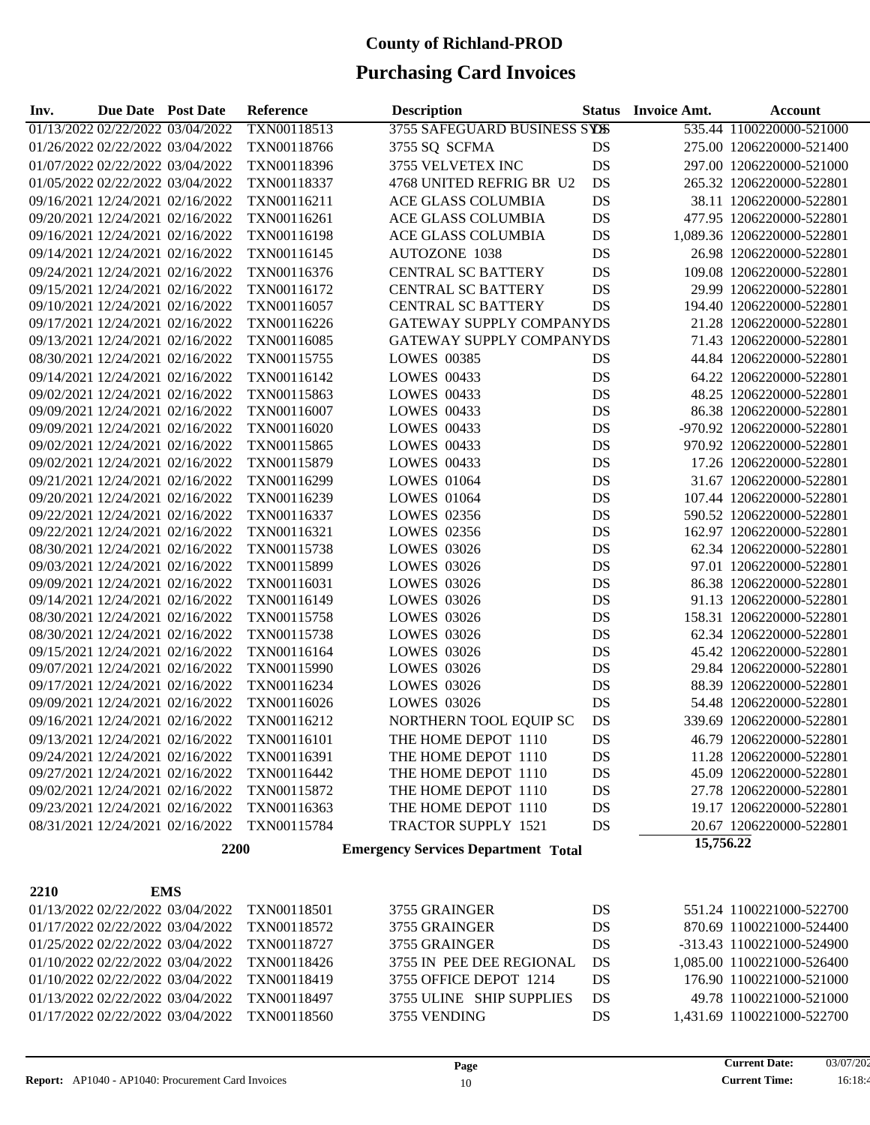| Inv. | Due Date Post Date |                                  | <b>Reference</b> | <b>Description</b>                         | Status    | Invoice Amt. | Account                    |
|------|--------------------|----------------------------------|------------------|--------------------------------------------|-----------|--------------|----------------------------|
|      |                    | 01/13/2022 02/22/2022 03/04/2022 | TXN00118513      | 3755 SAFEGUARD BUSINESS SYSS               |           |              | 535.44 1100220000-521000   |
|      |                    | 01/26/2022 02/22/2022 03/04/2022 | TXN00118766      | 3755 SQ SCFMA                              | DS        |              | 275.00 1206220000-521400   |
|      |                    | 01/07/2022 02/22/2022 03/04/2022 | TXN00118396      | 3755 VELVETEX INC                          | DS        |              | 297.00 1206220000-521000   |
|      |                    | 01/05/2022 02/22/2022 03/04/2022 | TXN00118337      | 4768 UNITED REFRIG BR U2                   | DS        |              | 265.32 1206220000-522801   |
|      |                    | 09/16/2021 12/24/2021 02/16/2022 | TXN00116211      | ACE GLASS COLUMBIA                         | DS        |              | 38.11 1206220000-522801    |
|      |                    | 09/20/2021 12/24/2021 02/16/2022 | TXN00116261      | ACE GLASS COLUMBIA                         | DS        |              | 477.95 1206220000-522801   |
|      |                    | 09/16/2021 12/24/2021 02/16/2022 | TXN00116198      | ACE GLASS COLUMBIA                         | DS        |              | 1,089.36 1206220000-522801 |
|      |                    | 09/14/2021 12/24/2021 02/16/2022 | TXN00116145      | <b>AUTOZONE 1038</b>                       | DS        |              | 26.98 1206220000-522801    |
|      |                    | 09/24/2021 12/24/2021 02/16/2022 | TXN00116376      | <b>CENTRAL SC BATTERY</b>                  | DS        |              | 109.08 1206220000-522801   |
|      |                    | 09/15/2021 12/24/2021 02/16/2022 | TXN00116172      | <b>CENTRAL SC BATTERY</b>                  | DS        |              | 29.99 1206220000-522801    |
|      |                    | 09/10/2021 12/24/2021 02/16/2022 | TXN00116057      | <b>CENTRAL SC BATTERY</b>                  | DS        |              | 194.40 1206220000-522801   |
|      |                    | 09/17/2021 12/24/2021 02/16/2022 | TXN00116226      | GATEWAY SUPPLY COMPANYDS                   |           |              | 21.28 1206220000-522801    |
|      |                    | 09/13/2021 12/24/2021 02/16/2022 | TXN00116085      | GATEWAY SUPPLY COMPANYDS                   |           |              | 71.43 1206220000-522801    |
|      |                    | 08/30/2021 12/24/2021 02/16/2022 | TXN00115755      | <b>LOWES 00385</b>                         | DS        |              | 44.84 1206220000-522801    |
|      |                    | 09/14/2021 12/24/2021 02/16/2022 | TXN00116142      | <b>LOWES 00433</b>                         | DS        |              | 64.22 1206220000-522801    |
|      |                    | 09/02/2021 12/24/2021 02/16/2022 | TXN00115863      | <b>LOWES 00433</b>                         | DS        |              | 48.25 1206220000-522801    |
|      |                    | 09/09/2021 12/24/2021 02/16/2022 | TXN00116007      | <b>LOWES 00433</b>                         | DS        |              | 86.38 1206220000-522801    |
|      |                    | 09/09/2021 12/24/2021 02/16/2022 | TXN00116020      | <b>LOWES 00433</b>                         | <b>DS</b> |              | -970.92 1206220000-522801  |
|      |                    | 09/02/2021 12/24/2021 02/16/2022 | TXN00115865      | <b>LOWES 00433</b>                         | <b>DS</b> |              | 970.92 1206220000-522801   |
|      |                    | 09/02/2021 12/24/2021 02/16/2022 | TXN00115879      | <b>LOWES 00433</b>                         | <b>DS</b> |              | 17.26 1206220000-522801    |
|      |                    | 09/21/2021 12/24/2021 02/16/2022 | TXN00116299      | <b>LOWES 01064</b>                         | <b>DS</b> |              | 31.67 1206220000-522801    |
|      |                    | 09/20/2021 12/24/2021 02/16/2022 | TXN00116239      | <b>LOWES 01064</b>                         | <b>DS</b> |              | 107.44 1206220000-522801   |
|      |                    | 09/22/2021 12/24/2021 02/16/2022 | TXN00116337      | <b>LOWES 02356</b>                         | <b>DS</b> |              | 590.52 1206220000-522801   |
|      |                    | 09/22/2021 12/24/2021 02/16/2022 | TXN00116321      | <b>LOWES 02356</b>                         | <b>DS</b> |              | 162.97 1206220000-522801   |
|      |                    | 08/30/2021 12/24/2021 02/16/2022 | TXN00115738      | <b>LOWES 03026</b>                         | <b>DS</b> |              | 62.34 1206220000-522801    |
|      |                    | 09/03/2021 12/24/2021 02/16/2022 | TXN00115899      | <b>LOWES 03026</b>                         | <b>DS</b> |              | 97.01 1206220000-522801    |
|      |                    | 09/09/2021 12/24/2021 02/16/2022 | TXN00116031      | <b>LOWES 03026</b>                         | <b>DS</b> |              | 86.38 1206220000-522801    |
|      |                    | 09/14/2021 12/24/2021 02/16/2022 | TXN00116149      | <b>LOWES 03026</b>                         | DS        |              | 91.13 1206220000-522801    |
|      |                    | 08/30/2021 12/24/2021 02/16/2022 | TXN00115758      | <b>LOWES 03026</b>                         | <b>DS</b> |              | 158.31 1206220000-522801   |
|      |                    | 08/30/2021 12/24/2021 02/16/2022 | TXN00115738      | <b>LOWES 03026</b>                         | DS        |              | 62.34 1206220000-522801    |
|      |                    | 09/15/2021 12/24/2021 02/16/2022 | TXN00116164      | <b>LOWES 03026</b>                         | <b>DS</b> |              | 45.42 1206220000-522801    |
|      |                    | 09/07/2021 12/24/2021 02/16/2022 | TXN00115990      | <b>LOWES 03026</b>                         | DS        |              | 29.84 1206220000-522801    |
|      |                    | 09/17/2021 12/24/2021 02/16/2022 | TXN00116234      | <b>LOWES 03026</b>                         | DS        |              | 88.39 1206220000-522801    |
|      |                    | 09/09/2021 12/24/2021 02/16/2022 | TXN00116026      | <b>LOWES 03026</b>                         | DS        |              | 54.48 1206220000-522801    |
|      |                    | 09/16/2021 12/24/2021 02/16/2022 | TXN00116212      | NORTHERN TOOL EQUIP SC                     | DS        |              | 339.69 1206220000-522801   |
|      |                    | 09/13/2021 12/24/2021 02/16/2022 | TXN00116101      | THE HOME DEPOT 1110                        | DS        |              | 46.79 1206220000-522801    |
|      |                    | 09/24/2021 12/24/2021 02/16/2022 | TXN00116391      | THE HOME DEPOT 1110                        | DS        |              | 11.28 1206220000-522801    |
|      |                    | 09/27/2021 12/24/2021 02/16/2022 | TXN00116442      | THE HOME DEPOT 1110                        | DS        |              | 45.09 1206220000-522801    |
|      |                    | 09/02/2021 12/24/2021 02/16/2022 | TXN00115872      | THE HOME DEPOT 1110                        | DS        |              | 27.78 1206220000-522801    |
|      |                    | 09/23/2021 12/24/2021 02/16/2022 | TXN00116363      | THE HOME DEPOT 1110                        | DS        |              | 19.17 1206220000-522801    |
|      |                    | 08/31/2021 12/24/2021 02/16/2022 | TXN00115784      | <b>TRACTOR SUPPLY 1521</b>                 | DS        |              | 20.67 1206220000-522801    |
|      |                    |                                  |                  | <b>Emergency Services Department Total</b> |           | 15,756.22    |                            |
|      |                    | 2200                             |                  |                                            |           |              |                            |
| 2210 |                    | <b>EMS</b>                       |                  |                                            |           |              |                            |
|      |                    | 01/13/2022 02/22/2022 03/04/2022 | TXN00118501      | 3755 GRAINGER                              | DS        |              | 551.24 1100221000-522700   |
|      |                    | 01/17/2022 02/22/2022 03/04/2022 | TXN00118572      | 3755 GRAINGER                              | DS        |              | 870.69 1100221000-524400   |
|      |                    | 01/25/2022 02/22/2022 03/04/2022 | TXN00118727      | 3755 GRAINGER                              | DS        |              | -313.43 1100221000-524900  |
|      |                    | 01/10/2022 02/22/2022 03/04/2022 | TXN00118426      | 3755 IN PEE DEE REGIONAL                   | DS        |              | 1,085.00 1100221000-526400 |
|      |                    | 01/10/2022 02/22/2022 03/04/2022 | TXN00118419      | 3755 OFFICE DEPOT 1214                     | DS        |              | 176.90 1100221000-521000   |
|      |                    | 01/13/2022 02/22/2022 03/04/2022 | TXN00118497      | 3755 ULINE SHIP SUPPLIES                   | DS        |              | 49.78 1100221000-521000    |
|      |                    | 01/17/2022 02/22/2022 03/04/2022 | TXN00118560      | 3755 VENDING                               | DS        |              | 1,431.69 1100221000-522700 |
|      |                    |                                  |                  |                                            |           |              |                            |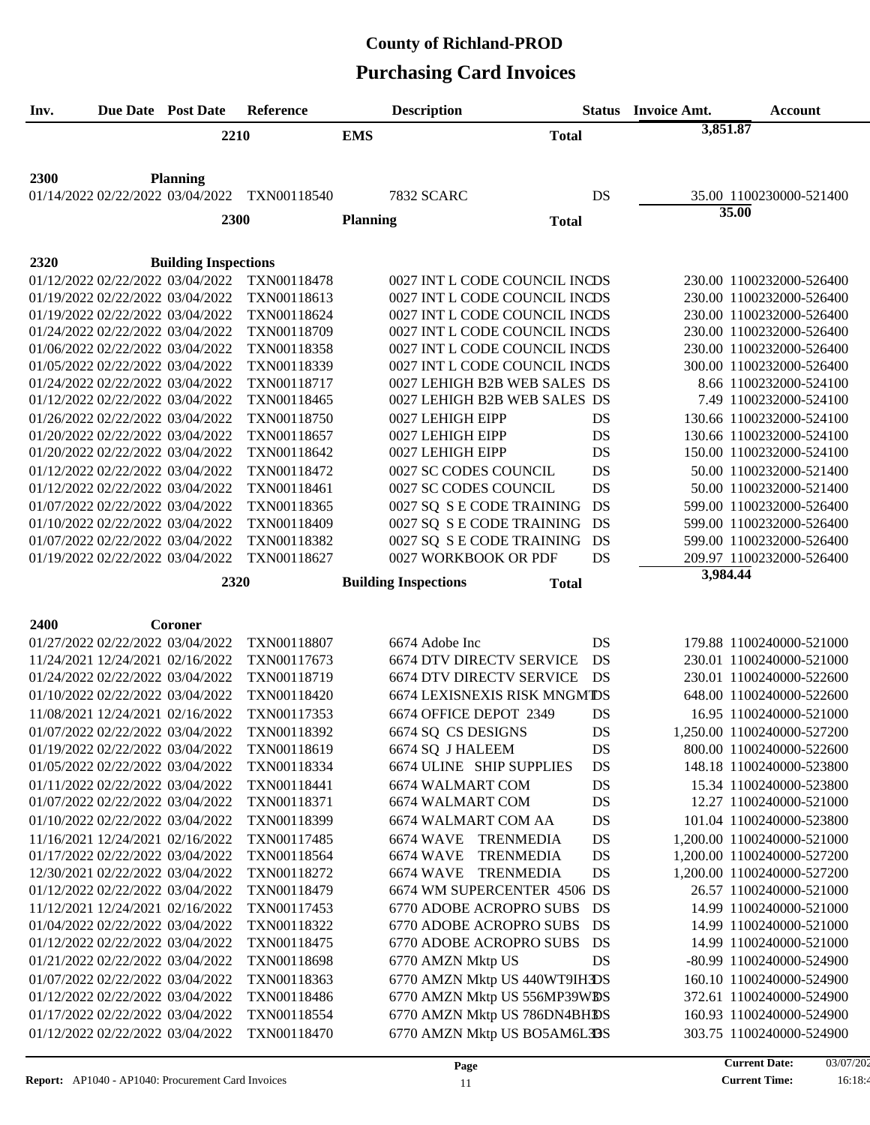|                                  | <b>Due Date Post Date</b>   | <b>Reference</b> | <b>Description</b>                   | <b>Status</b> | <b>Invoice Amt.</b> | <b>Account</b>             |
|----------------------------------|-----------------------------|------------------|--------------------------------------|---------------|---------------------|----------------------------|
|                                  | 2210                        |                  | <b>EMS</b>                           | <b>Total</b>  | 3,851.87            |                            |
|                                  |                             |                  |                                      |               |                     |                            |
|                                  |                             |                  |                                      |               |                     |                            |
| 2300                             | <b>Planning</b>             |                  |                                      |               |                     |                            |
| 01/14/2022 02/22/2022 03/04/2022 |                             | TXN00118540      | <b>7832 SCARC</b>                    | <b>DS</b>     |                     | 35.00 1100230000-521400    |
|                                  | 2300                        |                  | <b>Planning</b>                      | <b>Total</b>  |                     | 35.00                      |
|                                  |                             |                  |                                      |               |                     |                            |
| 2320                             | <b>Building Inspections</b> |                  |                                      |               |                     |                            |
| 01/12/2022 02/22/2022 03/04/2022 |                             | TXN00118478      | 0027 INT L CODE COUNCIL INCDS        |               |                     | 230.00 1100232000-526400   |
| 01/19/2022 02/22/2022 03/04/2022 |                             | TXN00118613      | 0027 INT L CODE COUNCIL INCDS        |               |                     | 230.00 1100232000-526400   |
| 01/19/2022 02/22/2022 03/04/2022 |                             | TXN00118624      | 0027 INT L CODE COUNCIL INCDS        |               |                     | 230.00 1100232000-526400   |
| 01/24/2022 02/22/2022 03/04/2022 |                             | TXN00118709      | 0027 INT L CODE COUNCIL INCDS        |               |                     | 230.00 1100232000-526400   |
| 01/06/2022 02/22/2022 03/04/2022 |                             | TXN00118358      | 0027 INT L CODE COUNCIL INCDS        |               |                     | 230.00 1100232000-526400   |
| 01/05/2022 02/22/2022 03/04/2022 |                             | TXN00118339      | 0027 INT L CODE COUNCIL INCDS        |               |                     | 300.00 1100232000-526400   |
| 01/24/2022 02/22/2022 03/04/2022 |                             | TXN00118717      | 0027 LEHIGH B2B WEB SALES DS         |               |                     | 8.66 1100232000-524100     |
| 01/12/2022 02/22/2022 03/04/2022 |                             | TXN00118465      | 0027 LEHIGH B2B WEB SALES DS         |               |                     | 7.49 1100232000-524100     |
| 01/26/2022 02/22/2022 03/04/2022 |                             | TXN00118750      | 0027 LEHIGH EIPP                     | DS            |                     | 130.66 1100232000-524100   |
| 01/20/2022 02/22/2022 03/04/2022 |                             | TXN00118657      | 0027 LEHIGH EIPP                     | DS            |                     | 130.66 1100232000-524100   |
| 01/20/2022 02/22/2022 03/04/2022 |                             | TXN00118642      | 0027 LEHIGH EIPP                     | DS            |                     | 150.00 1100232000-524100   |
|                                  |                             |                  | 0027 SC CODES COUNCIL                |               |                     |                            |
| 01/12/2022 02/22/2022 03/04/2022 |                             | TXN00118472      | 0027 SC CODES COUNCIL                | DS            |                     | 50.00 1100232000-521400    |
| 01/12/2022 02/22/2022 03/04/2022 |                             | TXN00118461      |                                      | DS            |                     | 50.00 1100232000-521400    |
| 01/07/2022 02/22/2022 03/04/2022 |                             | TXN00118365      | 0027 SQ S E CODE TRAINING            | DS            |                     | 599.00 1100232000-526400   |
| 01/10/2022 02/22/2022 03/04/2022 |                             | TXN00118409      | 0027 SQ S E CODE TRAINING            | DS            |                     | 599.00 1100232000-526400   |
| 01/07/2022 02/22/2022 03/04/2022 |                             | TXN00118382      | 0027 SQ S E CODE TRAINING            | DS            |                     | 599.00 1100232000-526400   |
| 01/19/2022 02/22/2022 03/04/2022 |                             | TXN00118627      | 0027 WORKBOOK OR PDF                 | DS            |                     | 209.97 1100232000-526400   |
|                                  | 2320                        |                  | <b>Building Inspections</b>          | <b>Total</b>  | 3,984.44            |                            |
|                                  |                             |                  |                                      |               |                     |                            |
|                                  |                             |                  |                                      |               |                     |                            |
|                                  |                             |                  |                                      |               |                     |                            |
| 2400                             | Coroner                     |                  |                                      |               |                     |                            |
| 01/27/2022 02/22/2022 03/04/2022 |                             | TXN00118807      | 6674 Adobe Inc                       | DS            |                     | 179.88 1100240000-521000   |
| 11/24/2021 12/24/2021 02/16/2022 |                             | TXN00117673      | <b>6674 DTV DIRECTV SERVICE</b>      | DS            |                     | 230.01 1100240000-521000   |
| 01/24/2022 02/22/2022 03/04/2022 |                             | TXN00118719      | <b>6674 DTV DIRECTV SERVICE</b>      | DS            |                     | 230.01 1100240000-522600   |
| 01/10/2022 02/22/2022 03/04/2022 |                             | TXN00118420      | <b>6674 LEXISNEXIS RISK MNGMTDS</b>  |               |                     | 648.00 1100240000-522600   |
| 11/08/2021 12/24/2021 02/16/2022 |                             | TXN00117353      | 6674 OFFICE DEPOT 2349               | DS            |                     | 16.95 1100240000-521000    |
| 01/07/2022 02/22/2022 03/04/2022 |                             | TXN00118392      | 6674 SQ CS DESIGNS                   | DS            |                     | 1,250.00 1100240000-527200 |
| 01/19/2022 02/22/2022 03/04/2022 |                             | TXN00118619      | 6674 SQ J HALEEM                     | DS            |                     | 800.00 1100240000-522600   |
| 01/05/2022 02/22/2022 03/04/2022 |                             | TXN00118334      | 6674 ULINE SHIP SUPPLIES             | DS            |                     | 148.18 1100240000-523800   |
| 01/11/2022 02/22/2022 03/04/2022 |                             | TXN00118441      | <b>6674 WALMART COM</b>              | DS            |                     | 15.34 1100240000-523800    |
| 01/07/2022 02/22/2022 03/04/2022 |                             | TXN00118371      | <b>6674 WALMART COM</b>              | DS            |                     | 12.27 1100240000-521000    |
| 01/10/2022 02/22/2022 03/04/2022 |                             | TXN00118399      | <b>6674 WALMART COM AA</b>           | DS            |                     | 101.04 1100240000-523800   |
| 11/16/2021 12/24/2021 02/16/2022 |                             | TXN00117485      | <b>TRENMEDIA</b><br>6674 WAVE        | DS            |                     | 1,200.00 1100240000-521000 |
| 01/17/2022 02/22/2022 03/04/2022 |                             | TXN00118564      | <b>6674 WAVE</b><br><b>TRENMEDIA</b> | DS            |                     | 1,200.00 1100240000-527200 |
| 12/30/2021 02/22/2022 03/04/2022 |                             | TXN00118272      | 6674 WAVE<br>TRENMEDIA               | DS            |                     | 1,200.00 1100240000-527200 |
| 01/12/2022 02/22/2022 03/04/2022 |                             | TXN00118479      | 6674 WM SUPERCENTER 4506 DS          |               |                     | 26.57 1100240000-521000    |
| 11/12/2021 12/24/2021 02/16/2022 |                             | TXN00117453      | <b>6770 ADOBE ACROPRO SUBS</b>       | DS            |                     | 14.99 1100240000-521000    |
| 01/04/2022 02/22/2022 03/04/2022 |                             | TXN00118322      | 6770 ADOBE ACROPRO SUBS              | DS            |                     | 14.99 1100240000-521000    |
| 01/12/2022 02/22/2022 03/04/2022 |                             | TXN00118475      | 6770 ADOBE ACROPRO SUBS              | DS            |                     | 14.99 1100240000-521000    |
| 01/21/2022 02/22/2022 03/04/2022 |                             | TXN00118698      | 6770 AMZN Mktp US                    | DS            |                     | -80.99 1100240000-524900   |
| 01/07/2022 02/22/2022 03/04/2022 |                             | TXN00118363      | 6770 AMZN Mktp US 440WT9IH3DS        |               |                     | 160.10 1100240000-524900   |
| 01/12/2022 02/22/2022 03/04/2022 |                             | TXN00118486      | 6770 AMZN Mktp US 556MP39WDS         |               |                     | 372.61 1100240000-524900   |
| 01/17/2022 02/22/2022 03/04/2022 |                             | TXN00118554      | 6770 AMZN Mktp US 786DN4BHDS         |               |                     | 160.93 1100240000-524900   |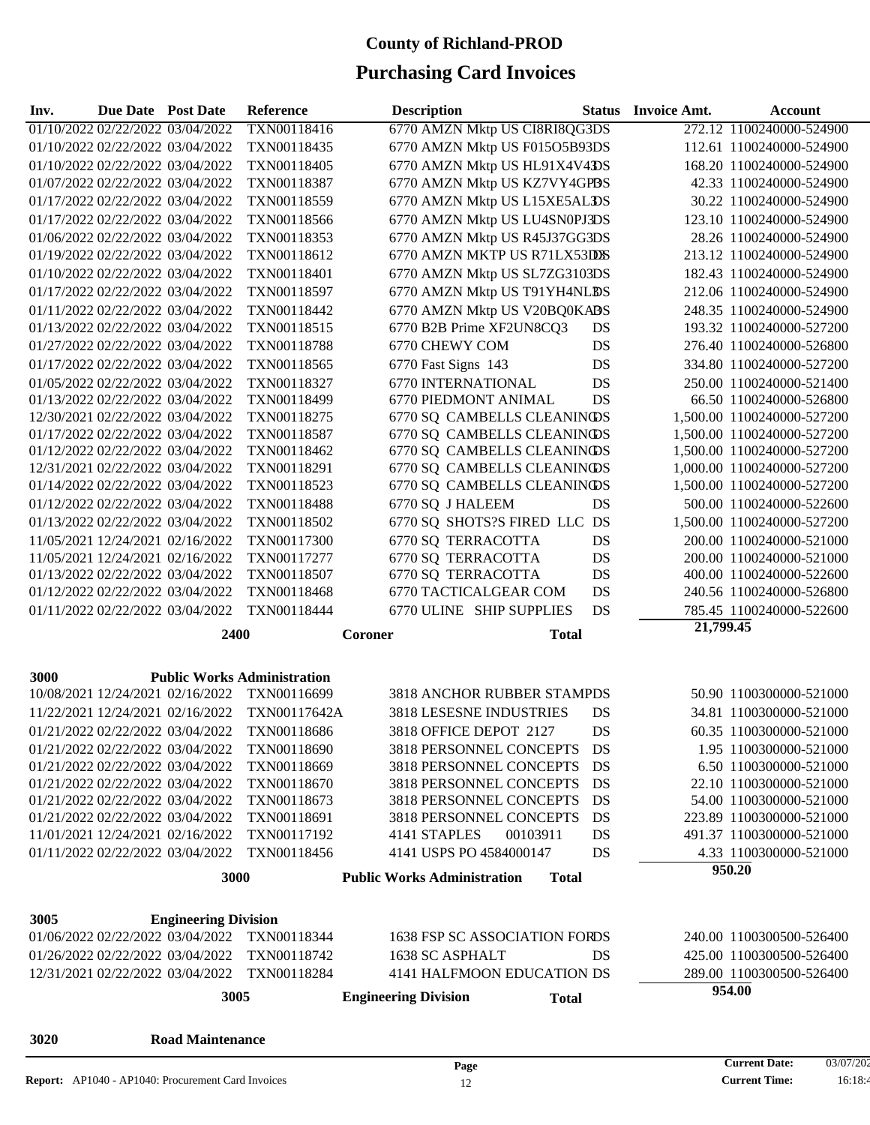| Inv. | <b>Due Date</b> Post Date |                                  | Reference                          | <b>Description</b>                 |                                   | <b>Status</b> Invoice Amt. | <b>Account</b>             |
|------|---------------------------|----------------------------------|------------------------------------|------------------------------------|-----------------------------------|----------------------------|----------------------------|
|      |                           | 01/10/2022 02/22/2022 03/04/2022 | TXN00118416                        |                                    | 6770 AMZN Mktp US CI8RI8QG3DS     |                            | 272.12 1100240000-524900   |
|      |                           | 01/10/2022 02/22/2022 03/04/2022 | TXN00118435                        |                                    | 6770 AMZN Mktp US F015O5B93DS     |                            | 112.61 1100240000-524900   |
|      |                           | 01/10/2022 02/22/2022 03/04/2022 | TXN00118405                        |                                    | 6770 AMZN Mktp US HL91X4V4DS      |                            | 168.20 1100240000-524900   |
|      |                           | 01/07/2022 02/22/2022 03/04/2022 | TXN00118387                        |                                    | 6770 AMZN Mktp US KZ7VY4GPBS      |                            | 42.33 1100240000-524900    |
|      |                           | 01/17/2022 02/22/2022 03/04/2022 | TXN00118559                        |                                    | 6770 AMZN Mktp US L15XE5ALDS      |                            | 30.22 1100240000-524900    |
|      |                           | 01/17/2022 02/22/2022 03/04/2022 | TXN00118566                        |                                    | 6770 AMZN Mktp US LU4SN0PJ3DS     |                            | 123.10 1100240000-524900   |
|      |                           | 01/06/2022 02/22/2022 03/04/2022 | TXN00118353                        |                                    | 6770 AMZN Mktp US R45J37GG3DS     |                            | 28.26 1100240000-524900    |
|      |                           | 01/19/2022 02/22/2022 03/04/2022 | TXN00118612                        |                                    | 6770 AMZN MKTP US R71LX53DXS      |                            | 213.12 1100240000-524900   |
|      |                           | 01/10/2022 02/22/2022 03/04/2022 | TXN00118401                        |                                    | 6770 AMZN Mktp US SL7ZG3103DS     |                            | 182.43 1100240000-524900   |
|      |                           | 01/17/2022 02/22/2022 03/04/2022 | TXN00118597                        |                                    | 6770 AMZN Mktp US T91YH4NLBS      |                            | 212.06 1100240000-524900   |
|      |                           | 01/11/2022 02/22/2022 03/04/2022 | TXN00118442                        |                                    | 6770 AMZN Mktp US V20BQ0KABS      |                            | 248.35 1100240000-524900   |
|      |                           | 01/13/2022 02/22/2022 03/04/2022 | TXN00118515                        | 6770 B2B Prime XF2UN8CQ3           | DS                                |                            | 193.32 1100240000-527200   |
|      |                           | 01/27/2022 02/22/2022 03/04/2022 | TXN00118788                        | 6770 CHEWY COM                     | DS                                |                            | 276.40 1100240000-526800   |
|      |                           | 01/17/2022 02/22/2022 03/04/2022 | TXN00118565                        | 6770 Fast Signs 143                | DS                                |                            | 334.80 1100240000-527200   |
|      |                           | 01/05/2022 02/22/2022 03/04/2022 | TXN00118327                        | 6770 INTERNATIONAL                 | DS                                |                            | 250.00 1100240000-521400   |
|      |                           | 01/13/2022 02/22/2022 03/04/2022 | TXN00118499                        | 6770 PIEDMONT ANIMAL               | DS                                |                            | 66.50 1100240000-526800    |
|      |                           | 12/30/2021 02/22/2022 03/04/2022 | TXN00118275                        |                                    | 6770 SQ CAMBELLS CLEANINGDS       |                            | 1,500.00 1100240000-527200 |
|      |                           | 01/17/2022 02/22/2022 03/04/2022 | TXN00118587                        |                                    | 6770 SQ CAMBELLS CLEANINGDS       |                            | 1,500.00 1100240000-527200 |
|      |                           | 01/12/2022 02/22/2022 03/04/2022 | TXN00118462                        |                                    | 6770 SQ CAMBELLS CLEANINGDS       |                            | 1,500.00 1100240000-527200 |
|      |                           | 12/31/2021 02/22/2022 03/04/2022 | TXN00118291                        |                                    | 6770 SQ CAMBELLS CLEANINOS        |                            | 1,000.00 1100240000-527200 |
|      |                           | 01/14/2022 02/22/2022 03/04/2022 | TXN00118523                        |                                    | 6770 SQ CAMBELLS CLEANINOS        |                            | 1,500.00 1100240000-527200 |
|      |                           | 01/12/2022 02/22/2022 03/04/2022 | TXN00118488                        | 6770 SQ J HALEEM                   | DS                                |                            | 500.00 1100240000-522600   |
|      |                           | 01/13/2022 02/22/2022 03/04/2022 | TXN00118502                        |                                    | 6770 SQ SHOTS?S FIRED LLC DS      |                            | 1,500.00 1100240000-527200 |
|      |                           | 11/05/2021 12/24/2021 02/16/2022 | TXN00117300                        | 6770 SQ TERRACOTTA                 | DS                                |                            | 200.00 1100240000-521000   |
|      |                           | 11/05/2021 12/24/2021 02/16/2022 | TXN00117277                        | 6770 SQ TERRACOTTA                 | DS                                |                            | 200.00 1100240000-521000   |
|      |                           | 01/13/2022 02/22/2022 03/04/2022 | TXN00118507                        | 6770 SQ TERRACOTTA                 | DS                                |                            | 400.00 1100240000-522600   |
|      |                           | 01/12/2022 02/22/2022 03/04/2022 | TXN00118468                        | 6770 TACTICALGEAR COM              | DS                                |                            | 240.56 1100240000-526800   |
|      |                           | 01/11/2022 02/22/2022 03/04/2022 | TXN00118444                        | 6770 ULINE SHIP SUPPLIES           | DS                                |                            | 785.45 1100240000-522600   |
|      |                           | 2400                             |                                    | Coroner                            | <b>Total</b>                      | 21,799.45                  |                            |
|      |                           |                                  |                                    |                                    |                                   |                            |                            |
| 3000 |                           |                                  | <b>Public Works Administration</b> |                                    |                                   |                            |                            |
|      |                           | 10/08/2021 12/24/2021 02/16/2022 | TXN00116699                        |                                    | <b>3818 ANCHOR RUBBER STAMPDS</b> |                            | 50.90 1100300000-521000    |
|      |                           | 11/22/2021 12/24/2021 02/16/2022 | TXN00117642A                       | 3818 LESESNE INDUSTRIES            | DS                                |                            | 34.81 1100300000-521000    |
|      |                           | 01/21/2022 02/22/2022 03/04/2022 | TXN00118686                        | 3818 OFFICE DEPOT 2127             | DS                                |                            | 60.35 1100300000-521000    |
|      |                           | 01/21/2022 02/22/2022 03/04/2022 | TXN00118690                        | <b>3818 PERSONNEL CONCEPTS</b>     | DS                                |                            | 1.95 1100300000-521000     |
|      |                           | 01/21/2022 02/22/2022 03/04/2022 | TXN00118669                        | 3818 PERSONNEL CONCEPTS            | DS                                |                            | 6.50 1100300000-521000     |
|      |                           | 01/21/2022 02/22/2022 03/04/2022 | TXN00118670                        | 3818 PERSONNEL CONCEPTS            | DS                                |                            | 22.10 1100300000-521000    |
|      |                           | 01/21/2022 02/22/2022 03/04/2022 | TXN00118673                        | 3818 PERSONNEL CONCEPTS            | DS                                |                            | 54.00 1100300000-521000    |
|      |                           | 01/21/2022 02/22/2022 03/04/2022 | TXN00118691                        | 3818 PERSONNEL CONCEPTS            | DS                                |                            | 223.89 1100300000-521000   |
|      |                           | 11/01/2021 12/24/2021 02/16/2022 | TXN00117192                        | 4141 STAPLES                       | DS<br>00103911                    |                            | 491.37 1100300000-521000   |
|      |                           | 01/11/2022 02/22/2022 03/04/2022 | TXN00118456                        | 4141 USPS PO 4584000147            | DS                                |                            | 4.33 1100300000-521000     |
|      |                           | 3000                             |                                    | <b>Public Works Administration</b> | <b>Total</b>                      |                            | 950.20                     |
|      |                           |                                  |                                    |                                    |                                   |                            |                            |
| 3005 |                           | <b>Engineering Division</b>      |                                    |                                    |                                   |                            |                            |
|      |                           | 01/06/2022 02/22/2022 03/04/2022 | TXN00118344                        |                                    | 1638 FSP SC ASSOCIATION FORDS     |                            | 240.00 1100300500-526400   |
|      |                           | 01/26/2022 02/22/2022 03/04/2022 | TXN00118742                        | 1638 SC ASPHALT                    | DS                                |                            | 425.00 1100300500-526400   |
|      |                           | 12/31/2021 02/22/2022 03/04/2022 | TXN00118284                        |                                    | 4141 HALFMOON EDUCATION DS        |                            | 289.00 1100300500-526400   |
|      |                           | 3005                             |                                    | <b>Engineering Division</b>        | <b>Total</b>                      |                            | 954.00                     |
|      |                           |                                  |                                    |                                    |                                   |                            |                            |
| 3020 |                           | <b>Road Maintenance</b>          |                                    |                                    |                                   |                            |                            |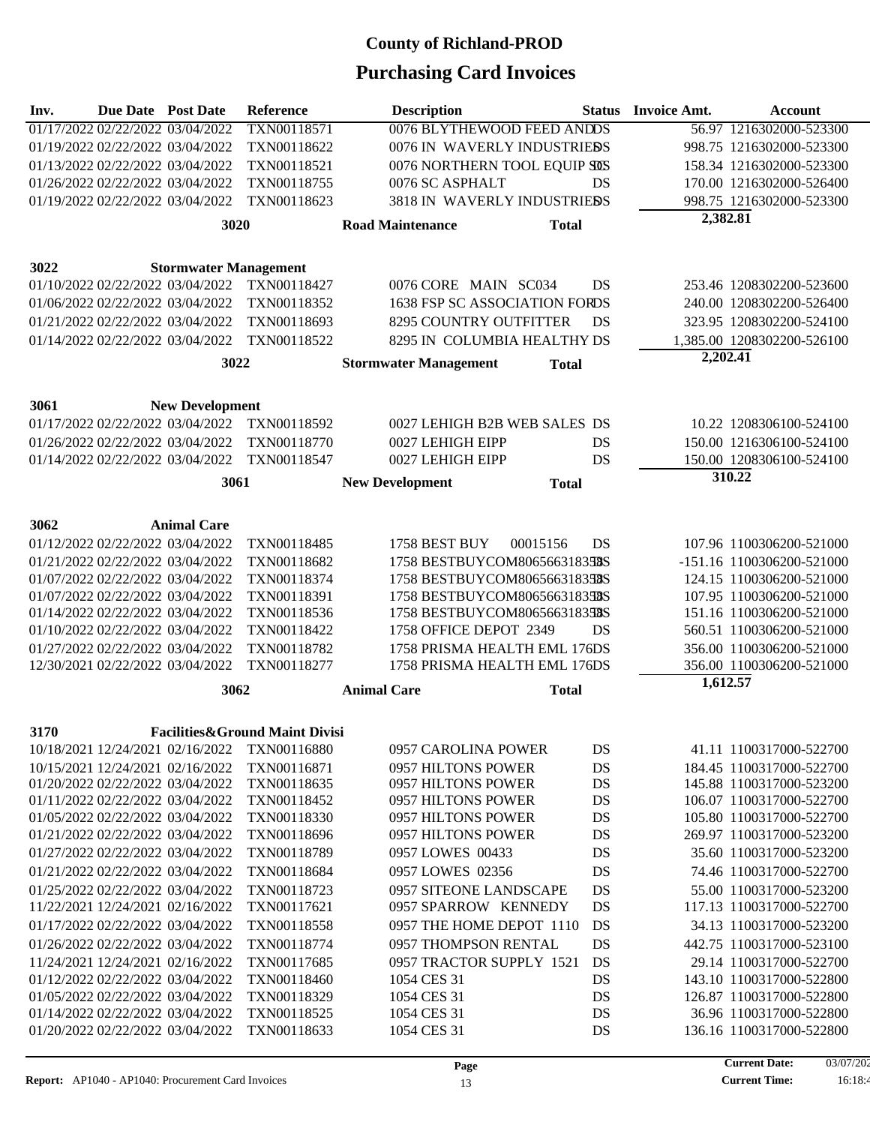| Inv. | <b>Due Date Post Date</b>                                            |                                  | Reference                                   |                    | <b>Description</b>           |                               | <b>Status</b> | <b>Invoice Amt.</b> | <b>Account</b>                                      |
|------|----------------------------------------------------------------------|----------------------------------|---------------------------------------------|--------------------|------------------------------|-------------------------------|---------------|---------------------|-----------------------------------------------------|
|      | 01/17/2022 02/22/2022 03/04/2022                                     |                                  | TXN00118571                                 |                    |                              | 0076 BLYTHEWOOD FEED ANDDS    |               |                     | 56.97 1216302000-523300                             |
|      | 01/19/2022 02/22/2022 03/04/2022                                     |                                  | TXN00118622                                 |                    |                              | 0076 IN WAVERLY INDUSTRIEDS   |               |                     | 998.75 1216302000-523300                            |
|      | 01/13/2022 02/22/2022 03/04/2022                                     |                                  | TXN00118521                                 |                    |                              | 0076 NORTHERN TOOL EQUIP SOS  |               |                     | 158.34 1216302000-523300                            |
|      | 01/26/2022 02/22/2022 03/04/2022                                     |                                  | TXN00118755                                 |                    | 0076 SC ASPHALT              |                               | DS            |                     | 170.00 1216302000-526400                            |
|      | 01/19/2022 02/22/2022 03/04/2022                                     |                                  | TXN00118623                                 |                    |                              | 3818 IN WAVERLY INDUSTRIEDS   |               |                     | 998.75 1216302000-523300                            |
|      |                                                                      | 3020                             |                                             |                    | <b>Road Maintenance</b>      | <b>Total</b>                  |               | 2,382.81            |                                                     |
|      |                                                                      |                                  |                                             |                    |                              |                               |               |                     |                                                     |
| 3022 |                                                                      | <b>Stormwater Management</b>     |                                             |                    |                              |                               |               |                     |                                                     |
|      |                                                                      | 01/10/2022 02/22/2022 03/04/2022 | TXN00118427                                 |                    | 0076 CORE MAIN SC034         |                               | DS            |                     | 253.46 1208302200-523600                            |
|      | 01/06/2022 02/22/2022 03/04/2022                                     |                                  | TXN00118352                                 |                    |                              | 1638 FSP SC ASSOCIATION FORDS |               |                     | 240.00 1208302200-526400                            |
|      | 01/21/2022 02/22/2022 03/04/2022                                     |                                  | TXN00118693                                 |                    | 8295 COUNTRY OUTFITTER       |                               | DS            |                     | 323.95 1208302200-524100                            |
|      | 01/14/2022 02/22/2022 03/04/2022                                     |                                  | TXN00118522                                 |                    |                              | 8295 IN COLUMBIA HEALTHY DS   |               |                     | 1,385.00 1208302200-526100                          |
|      |                                                                      | 3022                             |                                             |                    | <b>Stormwater Management</b> | <b>Total</b>                  |               | 2,202.41            |                                                     |
|      |                                                                      |                                  |                                             |                    |                              |                               |               |                     |                                                     |
| 3061 |                                                                      | <b>New Development</b>           |                                             |                    |                              |                               |               |                     |                                                     |
|      | 01/17/2022 02/22/2022 03/04/2022                                     |                                  | TXN00118592                                 |                    |                              | 0027 LEHIGH B2B WEB SALES DS  |               |                     | 10.22 1208306100-524100                             |
|      | 01/26/2022 02/22/2022 03/04/2022                                     |                                  | TXN00118770                                 |                    | 0027 LEHIGH EIPP             |                               | DS            |                     | 150.00 1216306100-524100                            |
|      | 01/14/2022 02/22/2022 03/04/2022                                     |                                  | TXN00118547                                 |                    | 0027 LEHIGH EIPP             |                               | DS            |                     | 150.00 1208306100-524100                            |
|      |                                                                      | 3061                             |                                             |                    | <b>New Development</b>       | <b>Total</b>                  |               |                     | 310.22                                              |
|      |                                                                      |                                  |                                             |                    |                              |                               |               |                     |                                                     |
| 3062 |                                                                      | <b>Animal Care</b>               |                                             |                    |                              |                               |               |                     |                                                     |
|      | 01/12/2022 02/22/2022 03/04/2022                                     |                                  | TXN00118485                                 |                    | 1758 BEST BUY                | 00015156                      | DS            |                     | 107.96 1100306200-521000                            |
|      | 01/21/2022 02/22/2022 03/04/2022                                     |                                  | TXN00118682                                 |                    |                              | 1758 BESTBUYCOM806566318353S  |               |                     | -151.16 1100306200-521000                           |
|      | 01/07/2022 02/22/2022 03/04/2022                                     |                                  | TXN00118374                                 |                    |                              | 1758 BESTBUYCOM806566318358S  |               |                     | 124.15 1100306200-521000                            |
|      | 01/07/2022 02/22/2022 03/04/2022                                     |                                  | TXN00118391                                 |                    |                              | 1758 BESTBUYCOM806566318358S  |               |                     | 107.95 1100306200-521000                            |
|      | 01/14/2022 02/22/2022 03/04/2022                                     |                                  | TXN00118536                                 |                    |                              | 1758 BESTBUYCOM806566318358S  |               |                     | 151.16 1100306200-521000                            |
|      | 01/10/2022 02/22/2022 03/04/2022                                     |                                  | TXN00118422                                 |                    | 1758 OFFICE DEPOT 2349       |                               | DS            |                     | 560.51 1100306200-521000                            |
|      | 01/27/2022 02/22/2022 03/04/2022                                     |                                  | TXN00118782                                 |                    |                              | 1758 PRISMA HEALTH EML 176DS  |               |                     | 356.00 1100306200-521000                            |
|      | 12/30/2021 02/22/2022 03/04/2022                                     |                                  | TXN00118277                                 |                    |                              | 1758 PRISMA HEALTH EML 176DS  |               |                     | 356.00 1100306200-521000                            |
|      |                                                                      | 3062                             |                                             | <b>Animal Care</b> |                              | <b>Total</b>                  |               | 1,612.57            |                                                     |
|      |                                                                      |                                  |                                             |                    |                              |                               |               |                     |                                                     |
| 3170 |                                                                      |                                  | <b>Facilities &amp; Ground Maint Divisi</b> |                    |                              |                               |               |                     |                                                     |
|      | 10/18/2021 12/24/2021 02/16/2022                                     |                                  | TXN00116880                                 |                    | 0957 CAROLINA POWER          |                               | DS            |                     | 41.11 1100317000-522700                             |
|      | 10/15/2021 12/24/2021 02/16/2022                                     |                                  | TXN00116871                                 |                    | 0957 HILTONS POWER           |                               | DS            |                     | 184.45 1100317000-522700                            |
|      | 01/20/2022 02/22/2022 03/04/2022                                     |                                  | TXN00118635                                 |                    | 0957 HILTONS POWER           |                               | DS            |                     | 145.88 1100317000-523200                            |
|      | 01/11/2022 02/22/2022 03/04/2022                                     |                                  | TXN00118452                                 |                    | 0957 HILTONS POWER           |                               | DS            |                     | 106.07 1100317000-522700                            |
|      | 01/05/2022 02/22/2022 03/04/2022                                     |                                  | TXN00118330                                 |                    | 0957 HILTONS POWER           |                               | DS            |                     | 105.80 1100317000-522700                            |
|      | 01/21/2022 02/22/2022 03/04/2022                                     |                                  | TXN00118696                                 |                    | 0957 HILTONS POWER           |                               | DS            |                     | 269.97 1100317000-523200                            |
|      | 01/27/2022 02/22/2022 03/04/2022                                     |                                  | TXN00118789                                 |                    | 0957 LOWES 00433             |                               | DS            |                     | 35.60 1100317000-523200                             |
|      | 01/21/2022 02/22/2022 03/04/2022                                     |                                  | TXN00118684                                 |                    | 0957 LOWES 02356             |                               | DS            |                     | 74.46 1100317000-522700                             |
|      | 01/25/2022 02/22/2022 03/04/2022                                     |                                  | TXN00118723                                 |                    | 0957 SITEONE LANDSCAPE       |                               | DS            |                     | 55.00 1100317000-523200                             |
|      | 11/22/2021 12/24/2021 02/16/2022                                     |                                  | TXN00117621                                 |                    | 0957 SPARROW KENNEDY         |                               | DS            |                     | 117.13 1100317000-522700                            |
|      | 01/17/2022 02/22/2022 03/04/2022                                     |                                  | TXN00118558                                 |                    |                              | 0957 THE HOME DEPOT 1110      | DS            |                     | 34.13 1100317000-523200                             |
|      | 01/26/2022 02/22/2022 03/04/2022                                     |                                  | TXN00118774                                 |                    | 0957 THOMPSON RENTAL         |                               | DS            |                     | 442.75 1100317000-523100                            |
|      | 11/24/2021 12/24/2021 02/16/2022                                     |                                  | TXN00117685                                 |                    |                              | 0957 TRACTOR SUPPLY 1521      | DS            |                     | 29.14 1100317000-522700                             |
|      | 01/12/2022 02/22/2022 03/04/2022                                     |                                  | TXN00118460                                 |                    | 1054 CES 31                  |                               | DS            |                     | 143.10 1100317000-522800                            |
|      | 01/05/2022 02/22/2022 03/04/2022<br>01/14/2022 02/22/2022 03/04/2022 |                                  | TXN00118329<br>TXN00118525                  |                    | 1054 CES 31<br>1054 CES 31   |                               | DS<br>DS      |                     | 126.87 1100317000-522800<br>36.96 1100317000-522800 |
|      | 01/20/2022 02/22/2022 03/04/2022                                     |                                  | TXN00118633                                 |                    | 1054 CES 31                  |                               | DS            |                     | 136.16 1100317000-522800                            |
|      |                                                                      |                                  |                                             |                    |                              |                               |               |                     |                                                     |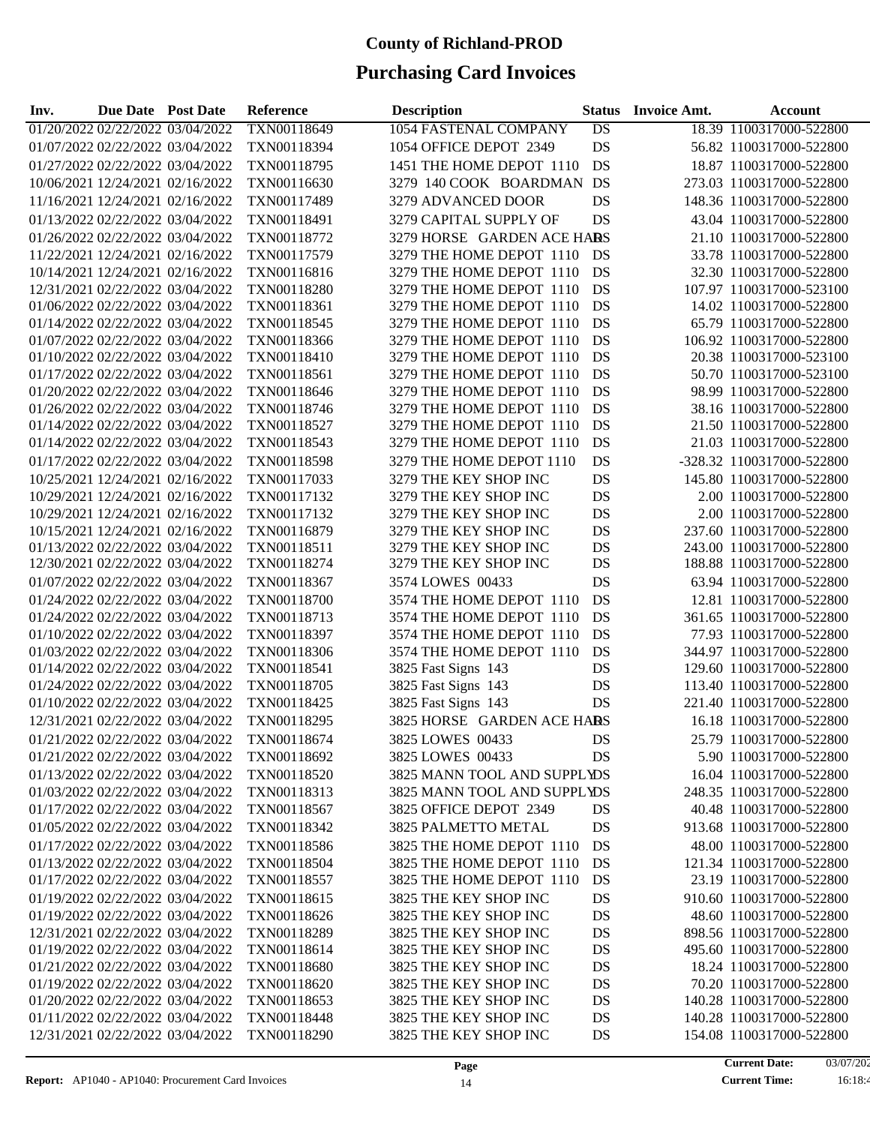| Inv.                             | Due Date Post Date |                                  | <b>Reference</b> | <b>Description</b>           | <b>Status</b>   | Invoice Amt. | Account                   |
|----------------------------------|--------------------|----------------------------------|------------------|------------------------------|-----------------|--------------|---------------------------|
|                                  |                    | 01/20/2022 02/22/2022 03/04/2022 | TXN00118649      | <b>1054 FASTENAL COMPANY</b> | $\overline{DS}$ |              | 18.39 1100317000-522800   |
|                                  |                    | 01/07/2022 02/22/2022 03/04/2022 | TXN00118394      | 1054 OFFICE DEPOT 2349       | DS              |              | 56.82 1100317000-522800   |
|                                  |                    | 01/27/2022 02/22/2022 03/04/2022 | TXN00118795      | 1451 THE HOME DEPOT 1110     | DS              |              | 18.87 1100317000-522800   |
|                                  |                    | 10/06/2021 12/24/2021 02/16/2022 | TXN00116630      | 3279 140 COOK BOARDMAN       | DS              |              | 273.03 1100317000-522800  |
|                                  |                    | 11/16/2021 12/24/2021 02/16/2022 | TXN00117489      | 3279 ADVANCED DOOR           | DS              |              | 148.36 1100317000-522800  |
| 01/13/2022 02/22/2022 03/04/2022 |                    |                                  | TXN00118491      | 3279 CAPITAL SUPPLY OF       | DS              |              | 43.04 1100317000-522800   |
| 01/26/2022 02/22/2022 03/04/2022 |                    |                                  | TXN00118772      | 3279 HORSE GARDEN ACE HARS   |                 |              | 21.10 1100317000-522800   |
|                                  |                    | 11/22/2021 12/24/2021 02/16/2022 | TXN00117579      | 3279 THE HOME DEPOT 1110     | DS              |              | 33.78 1100317000-522800   |
|                                  |                    | 10/14/2021 12/24/2021 02/16/2022 | TXN00116816      | 3279 THE HOME DEPOT 1110     | DS              |              | 32.30 1100317000-522800   |
|                                  |                    | 12/31/2021 02/22/2022 03/04/2022 | TXN00118280      | 3279 THE HOME DEPOT 1110     | DS              |              | 107.97 1100317000-523100  |
| 01/06/2022 02/22/2022 03/04/2022 |                    |                                  | TXN00118361      | 3279 THE HOME DEPOT 1110     | DS              |              | 14.02 1100317000-522800   |
| 01/14/2022 02/22/2022 03/04/2022 |                    |                                  | TXN00118545      | 3279 THE HOME DEPOT 1110     | DS              |              | 65.79 1100317000-522800   |
| 01/07/2022 02/22/2022 03/04/2022 |                    |                                  | TXN00118366      | 3279 THE HOME DEPOT 1110     | DS              |              | 106.92 1100317000-522800  |
| 01/10/2022 02/22/2022 03/04/2022 |                    |                                  | TXN00118410      | 3279 THE HOME DEPOT 1110     | DS              |              | 20.38 1100317000-523100   |
| 01/17/2022 02/22/2022 03/04/2022 |                    |                                  | TXN00118561      | 3279 THE HOME DEPOT 1110     | DS              |              | 50.70 1100317000-523100   |
| 01/20/2022 02/22/2022 03/04/2022 |                    |                                  | TXN00118646      | 3279 THE HOME DEPOT 1110     | DS              |              | 98.99 1100317000-522800   |
| 01/26/2022 02/22/2022 03/04/2022 |                    |                                  | TXN00118746      | 3279 THE HOME DEPOT 1110     | DS              |              | 38.16 1100317000-522800   |
| 01/14/2022 02/22/2022 03/04/2022 |                    |                                  | TXN00118527      | 3279 THE HOME DEPOT 1110     | DS              |              | 21.50 1100317000-522800   |
| 01/14/2022 02/22/2022 03/04/2022 |                    |                                  | TXN00118543      | 3279 THE HOME DEPOT 1110     | DS              |              | 21.03 1100317000-522800   |
|                                  |                    | 01/17/2022 02/22/2022 03/04/2022 | TXN00118598      | 3279 THE HOME DEPOT 1110     | DS              |              | -328.32 1100317000-522800 |
|                                  |                    | 10/25/2021 12/24/2021 02/16/2022 | TXN00117033      | 3279 THE KEY SHOP INC        | DS              |              | 145.80 1100317000-522800  |
|                                  |                    | 10/29/2021 12/24/2021 02/16/2022 | TXN00117132      | 3279 THE KEY SHOP INC        | DS              |              | 2.00 1100317000-522800    |
|                                  |                    | 10/29/2021 12/24/2021 02/16/2022 | TXN00117132      | 3279 THE KEY SHOP INC        | DS              |              | 2.00 1100317000-522800    |
|                                  |                    | 10/15/2021 12/24/2021 02/16/2022 | TXN00116879      | 3279 THE KEY SHOP INC        | DS              |              | 237.60 1100317000-522800  |
|                                  |                    | 01/13/2022 02/22/2022 03/04/2022 | TXN00118511      | 3279 THE KEY SHOP INC        | DS              |              | 243.00 1100317000-522800  |
|                                  |                    | 12/30/2021 02/22/2022 03/04/2022 | TXN00118274      | 3279 THE KEY SHOP INC        | DS              |              | 188.88 1100317000-522800  |
|                                  |                    | 01/07/2022 02/22/2022 03/04/2022 | TXN00118367      | 3574 LOWES 00433             | DS              |              | 63.94 1100317000-522800   |
|                                  |                    | 01/24/2022 02/22/2022 03/04/2022 | TXN00118700      | 3574 THE HOME DEPOT 1110     | DS              |              | 12.81 1100317000-522800   |
|                                  |                    | 01/24/2022 02/22/2022 03/04/2022 | TXN00118713      | 3574 THE HOME DEPOT 1110     | DS              |              | 361.65 1100317000-522800  |
|                                  |                    | 01/10/2022 02/22/2022 03/04/2022 | TXN00118397      | 3574 THE HOME DEPOT 1110     | DS              |              | 77.93 1100317000-522800   |
|                                  |                    | 01/03/2022 02/22/2022 03/04/2022 | TXN00118306      | 3574 THE HOME DEPOT 1110     | DS              |              | 344.97 1100317000-522800  |
|                                  |                    | 01/14/2022 02/22/2022 03/04/2022 | TXN00118541      | 3825 Fast Signs 143          | DS              |              | 129.60 1100317000-522800  |
|                                  |                    | 01/24/2022 02/22/2022 03/04/2022 | TXN00118705      | 3825 Fast Signs 143          | DS              |              | 113.40 1100317000-522800  |
|                                  |                    | 01/10/2022 02/22/2022 03/04/2022 | TXN00118425      | 3825 Fast Signs 143          | DS              |              | 221.40 1100317000-522800  |
|                                  |                    | 12/31/2021 02/22/2022 03/04/2022 | TXN00118295      | 3825 HORSE GARDEN ACE HARS   |                 |              | 16.18 1100317000-522800   |
| 01/21/2022 02/22/2022 03/04/2022 |                    |                                  | TXN00118674      | 3825 LOWES 00433             | DS              |              | 25.79 1100317000-522800   |
|                                  |                    | 01/21/2022 02/22/2022 03/04/2022 | TXN00118692      | 3825 LOWES 00433             | DS              |              | 5.90 1100317000-522800    |
|                                  |                    | 01/13/2022 02/22/2022 03/04/2022 | TXN00118520      | 3825 MANN TOOL AND SUPPLYDS  |                 |              | 16.04 1100317000-522800   |
|                                  |                    | 01/03/2022 02/22/2022 03/04/2022 | TXN00118313      | 3825 MANN TOOL AND SUPPLYDS  |                 |              | 248.35 1100317000-522800  |
|                                  |                    | 01/17/2022 02/22/2022 03/04/2022 | TXN00118567      | 3825 OFFICE DEPOT 2349       | DS              |              | 40.48 1100317000-522800   |
|                                  |                    | 01/05/2022 02/22/2022 03/04/2022 | TXN00118342      | 3825 PALMETTO METAL          | DS              |              | 913.68 1100317000-522800  |
|                                  |                    | 01/17/2022 02/22/2022 03/04/2022 | TXN00118586      | 3825 THE HOME DEPOT 1110     | DS              |              | 48.00 1100317000-522800   |
|                                  |                    | 01/13/2022 02/22/2022 03/04/2022 | TXN00118504      | 3825 THE HOME DEPOT 1110     | DS              |              | 121.34 1100317000-522800  |
|                                  |                    | 01/17/2022 02/22/2022 03/04/2022 | TXN00118557      | 3825 THE HOME DEPOT 1110     | DS              |              | 23.19 1100317000-522800   |
|                                  |                    | 01/19/2022 02/22/2022 03/04/2022 | TXN00118615      | 3825 THE KEY SHOP INC        | DS              |              | 910.60 1100317000-522800  |
|                                  |                    | 01/19/2022 02/22/2022 03/04/2022 | TXN00118626      | 3825 THE KEY SHOP INC        | DS              |              | 48.60 1100317000-522800   |
|                                  |                    | 12/31/2021 02/22/2022 03/04/2022 | TXN00118289      | 3825 THE KEY SHOP INC        | DS              |              | 898.56 1100317000-522800  |
|                                  |                    | 01/19/2022 02/22/2022 03/04/2022 | TXN00118614      | 3825 THE KEY SHOP INC        | DS              |              | 495.60 1100317000-522800  |
|                                  |                    | 01/21/2022 02/22/2022 03/04/2022 | TXN00118680      | 3825 THE KEY SHOP INC        | DS              |              | 18.24 1100317000-522800   |
|                                  |                    | 01/19/2022 02/22/2022 03/04/2022 | TXN00118620      | 3825 THE KEY SHOP INC        | DS              |              | 70.20 1100317000-522800   |
|                                  |                    | 01/20/2022 02/22/2022 03/04/2022 | TXN00118653      | 3825 THE KEY SHOP INC        | DS              |              | 140.28 1100317000-522800  |
|                                  |                    | 01/11/2022 02/22/2022 03/04/2022 | TXN00118448      | 3825 THE KEY SHOP INC        | DS              |              | 140.28 1100317000-522800  |
|                                  |                    | 12/31/2021 02/22/2022 03/04/2022 | TXN00118290      | 3825 THE KEY SHOP INC        | DS              |              | 154.08 1100317000-522800  |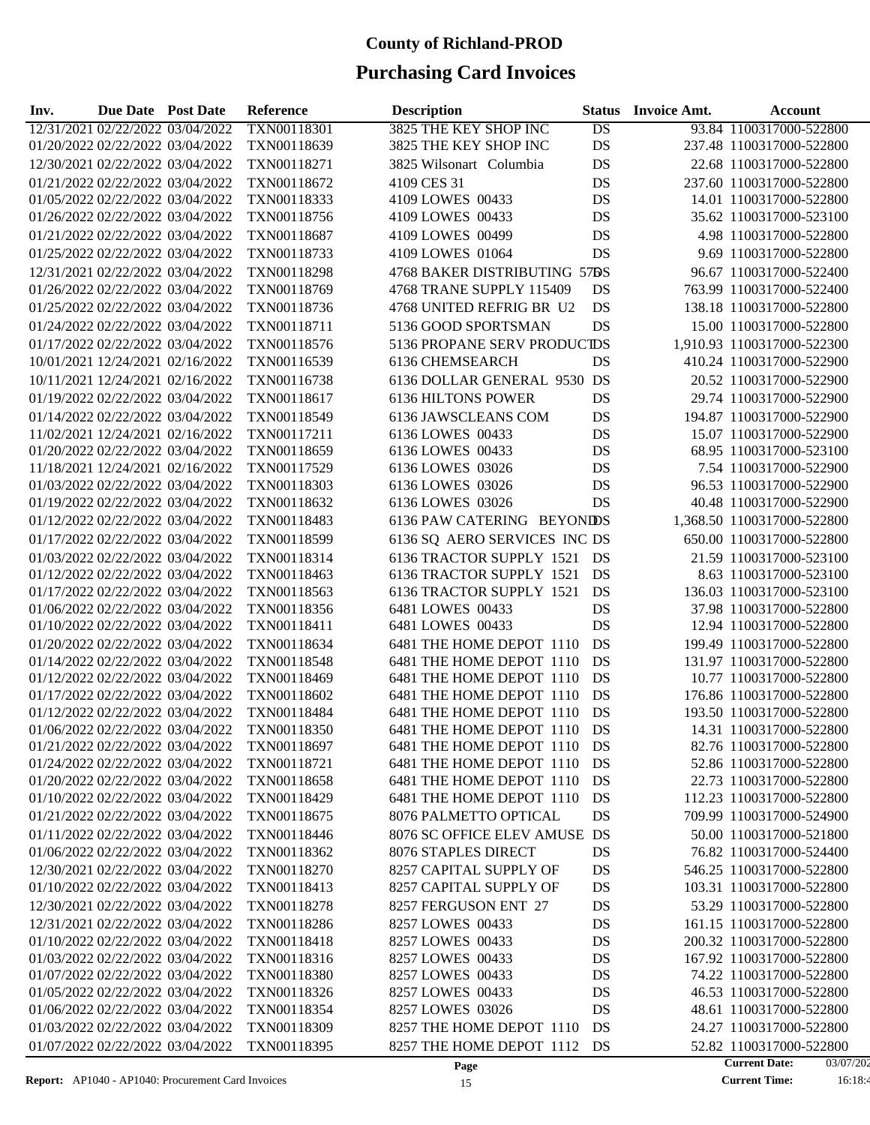## **Purchasing Card Invoices**

| Inv. | Due Date Post Date |                                  | <b>Reference</b> | <b>Description</b>           | <b>Status</b> | <b>Invoice Amt.</b> | Account                          |
|------|--------------------|----------------------------------|------------------|------------------------------|---------------|---------------------|----------------------------------|
|      |                    | 12/31/2021 02/22/2022 03/04/2022 | TXN00118301      | 3825 THE KEY SHOP INC        | DS            |                     | 93.84 1100317000-522800          |
|      |                    | 01/20/2022 02/22/2022 03/04/2022 | TXN00118639      | 3825 THE KEY SHOP INC        | DS            |                     | 237.48 1100317000-522800         |
|      |                    | 12/30/2021 02/22/2022 03/04/2022 | TXN00118271      | 3825 Wilsonart Columbia      | DS            |                     | 22.68 1100317000-522800          |
|      |                    | 01/21/2022 02/22/2022 03/04/2022 | TXN00118672      | 4109 CES 31                  | DS            |                     | 237.60 1100317000-522800         |
|      |                    | 01/05/2022 02/22/2022 03/04/2022 | TXN00118333      | 4109 LOWES 00433             | DS            |                     | 14.01 1100317000-522800          |
|      |                    | 01/26/2022 02/22/2022 03/04/2022 | TXN00118756      | 4109 LOWES 00433             | DS            |                     | 35.62 1100317000-523100          |
|      |                    | 01/21/2022 02/22/2022 03/04/2022 | TXN00118687      | 4109 LOWES 00499             | DS            |                     | 4.98 1100317000-522800           |
|      |                    | 01/25/2022 02/22/2022 03/04/2022 | TXN00118733      | 4109 LOWES 01064             | DS            |                     | 9.69 1100317000-522800           |
|      |                    | 12/31/2021 02/22/2022 03/04/2022 | TXN00118298      | 4768 BAKER DISTRIBUTING 57DS |               |                     | 96.67 1100317000-522400          |
|      |                    | 01/26/2022 02/22/2022 03/04/2022 | TXN00118769      | 4768 TRANE SUPPLY 115409     | DS            |                     | 763.99 1100317000-522400         |
|      |                    | 01/25/2022 02/22/2022 03/04/2022 | TXN00118736      | 4768 UNITED REFRIG BR U2     | DS            |                     | 138.18 1100317000-522800         |
|      |                    | 01/24/2022 02/22/2022 03/04/2022 | TXN00118711      | 5136 GOOD SPORTSMAN          | DS            |                     | 15.00 1100317000-522800          |
|      |                    | 01/17/2022 02/22/2022 03/04/2022 | TXN00118576      | 5136 PROPANE SERV PRODUCTDS  |               |                     | 1,910.93 1100317000-522300       |
|      |                    | 10/01/2021 12/24/2021 02/16/2022 | TXN00116539      | 6136 CHEMSEARCH              | DS            |                     | 410.24 1100317000-522900         |
|      |                    | 10/11/2021 12/24/2021 02/16/2022 | TXN00116738      | 6136 DOLLAR GENERAL 9530 DS  |               |                     | 20.52 1100317000-522900          |
|      |                    | 01/19/2022 02/22/2022 03/04/2022 | TXN00118617      | <b>6136 HILTONS POWER</b>    | DS            |                     | 29.74 1100317000-522900          |
|      |                    | 01/14/2022 02/22/2022 03/04/2022 | TXN00118549      | 6136 JAWSCLEANS COM          | DS            |                     | 194.87 1100317000-522900         |
|      |                    | 11/02/2021 12/24/2021 02/16/2022 | TXN00117211      | 6136 LOWES 00433             | DS            |                     | 15.07 1100317000-522900          |
|      |                    | 01/20/2022 02/22/2022 03/04/2022 | TXN00118659      | 6136 LOWES 00433             | DS            |                     | 68.95 1100317000-523100          |
|      |                    | 11/18/2021 12/24/2021 02/16/2022 | TXN00117529      | 6136 LOWES 03026             | DS            |                     | 7.54 1100317000-522900           |
|      |                    | 01/03/2022 02/22/2022 03/04/2022 | TXN00118303      | 6136 LOWES 03026             | <b>DS</b>     |                     | 96.53 1100317000-522900          |
|      |                    | 01/19/2022 02/22/2022 03/04/2022 | TXN00118632      | 6136 LOWES 03026             | DS            |                     | 40.48 1100317000-522900          |
|      |                    | 01/12/2022 02/22/2022 03/04/2022 | TXN00118483      | 6136 PAW CATERING BEYONIDS   |               |                     | 1,368.50 1100317000-522800       |
|      |                    | 01/17/2022 02/22/2022 03/04/2022 | TXN00118599      | 6136 SQ AERO SERVICES INC DS |               |                     | 650.00 1100317000-522800         |
|      |                    | 01/03/2022 02/22/2022 03/04/2022 | TXN00118314      | 6136 TRACTOR SUPPLY 1521     | DS            |                     | 21.59 1100317000-523100          |
|      |                    | 01/12/2022 02/22/2022 03/04/2022 | TXN00118463      | 6136 TRACTOR SUPPLY 1521     | DS            |                     | 8.63 1100317000-523100           |
|      |                    | 01/17/2022 02/22/2022 03/04/2022 | TXN00118563      | 6136 TRACTOR SUPPLY 1521     | DS            |                     | 136.03 1100317000-523100         |
|      |                    | 01/06/2022 02/22/2022 03/04/2022 | TXN00118356      | 6481 LOWES 00433             | DS            |                     | 37.98 1100317000-522800          |
|      |                    | 01/10/2022 02/22/2022 03/04/2022 | TXN00118411      | 6481 LOWES 00433             | DS            |                     | 12.94 1100317000-522800          |
|      |                    | 01/20/2022 02/22/2022 03/04/2022 | TXN00118634      | 6481 THE HOME DEPOT 1110     | DS            |                     | 199.49 1100317000-522800         |
|      |                    | 01/14/2022 02/22/2022 03/04/2022 | TXN00118548      | 6481 THE HOME DEPOT 1110     | DS            |                     | 131.97 1100317000-522800         |
|      |                    | 01/12/2022 02/22/2022 03/04/2022 | TXN00118469      | 6481 THE HOME DEPOT 1110     | DS            |                     | 10.77 1100317000-522800          |
|      |                    | 01/17/2022 02/22/2022 03/04/2022 | TXN00118602      | 6481 THE HOME DEPOT 1110     | DS            |                     | 176.86 1100317000-522800         |
|      |                    | 01/12/2022 02/22/2022 03/04/2022 | TXN00118484      | 6481 THE HOME DEPOT 1110     | DS            |                     | 193.50 1100317000-522800         |
|      |                    | 01/06/2022 02/22/2022 03/04/2022 | TXN00118350      | 6481 THE HOME DEPOT 1110     | DS            |                     | 14.31 1100317000-522800          |
|      |                    | 01/21/2022 02/22/2022 03/04/2022 | TXN00118697      | 6481 THE HOME DEPOT 1110     | DS            |                     | 82.76 1100317000-522800          |
|      |                    | 01/24/2022 02/22/2022 03/04/2022 | TXN00118721      | 6481 THE HOME DEPOT 1110     | DS            |                     | 52.86 1100317000-522800          |
|      |                    | 01/20/2022 02/22/2022 03/04/2022 | TXN00118658      | 6481 THE HOME DEPOT 1110     | DS            |                     | 22.73 1100317000-522800          |
|      |                    | 01/10/2022 02/22/2022 03/04/2022 | TXN00118429      | 6481 THE HOME DEPOT 1110     | DS            |                     | 112.23 1100317000-522800         |
|      |                    | 01/21/2022 02/22/2022 03/04/2022 | TXN00118675      | 8076 PALMETTO OPTICAL        | DS            |                     | 709.99 1100317000-524900         |
|      |                    | 01/11/2022 02/22/2022 03/04/2022 | TXN00118446      | 8076 SC OFFICE ELEV AMUSE DS |               |                     | 50.00 1100317000-521800          |
|      |                    | 01/06/2022 02/22/2022 03/04/2022 | TXN00118362      | 8076 STAPLES DIRECT          | DS            |                     | 76.82 1100317000-524400          |
|      |                    | 12/30/2021 02/22/2022 03/04/2022 | TXN00118270      | 8257 CAPITAL SUPPLY OF       | DS            |                     | 546.25 1100317000-522800         |
|      |                    | 01/10/2022 02/22/2022 03/04/2022 | TXN00118413      | 8257 CAPITAL SUPPLY OF       | DS            |                     | 103.31 1100317000-522800         |
|      |                    | 12/30/2021 02/22/2022 03/04/2022 | TXN00118278      | 8257 FERGUSON ENT 27         | DS            |                     | 53.29 1100317000-522800          |
|      |                    | 12/31/2021 02/22/2022 03/04/2022 | TXN00118286      | 8257 LOWES 00433             | DS            |                     | 161.15 1100317000-522800         |
|      |                    | 01/10/2022 02/22/2022 03/04/2022 | TXN00118418      | 8257 LOWES 00433             | DS            |                     | 200.32 1100317000-522800         |
|      |                    | 01/03/2022 02/22/2022 03/04/2022 | TXN00118316      | 8257 LOWES 00433             | DS            |                     | 167.92 1100317000-522800         |
|      |                    | 01/07/2022 02/22/2022 03/04/2022 | TXN00118380      | 8257 LOWES 00433             | DS            |                     | 74.22 1100317000-522800          |
|      |                    | 01/05/2022 02/22/2022 03/04/2022 | TXN00118326      | 8257 LOWES 00433             | DS            |                     | 46.53 1100317000-522800          |
|      |                    | 01/06/2022 02/22/2022 03/04/2022 | TXN00118354      | 8257 LOWES 03026             | DS            |                     | 48.61 1100317000-522800          |
|      |                    | 01/03/2022 02/22/2022 03/04/2022 | TXN00118309      | 8257 THE HOME DEPOT 1110     | DS            |                     | 24.27 1100317000-522800          |
|      |                    | 01/07/2022 02/22/2022 03/04/2022 | TXN00118395      | 8257 THE HOME DEPOT 1112 DS  |               |                     | 52.82 1100317000-522800          |
|      |                    |                                  |                  | Page                         |               |                     | <b>Current Date:</b><br>03/07/20 |

**Report:** AP1040 - AP1040: Procurement Card Invoices 15

**Current Date: Current Time:**

16:18:45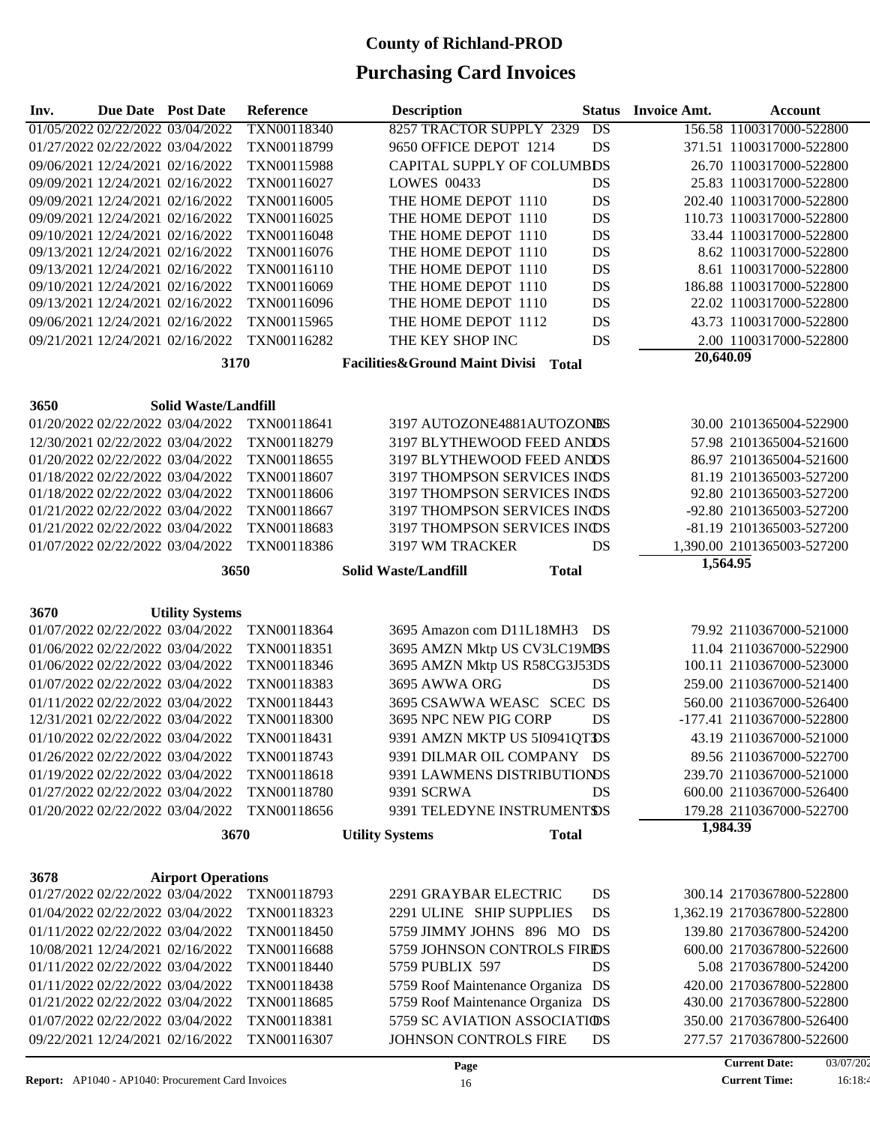| Inv. | Due Date Post Date |                                                                      | Reference                  | <b>Description</b>                          | <b>Status</b>   | <b>Invoice Amt.</b> | <b>Account</b>                                      |
|------|--------------------|----------------------------------------------------------------------|----------------------------|---------------------------------------------|-----------------|---------------------|-----------------------------------------------------|
|      |                    | 01/05/2022 02/22/2022 03/04/2022                                     | TXN00118340                | 8257 TRACTOR SUPPLY 2329                    | $\overline{DS}$ |                     | 156.58 1100317000-522800                            |
|      |                    | 01/27/2022 02/22/2022 03/04/2022                                     | TXN00118799                | 9650 OFFICE DEPOT 1214                      | DS              |                     | 371.51 1100317000-522800                            |
|      |                    | 09/06/2021 12/24/2021 02/16/2022                                     | TXN00115988                | CAPITAL SUPPLY OF COLUMBDS                  |                 |                     | 26.70 1100317000-522800                             |
|      |                    | 09/09/2021 12/24/2021 02/16/2022                                     | TXN00116027                | <b>LOWES 00433</b>                          | <b>DS</b>       |                     | 25.83 1100317000-522800                             |
|      |                    | 09/09/2021 12/24/2021 02/16/2022                                     | TXN00116005                | THE HOME DEPOT 1110                         | <b>DS</b>       |                     | 202.40 1100317000-522800                            |
|      |                    | 09/09/2021 12/24/2021 02/16/2022                                     | TXN00116025                | THE HOME DEPOT 1110                         | <b>DS</b>       |                     | 110.73 1100317000-522800                            |
|      |                    | 09/10/2021 12/24/2021 02/16/2022                                     | TXN00116048                | THE HOME DEPOT 1110                         | <b>DS</b>       |                     | 33.44 1100317000-522800                             |
|      |                    | 09/13/2021 12/24/2021 02/16/2022                                     | TXN00116076                | THE HOME DEPOT 1110                         | <b>DS</b>       |                     | 8.62 1100317000-522800                              |
|      |                    | 09/13/2021 12/24/2021 02/16/2022<br>09/10/2021 12/24/2021 02/16/2022 | TXN00116110                | THE HOME DEPOT 1110                         | <b>DS</b>       |                     | 8.61 1100317000-522800                              |
|      |                    | 09/13/2021 12/24/2021 02/16/2022                                     | TXN00116069<br>TXN00116096 | THE HOME DEPOT 1110<br>THE HOME DEPOT 1110  | DS<br>DS        |                     | 186.88 1100317000-522800<br>22.02 1100317000-522800 |
|      |                    | 09/06/2021 12/24/2021 02/16/2022                                     | TXN00115965                | THE HOME DEPOT 1112                         | DS              |                     | 43.73 1100317000-522800                             |
|      |                    | 09/21/2021 12/24/2021 02/16/2022                                     | TXN00116282                | THE KEY SHOP INC                            | <b>DS</b>       |                     | 2.00 1100317000-522800                              |
|      |                    |                                                                      |                            |                                             |                 | 20,640.09           |                                                     |
|      |                    | 3170                                                                 |                            | Facilities&Ground Maint Divisi Total        |                 |                     |                                                     |
| 3650 |                    | <b>Solid Waste/Landfill</b>                                          |                            |                                             |                 |                     |                                                     |
|      |                    | 01/20/2022 02/22/2022 03/04/2022                                     | TXN00118641                | 3197 AUTOZONE4881AUTOZONES                  |                 |                     | 30.00 2101365004-522900                             |
|      |                    | 12/30/2021 02/22/2022 03/04/2022                                     | TXN00118279                | 3197 BLYTHEWOOD FEED ANDDS                  |                 |                     | 57.98 2101365004-521600                             |
|      |                    | 01/20/2022 02/22/2022 03/04/2022                                     | TXN00118655                | 3197 BLYTHEWOOD FEED ANDDS                  |                 |                     | 86.97 2101365004-521600                             |
|      |                    | 01/18/2022 02/22/2022 03/04/2022                                     | TXN00118607                | 3197 THOMPSON SERVICES INDS                 |                 |                     | 81.19 2101365003-527200                             |
|      |                    | 01/18/2022 02/22/2022 03/04/2022                                     | TXN00118606                | 3197 THOMPSON SERVICES INDS                 |                 |                     | 92.80 2101365003-527200                             |
|      |                    | 01/21/2022 02/22/2022 03/04/2022                                     | TXN00118667                | 3197 THOMPSON SERVICES INDS                 |                 |                     | -92.80 2101365003-527200                            |
|      |                    | 01/21/2022 02/22/2022 03/04/2022                                     | TXN00118683                | 3197 THOMPSON SERVICES INDS                 |                 |                     | -81.19 2101365003-527200                            |
|      |                    | 01/07/2022 02/22/2022 03/04/2022                                     | TXN00118386                | 3197 WM TRACKER                             | DS              |                     | 1,390.00 2101365003-527200                          |
|      |                    | 3650                                                                 |                            | <b>Total</b><br><b>Solid Waste/Landfill</b> |                 | 1,564.95            |                                                     |
|      |                    |                                                                      |                            |                                             |                 |                     |                                                     |
| 3670 |                    | <b>Utility Systems</b>                                               |                            |                                             |                 |                     |                                                     |
|      |                    | 01/07/2022 02/22/2022 03/04/2022                                     | TXN00118364                | 3695 Amazon com D11L18MH3 DS                |                 |                     | 79.92 2110367000-521000                             |
|      |                    | 01/06/2022 02/22/2022 03/04/2022                                     | TXN00118351                | 3695 AMZN Mktp US CV3LC19MBS                |                 |                     | 11.04 2110367000-522900                             |
|      |                    | 01/06/2022 02/22/2022 03/04/2022                                     | TXN00118346                | 3695 AMZN Mktp US R58CG3J53DS               |                 |                     | 100.11 2110367000-523000                            |
|      |                    | 01/07/2022 02/22/2022 03/04/2022                                     | TXN00118383                | 3695 AWWA ORG                               | DS              |                     | 259.00 2110367000-521400                            |
|      |                    | 01/11/2022 02/22/2022 03/04/2022                                     | TXN00118443                | 3695 CSAWWA WEASC SCEC DS                   |                 |                     | 560.00 2110367000-526400                            |
|      |                    | 12/31/2021 02/22/2022 03/04/2022                                     | TXN00118300                | 3695 NPC NEW PIG CORP                       | DS              |                     | -177.41 2110367000-522800                           |
|      |                    | 01/10/2022 02/22/2022 03/04/2022                                     | TXN00118431                | 9391 AMZN MKTP US 5I0941QTDS                |                 |                     | 43.19 2110367000-521000                             |
|      |                    | 01/26/2022 02/22/2022 03/04/2022                                     | TXN00118743                | 9391 DILMAR OIL COMPANY DS                  |                 |                     | 89.56 2110367000-522700                             |
|      |                    | 01/19/2022 02/22/2022 03/04/2022                                     | TXN00118618                | 9391 LAWMENS DISTRIBUTIONDS                 |                 |                     | 239.70 2110367000-521000                            |
|      |                    | 01/27/2022 02/22/2022 03/04/2022                                     | TXN00118780                | 9391 SCRWA                                  | DS              |                     | 600.00 2110367000-526400                            |
|      |                    | 01/20/2022 02/22/2022 03/04/2022                                     | TXN00118656                | 9391 TELEDYNE INSTRUMENTSS                  |                 |                     | 179.28 2110367000-522700                            |
|      |                    | 3670                                                                 |                            | <b>Utility Systems</b><br><b>Total</b>      |                 | 1,984.39            |                                                     |
|      |                    |                                                                      |                            |                                             |                 |                     |                                                     |
| 3678 |                    | <b>Airport Operations</b>                                            |                            |                                             |                 |                     |                                                     |
|      |                    | 01/27/2022 02/22/2022 03/04/2022                                     | TXN00118793                | 2291 GRAYBAR ELECTRIC                       | DS              |                     | 300.14 2170367800-522800                            |
|      |                    | 01/04/2022 02/22/2022 03/04/2022                                     | TXN00118323                | 2291 ULINE SHIP SUPPLIES                    | DS              |                     | 1,362.19 2170367800-522800                          |
|      |                    | 01/11/2022 02/22/2022 03/04/2022                                     | TXN00118450                | 5759 JIMMY JOHNS 896 MO DS                  |                 |                     | 139.80 2170367800-524200                            |
|      |                    | 10/08/2021 12/24/2021 02/16/2022                                     | TXN00116688                | 5759 JOHNSON CONTROLS FIRIDS                |                 |                     | 600.00 2170367800-522600                            |
|      |                    | 01/11/2022 02/22/2022 03/04/2022                                     | TXN00118440                | 5759 PUBLIX 597                             | DS              |                     | 5.08 2170367800-524200                              |
|      |                    | 01/11/2022 02/22/2022 03/04/2022                                     | TXN00118438                | 5759 Roof Maintenance Organiza DS           |                 |                     | 420.00 2170367800-522800                            |
|      |                    | 01/21/2022 02/22/2022 03/04/2022                                     | TXN00118685                | 5759 Roof Maintenance Organiza DS           |                 |                     | 430.00 2170367800-522800                            |
|      |                    | 01/07/2022 02/22/2022 03/04/2022                                     | TXN00118381                | 5759 SC AVIATION ASSOCIATIOS                |                 |                     | 350.00 2170367800-526400                            |
|      |                    | 09/22/2021 12/24/2021 02/16/2022                                     | TXN00116307                | JOHNSON CONTROLS FIRE                       | DS              |                     | 277.57 2170367800-522600                            |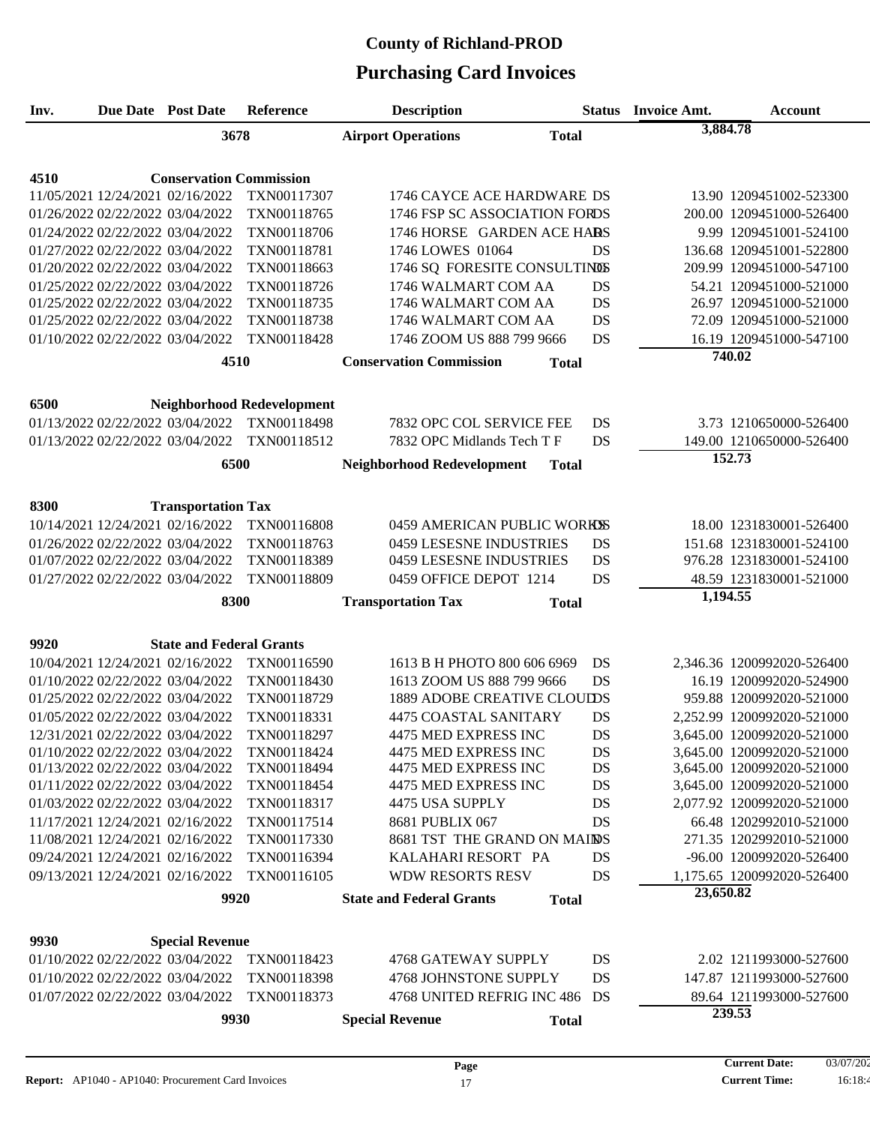| Inv.                             | Due Date Post Date              | Reference                         | <b>Description</b>                 |              | <b>Status</b> Invoice Amt. | <b>Account</b>             |
|----------------------------------|---------------------------------|-----------------------------------|------------------------------------|--------------|----------------------------|----------------------------|
|                                  | 3678                            |                                   | <b>Airport Operations</b>          | <b>Total</b> | 3,884.78                   |                            |
|                                  |                                 |                                   |                                    |              |                            |                            |
| 4510                             | <b>Conservation Commission</b>  |                                   |                                    |              |                            |                            |
| 11/05/2021 12/24/2021 02/16/2022 |                                 | TXN00117307                       | 1746 CAYCE ACE HARDWARE DS         |              |                            | 13.90 1209451002-523300    |
| 01/26/2022 02/22/2022 03/04/2022 |                                 | TXN00118765                       | 1746 FSP SC ASSOCIATION FORDS      |              |                            | 200.00 1209451000-526400   |
| 01/24/2022 02/22/2022 03/04/2022 |                                 | TXN00118706                       | 1746 HORSE GARDEN ACE HARS         |              |                            | 9.99 1209451001-524100     |
| 01/27/2022 02/22/2022 03/04/2022 |                                 | TXN00118781                       | 1746 LOWES 01064                   | DS           |                            | 136.68 1209451001-522800   |
| 01/20/2022 02/22/2022 03/04/2022 |                                 | TXN00118663                       | 1746 SQ FORESITE CONSULTINGS       |              |                            | 209.99 1209451000-547100   |
| 01/25/2022 02/22/2022 03/04/2022 |                                 | TXN00118726                       | 1746 WALMART COM AA                | DS           |                            | 54.21 1209451000-521000    |
| 01/25/2022 02/22/2022 03/04/2022 |                                 | TXN00118735                       | 1746 WALMART COM AA                | DS           |                            | 26.97 1209451000-521000    |
| 01/25/2022 02/22/2022 03/04/2022 |                                 | TXN00118738                       | 1746 WALMART COM AA                | DS           |                            | 72.09 1209451000-521000    |
| 01/10/2022 02/22/2022 03/04/2022 |                                 | TXN00118428                       | 1746 ZOOM US 888 799 9666          | DS           |                            | 16.19 1209451000-547100    |
|                                  | 4510                            |                                   | <b>Conservation Commission</b>     |              | 740.02                     |                            |
|                                  |                                 |                                   |                                    | <b>Total</b> |                            |                            |
| 6500                             |                                 | <b>Neighborhood Redevelopment</b> |                                    |              |                            |                            |
| 01/13/2022 02/22/2022 03/04/2022 |                                 | TXN00118498                       | 7832 OPC COL SERVICE FEE           | DS           |                            | 3.73 1210650000-526400     |
| 01/13/2022 02/22/2022 03/04/2022 |                                 | TXN00118512                       | 7832 OPC Midlands Tech T F         | DS           |                            | 149.00 1210650000-526400   |
|                                  |                                 |                                   |                                    |              | 152.73                     |                            |
|                                  | 6500                            |                                   | <b>Neighborhood Redevelopment</b>  | <b>Total</b> |                            |                            |
|                                  |                                 |                                   |                                    |              |                            |                            |
| 8300                             | <b>Transportation Tax</b>       |                                   |                                    |              |                            |                            |
| 10/14/2021 12/24/2021 02/16/2022 |                                 | TXN00116808                       | 0459 AMERICAN PUBLIC WORKSS        |              |                            | 18.00 1231830001-526400    |
| 01/26/2022 02/22/2022 03/04/2022 |                                 | TXN00118763                       | 0459 LESESNE INDUSTRIES            | DS           |                            | 151.68 1231830001-524100   |
| 01/07/2022 02/22/2022 03/04/2022 |                                 | TXN00118389                       | 0459 LESESNE INDUSTRIES            | DS           |                            | 976.28 1231830001-524100   |
| 01/27/2022 02/22/2022 03/04/2022 |                                 | TXN00118809                       | 0459 OFFICE DEPOT 1214             | DS           |                            | 48.59 1231830001-521000    |
|                                  | 8300                            |                                   | <b>Transportation Tax</b>          | <b>Total</b> | 1,194.55                   |                            |
|                                  |                                 |                                   |                                    |              |                            |                            |
| 9920                             | <b>State and Federal Grants</b> |                                   |                                    |              |                            |                            |
| 10/04/2021 12/24/2021 02/16/2022 |                                 | TXN00116590                       | 1613 B H PHOTO 800 606 6969        | DS           |                            | 2,346.36 1200992020-526400 |
| 01/10/2022 02/22/2022 03/04/2022 |                                 | TXN00118430                       | 1613 ZOOM US 888 799 9666          | DS           |                            | 16.19 1200992020-524900    |
| 01/25/2022 02/22/2022 03/04/2022 |                                 | TXN00118729                       | <b>1889 ADOBE CREATIVE CLOUDDS</b> |              |                            | 959.88 1200992020-521000   |
| 01/05/2022 02/22/2022 03/04/2022 |                                 | TXN00118331                       | <b>4475 COASTAL SANITARY</b>       | DS           |                            | 2,252.99 1200992020-521000 |
| 12/31/2021 02/22/2022 03/04/2022 |                                 | TXN00118297                       | 4475 MED EXPRESS INC               | DS           |                            | 3,645.00 1200992020-521000 |
| 01/10/2022 02/22/2022 03/04/2022 |                                 | TXN00118424                       | 4475 MED EXPRESS INC               | DS           |                            | 3,645.00 1200992020-521000 |
| 01/13/2022 02/22/2022 03/04/2022 |                                 | TXN00118494                       | 4475 MED EXPRESS INC               | DS           |                            | 3,645.00 1200992020-521000 |
| 01/11/2022 02/22/2022 03/04/2022 |                                 | TXN00118454                       | 4475 MED EXPRESS INC               | DS           |                            | 3,645.00 1200992020-521000 |
| 01/03/2022 02/22/2022 03/04/2022 |                                 | TXN00118317                       | 4475 USA SUPPLY                    | DS           |                            | 2,077.92 1200992020-521000 |
| 11/17/2021 12/24/2021 02/16/2022 |                                 | TXN00117514                       | 8681 PUBLIX 067                    | DS           |                            | 66.48 1202992010-521000    |
| 11/08/2021 12/24/2021 02/16/2022 |                                 | TXN00117330                       | 8681 TST THE GRAND ON MAINS        |              |                            | 271.35 1202992010-521000   |
| 09/24/2021 12/24/2021 02/16/2022 |                                 | TXN00116394                       | KALAHARI RESORT PA                 | DS           |                            | -96.00 1200992020-526400   |
| 09/13/2021 12/24/2021 02/16/2022 |                                 | TXN00116105                       | <b>WDW RESORTS RESV</b>            | DS           |                            | 1,175.65 1200992020-526400 |
|                                  | 9920                            |                                   | <b>State and Federal Grants</b>    | <b>Total</b> | 23,650.82                  |                            |
|                                  |                                 |                                   |                                    |              |                            |                            |
| 9930                             | <b>Special Revenue</b>          |                                   |                                    |              |                            |                            |
| 01/10/2022 02/22/2022 03/04/2022 |                                 | TXN00118423                       | 4768 GATEWAY SUPPLY                | DS           |                            | 2.02 1211993000-527600     |
| 01/10/2022 02/22/2022 03/04/2022 |                                 | TXN00118398                       | 4768 JOHNSTONE SUPPLY              | DS           |                            | 147.87 1211993000-527600   |
| 01/07/2022 02/22/2022 03/04/2022 |                                 | TXN00118373                       | 4768 UNITED REFRIG INC 486 DS      |              |                            | 89.64 1211993000-527600    |
|                                  | 9930                            |                                   | <b>Special Revenue</b>             | <b>Total</b> | 239.53                     |                            |
|                                  |                                 |                                   |                                    |              |                            |                            |